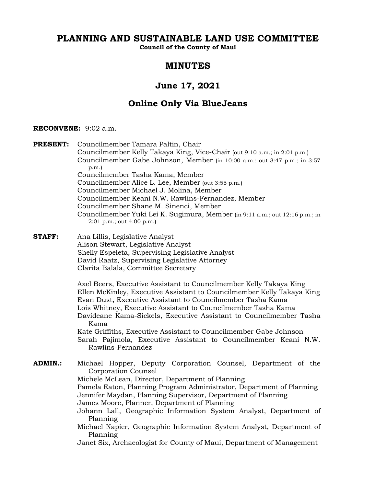# **PLANNING AND SUSTAINABLE LAND USE COMMITTEE**

**Council of the County of Maui**

# **MINUTES**

# **June 17, 2021**

# **Online Only Via BlueJeans**

# **RECONVENE:** 9:02 a.m.

**PRESENT:** Councilmember Tamara Paltin, Chair Councilmember Kelly Takaya King, Vice-Chair (out 9:10 a.m.; in 2:01 p.m.) Councilmember Gabe Johnson, Member (in 10:00 a.m.; out 3:47 p.m.; in 3:57 p.m.) Councilmember Tasha Kama, Member Councilmember Alice L. Lee, Member (out 3:55 p.m.) Councilmember Michael J. Molina, Member Councilmember Keani N.W. Rawlins-Fernandez, Member Councilmember Shane M. Sinenci, Member Councilmember Yuki Lei K. Sugimura, Member (in 9:11 a.m.; out 12:16 p.m.; in 2:01 p.m.; out 4:00 p.m.)

**STAFF:** Ana Lillis, Legislative Analyst Alison Stewart, Legislative Analyst Shelly Espeleta, Supervising Legislative Analyst David Raatz, Supervising Legislative Attorney Clarita Balala, Committee Secretary

> Axel Beers, Executive Assistant to Councilmember Kelly Takaya King Ellen McKinley, Executive Assistant to Councilmember Kelly Takaya King Evan Dust, Executive Assistant to Councilmember Tasha Kama Lois Whitney, Executive Assistant to Councilmember Tasha Kama Davideane Kama-Sickels, Executive Assistant to Councilmember Tasha Kama

> Kate Griffiths, Executive Assistant to Councilmember Gabe Johnson Sarah Pajimola, Executive Assistant to Councilmember Keani N.W. Rawlins-Fernandez

**ADMIN.:** Michael Hopper, Deputy Corporation Counsel, Department of the Corporation Counsel Michele McLean, Director, Department of Planning Pamela Eaton, Planning Program Administrator, Department of Planning Jennifer Maydan, Planning Supervisor, Department of Planning James Moore, Planner, Department of Planning Johann Lall, Geographic Information System Analyst, Department of Planning Michael Napier, Geographic Information System Analyst, Department of Planning Janet Six, Archaeologist for County of Maui, Department of Management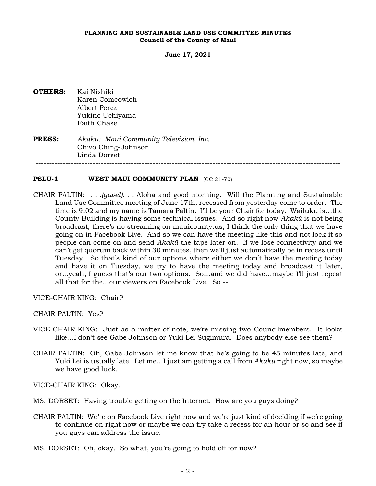**June 17, 2021**

- **OTHERS:** Kai Nishiki Karen Comcowich Albert Perez Yukino Uchiyama Faith Chase
- **PRESS:** *Akakū: Maui Community Television, Inc.* Chivo Ching-Johnson Linda Dorset ----------------------------------------------------------------------------------------------------------------

# **PSLU-1 WEST MAUI COMMUNITY PLAN** (CC 21-70)

- CHAIR PALTIN: *. . .(gavel). . .* Aloha and good morning. Will the Planning and Sustainable Land Use Committee meeting of June 17th, recessed from yesterday come to order. The time is 9:02 and my name is Tamara Paltin. I'll be your Chair for today. Wailuku is…the County Building is having some technical issues. And so right now *Akakū* is not being broadcast, there's no streaming on mauicounty.us, I think the only thing that we have going on in Facebook Live. And so we can have the meeting like this and not lock it so people can come on and send *Akakū* the tape later on. If we lose connectivity and we can't get quorum back within 30 minutes, then we'll just automatically be in recess until Tuesday. So that's kind of our options where either we don't have the meeting today and have it on Tuesday, we try to have the meeting today and broadcast it later, or...yeah, I guess that's our two options. So…and we did have…maybe I'll just repeat all that for the...our viewers on Facebook Live. So --
- VICE-CHAIR KING: Chair?
- CHAIR PALTIN: Yes?
- VICE-CHAIR KING: Just as a matter of note, we're missing two Councilmembers. It looks like…I don't see Gabe Johnson or Yuki Lei Sugimura. Does anybody else see them?
- CHAIR PALTIN: Oh, Gabe Johnson let me know that he's going to be 45 minutes late, and Yuki Lei is usually late. Let me…I just am getting a call from *Akakū* right now, so maybe we have good luck.

VICE-CHAIR KING: Okay.

- MS. DORSET: Having trouble getting on the Internet. How are you guys doing?
- CHAIR PALTIN: We're on Facebook Live right now and we're just kind of deciding if we're going to continue on right now or maybe we can try take a recess for an hour or so and see if you guys can address the issue.
- MS. DORSET: Oh, okay. So what, you're going to hold off for now?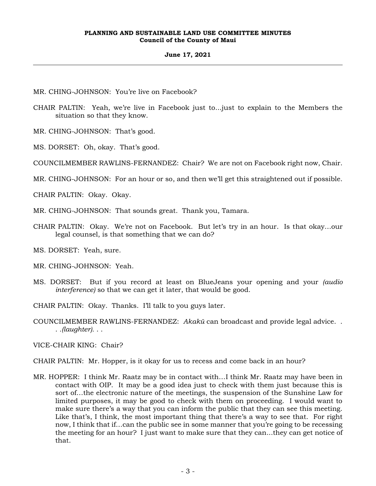# **June 17, 2021**

MR. CHING-JOHNSON: You're live on Facebook?

- CHAIR PALTIN: Yeah, we're live in Facebook just to...just to explain to the Members the situation so that they know.
- MR. CHING-JOHNSON: That's good.

MS. DORSET: Oh, okay. That's good.

COUNCILMEMBER RAWLINS-FERNANDEZ: Chair? We are not on Facebook right now, Chair.

MR. CHING-JOHNSON: For an hour or so, and then we'll get this straightened out if possible.

CHAIR PALTIN: Okay. Okay.

- MR. CHING-JOHNSON: That sounds great. Thank you, Tamara.
- CHAIR PALTIN: Okay. We're not on Facebook. But let's try in an hour. Is that okay…our legal counsel, is that something that we can do?

MS. DORSET: Yeah, sure.

- MR. CHING-JOHNSON: Yeah.
- MS. DORSET: But if you record at least on BlueJeans your opening and your *(audio interference)* so that we can get it later, that would be good.
- CHAIR PALTIN: Okay. Thanks. I'll talk to you guys later.
- COUNCILMEMBER RAWLINS-FERNANDEZ: *Akakū* can broadcast and provide legal advice. . . *.(laughter).* . .
- VICE-CHAIR KING: Chair?
- CHAIR PALTIN: Mr. Hopper, is it okay for us to recess and come back in an hour?
- MR. HOPPER: I think Mr. Raatz may be in contact with…I think Mr. Raatz may have been in contact with OIP. It may be a good idea just to check with them just because this is sort of…the electronic nature of the meetings, the suspension of the Sunshine Law for limited purposes, it may be good to check with them on proceeding. I would want to make sure there's a way that you can inform the public that they can see this meeting. Like that's, I think, the most important thing that there's a way to see that. For right now, I think that if…can the public see in some manner that you're going to be recessing the meeting for an hour? I just want to make sure that they can...they can get notice of that.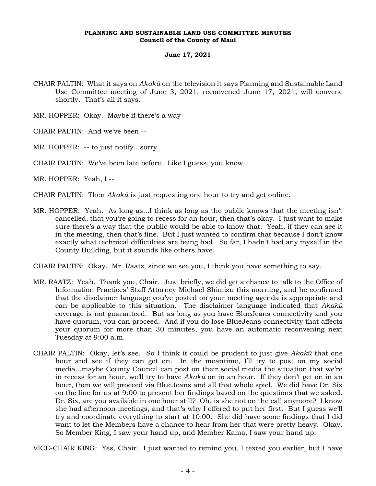#### **June 17, 2021**

CHAIR PALTIN: What it says on *Akakū* on the television it says Planning and Sustainable Land Use Committee meeting of June 3, 2021, reconvened June 17, 2021, will convene shortly. That's all it says.

MR. HOPPER: Okay. Maybe if there's a way --

CHAIR PALTIN: And we've been --

MR. HOPPER: -- to just notify...sorry.

CHAIR PALTIN: We've been late before. Like I guess, you know.

MR. HOPPER: Yeah, I --

CHAIR PALTIN: Then *Akakū* is just requesting one hour to try and get online.

MR. HOPPER: Yeah. As long as...I think as long as the public knows that the meeting isn't cancelled, that you're going to recess for an hour, then that's okay. I just want to make sure there's a way that the public would be able to know that. Yeah, if they can see it in the meeting, then that's fine. But I just wanted to confirm that because I don't know exactly what technical difficulties are being had. So far, I hadn't had any myself in the County Building, but it sounds like others have.

CHAIR PALTIN: Okay. Mr. Raatz, since we see you, I think you have something to say.

- MR. RAATZ: Yeah. Thank you, Chair. Just briefly, we did get a chance to talk to the Office of Information Practices' Staff Attorney Michael Shimizu this morning, and he confirmed that the disclaimer language you've posted on your meeting agenda is appropriate and can be applicable to this situation. The disclaimer language indicated that *Akakū* coverage is not guaranteed. But as long as you have BlueJeans connectivity and you have quorum, you can proceed. And if you do lose BlueJeans connectivity that affects your quorum for more than 30 minutes, you have an automatic reconvening next Tuesday at 9:00 a.m.
- CHAIR PALTIN: Okay, let's see. So I think it could be prudent to just give *Akakū* that one hour and see if they can get on. In the meantime, I'll try to post on my social media...maybe County Council can post on their social media the situation that we're in recess for an hour, we'll try to have *Akakū* on in an hour. If they don't get on in an hour, then we will proceed via BlueJeans and all that whole spiel. We did have Dr. Six on the line for us at 9:00 to present her findings based on the questions that we asked. Dr. Six, are you available in one hour still? Oh, is she not on the call anymore? I know she had afternoon meetings, and that's why I offered to put her first. But I guess we'll try and coordinate everything to start at 10:00. She did have some findings that I did want to let the Members have a chance to hear from her that were pretty heavy. Okay. So Member King, I saw your hand up, and Member Kama, I saw your hand up.

VICE-CHAIR KING: Yes, Chair. I just wanted to remind you, I texted you earlier, but I have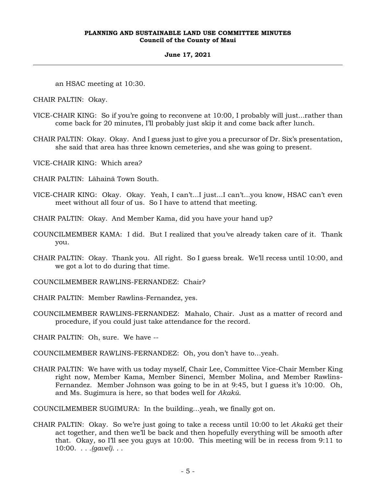# **June 17, 2021**

an HSAC meeting at 10:30.

CHAIR PALTIN: Okay.

- VICE-CHAIR KING: So if you're going to reconvene at 10:00, I probably will just...rather than come back for 20 minutes, I'll probably just skip it and come back after lunch.
- CHAIR PALTIN: Okay. Okay. And I guess just to give you a precursor of Dr. Six's presentation, she said that area has three known cemeteries, and she was going to present.
- VICE-CHAIR KING: Which area?
- CHAIR PALTIN: Lāhainā Town South.
- VICE-CHAIR KING: Okay. Okay. Yeah, I can't...I just...I can't...you know, HSAC can't even meet without all four of us. So I have to attend that meeting.
- CHAIR PALTIN: Okay. And Member Kama, did you have your hand up?
- COUNCILMEMBER KAMA: I did. But I realized that you've already taken care of it. Thank you.
- CHAIR PALTIN: Okay. Thank you. All right. So I guess break. We'll recess until 10:00, and we got a lot to do during that time.
- COUNCILMEMBER RAWLINS-FERNANDEZ: Chair?
- CHAIR PALTIN: Member Rawlins-Fernandez, yes.
- COUNCILMEMBER RAWLINS-FERNANDEZ: Mahalo, Chair. Just as a matter of record and procedure, if you could just take attendance for the record.

CHAIR PALTIN: Oh, sure. We have --

COUNCILMEMBER RAWLINS-FERNANDEZ: Oh, you don't have to…yeah.

CHAIR PALTIN: We have with us today myself, Chair Lee, Committee Vice-Chair Member King right now, Member Kama, Member Sinenci, Member Molina, and Member Rawlins-Fernandez. Member Johnson was going to be in at 9:45, but I guess it's 10:00. Oh, and Ms. Sugimura is here, so that bodes well for *Akakū*.

COUNCILMEMBER SUGIMURA: In the building…yeah, we finally got on.

CHAIR PALTIN: Okay. So we're just going to take a recess until 10:00 to let *Akakū* get their act together, and then we'll be back and then hopefully everything will be smooth after that. Okay, so I'll see you guys at 10:00. This meeting will be in recess from 9:11 to 10:00. . . *.(gavel)*. . .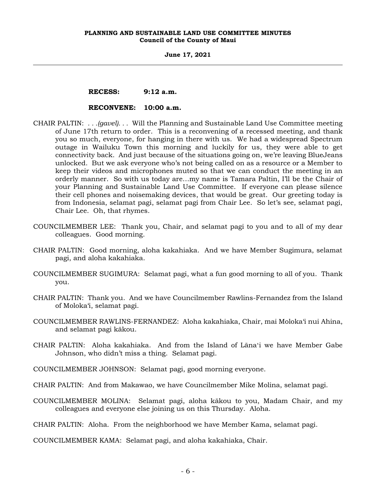**June 17, 2021**

# **RECESS: 9:12 a.m.**

# **RECONVENE: 10:00 a.m.**

- CHAIR PALTIN: *. . .(gavel). . .* Will the Planning and Sustainable Land Use Committee meeting of June 17th return to order. This is a reconvening of a recessed meeting, and thank you so much, everyone, for hanging in there with us. We had a widespread Spectrum outage in Wailuku Town this morning and luckily for us, they were able to get connectivity back. And just because of the situations going on, we're leaving BlueJeans unlocked. But we ask everyone who's not being called on as a resource or a Member to keep their videos and microphones muted so that we can conduct the meeting in an orderly manner. So with us today are…my name is Tamara Paltin, I'll be the Chair of your Planning and Sustainable Land Use Committee. If everyone can please silence their cell phones and noisemaking devices, that would be great. Our greeting today is from Indonesia, selamat pagi, selamat pagi from Chair Lee. So let's see, selamat pagi, Chair Lee. Oh, that rhymes.
- COUNCILMEMBER LEE: Thank you, Chair, and selamat pagi to you and to all of my dear colleagues. Good morning.
- CHAIR PALTIN: Good morning, aloha kakahiaka. And we have Member Sugimura, selamat pagi, and aloha kakahiaka.
- COUNCILMEMBER SUGIMURA: Selamat pagi, what a fun good morning to all of you. Thank you.
- CHAIR PALTIN: Thank you. And we have Councilmember Rawlins-Fernandez from the Island of Moloka'i, selamat pagi.
- COUNCILMEMBER RAWLINS-FERNANDEZ: Aloha kakahiaka, Chair, mai Moloka'i nui Ahina, and selamat pagi kākou.
- CHAIR PALTIN: Aloha kakahiaka. And from the Island of Lānaʻi we have Member Gabe Johnson, who didn't miss a thing. Selamat pagi.
- COUNCILMEMBER JOHNSON: Selamat pagi, good morning everyone.
- CHAIR PALTIN: And from Makawao, we have Councilmember Mike Molina, selamat pagi.
- COUNCILMEMBER MOLINA: Selamat pagi, aloha kākou to you, Madam Chair, and my colleagues and everyone else joining us on this Thursday. Aloha.

CHAIR PALTIN: Aloha. From the neighborhood we have Member Kama, selamat pagi.

COUNCILMEMBER KAMA: Selamat pagi, and aloha kakahiaka, Chair.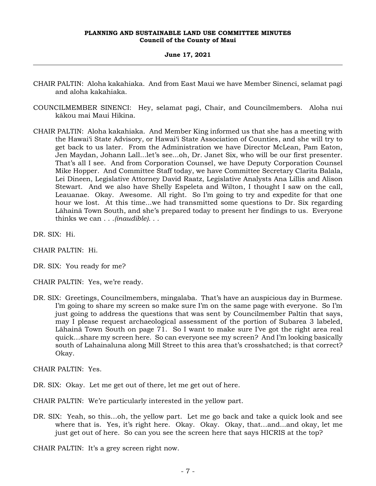#### **June 17, 2021**

- CHAIR PALTIN: Aloha kakahiaka. And from East Maui we have Member Sinenci, selamat pagi and aloha kakahiaka.
- COUNCILMEMBER SINENCI: Hey, selamat pagi, Chair, and Councilmembers. Aloha nui kākou mai Maui Hikina.
- CHAIR PALTIN: Aloha kakahiaka. And Member King informed us that she has a meeting with the Hawai'i State Advisory, or Hawai'i State Association of Counties, and she will try to get back to us later. From the Administration we have Director McLean, Pam Eaton, Jen Maydan, Johann Lall...let's see...oh, Dr. Janet Six, who will be our first presenter. That's all I see. And from Corporation Counsel, we have Deputy Corporation Counsel Mike Hopper. And Committee Staff today, we have Committee Secretary Clarita Balala, Lei Dineen, Legislative Attorney David Raatz, Legislative Analysts Ana Lillis and Alison Stewart. And we also have Shelly Espeleta and Wilton, I thought I saw on the call, Leauanae. Okay. Awesome. All right. So I'm going to try and expedite for that one hour we lost. At this time...we had transmitted some questions to Dr. Six regarding Lāhainā Town South, and she's prepared today to present her findings to us. Everyone thinks we can . . .*(inaudible)*. . .

DR. SIX: Hi.

CHAIR PALTIN: Hi.

DR. SIX: You ready for me?

CHAIR PALTIN: Yes, we're ready.

DR. SIX: Greetings, Councilmembers, mingalaba. That's have an auspicious day in Burmese. I'm going to share my screen so make sure I'm on the same page with everyone. So I'm just going to address the questions that was sent by Councilmember Paltin that says, may I please request archaeological assessment of the portion of Subarea 3 labeled, Lāhainā Town South on page 71. So I want to make sure I've got the right area real quick…share my screen here. So can everyone see my screen? And I'm looking basically south of Lahainaluna along Mill Street to this area that's crosshatched; is that correct? Okay.

CHAIR PALTIN: Yes.

- DR. SIX: Okay. Let me get out of there, let me get out of here.
- CHAIR PALTIN: We're particularly interested in the yellow part.
- DR. SIX: Yeah, so this…oh, the yellow part. Let me go back and take a quick look and see where that is. Yes, it's right here. Okay. Okay. Okay, that…and...and okay, let me just get out of here. So can you see the screen here that says HICRIS at the top?

CHAIR PALTIN: It's a grey screen right now.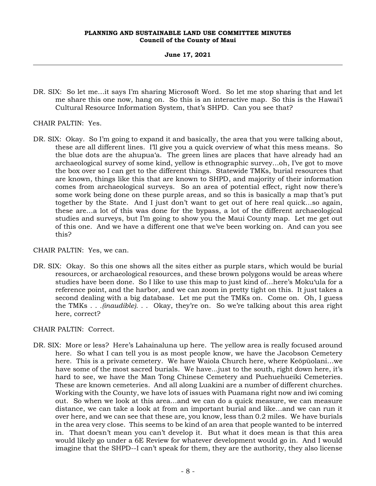# **June 17, 2021**

- DR. SIX: So let me…it says I'm sharing Microsoft Word. So let me stop sharing that and let me share this one now, hang on. So this is an interactive map. So this is the Hawai'i Cultural Resource Information System, that's SHPD. Can you see that?
- CHAIR PALTIN: Yes.
- DR. SIX: Okay. So I'm going to expand it and basically, the area that you were talking about, these are all different lines. I'll give you a quick overview of what this mess means. So the blue dots are the ahupua'a. The green lines are places that have already had an archaeological survey of some kind, yellow is ethnographic survey…oh, I've got to move the box over so I can get to the different things. Statewide TMKs, burial resources that are known, things like this that are known to SHPD, and majority of their information comes from archaeological surveys. So an area of potential effect, right now there's some work being done on these purple areas, and so this is basically a map that's put together by the State. And I just don't want to get out of here real quick…so again, these are…a lot of this was done for the bypass, a lot of the different archaeological studies and surveys, but I'm going to show you the Maui County map. Let me get out of this one. And we have a different one that we've been working on. And can you see this?

CHAIR PALTIN: Yes, we can.

DR. SIX: Okay. So this one shows all the sites either as purple stars, which would be burial resources, or archaeological resources, and these brown polygons would be areas where studies have been done. So I like to use this map to just kind of…here's Moku'ula for a reference point, and the harbor, and we can zoom in pretty tight on this. It just takes a second dealing with a big database. Let me put the TMKs on. Come on. Oh, I guess the TMKs . . *.(inaudible).* . . Okay, they're on. So we're talking about this area right here, correct?

CHAIR PALTIN: Correct.

DR. SIX: More or less? Here's Lahainaluna up here. The yellow area is really focused around here. So what I can tell you is as most people know, we have the Jacobson Cemetery here. This is a private cemetery. We have Waiola Church here, where Keōpūolani…we have some of the most sacred burials. We have... just to the south, right down here, it's hard to see, we have the Man Tong Chinese Cemetery and Puehuehueiki Cemeteries. These are known cemeteries. And all along Luakini are a number of different churches. Working with the County, we have lots of issues with Puamana right now and iwi coming out. So when we look at this area…and we can do a quick measure, we can measure distance, we can take a look at from an important burial and like…and we can run it over here, and we can see that these are, you know, less than 0.2 miles. We have burials in the area very close. This seems to be kind of an area that people wanted to be interred in. That doesn't mean you can't develop it. But what it does mean is that this area would likely go under a 6E Review for whatever development would go in. And I would imagine that the SHPD--I can't speak for them, they are the authority, they also license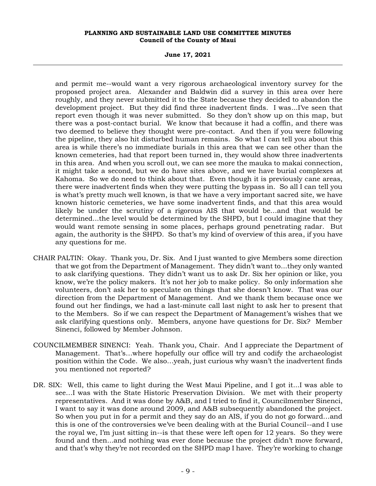**June 17, 2021**

and permit me--would want a very rigorous archaeological inventory survey for the proposed project area. Alexander and Baldwin did a survey in this area over here roughly, and they never submitted it to the State because they decided to abandon the development project. But they did find three inadvertent finds. I was...I've seen that report even though it was never submitted. So they don't show up on this map, but there was a post-contact burial. We know that because it had a coffin, and there was two deemed to believe they thought were pre-contact. And then if you were following the pipeline, they also hit disturbed human remains. So what I can tell you about this area is while there's no immediate burials in this area that we can see other than the known cemeteries, had that report been turned in, they would show three inadvertents in this area. And when you scroll out, we can see more the mauka to makai connection, it might take a second, but we do have sites above, and we have burial complexes at Kahoma. So we do need to think about that. Even though it is previously cane areas, there were inadvertent finds when they were putting the bypass in. So all I can tell you is what's pretty much well known, is that we have a very important sacred site, we have known historic cemeteries, we have some inadvertent finds, and that this area would likely be under the scrutiny of a rigorous AIS that would be…and that would be determined...the level would be determined by the SHPD, but I could imagine that they would want remote sensing in some places, perhaps ground penetrating radar. But again, the authority is the SHPD. So that's my kind of overview of this area, if you have any questions for me.

- CHAIR PALTIN: Okay. Thank you, Dr. Six. And I just wanted to give Members some direction that we got from the Department of Management. They didn't want to...they only wanted to ask clarifying questions. They didn't want us to ask Dr. Six her opinion or like, you know, we're the policy makers. It's not her job to make policy. So only information she volunteers, don't ask her to speculate on things that she doesn't know. That was our direction from the Department of Management. And we thank them because once we found out her findings, we had a last-minute call last night to ask her to present that to the Members. So if we can respect the Department of Management's wishes that we ask clarifying questions only. Members, anyone have questions for Dr. Six? Member Sinenci, followed by Member Johnson.
- COUNCILMEMBER SINENCI: Yeah. Thank you, Chair. And I appreciate the Department of Management. That's…where hopefully our office will try and codify the archaeologist position within the Code. We also…yeah, just curious why wasn't the inadvertent finds you mentioned not reported?
- DR. SIX: Well, this came to light during the West Maui Pipeline, and I got it...I was able to see…I was with the State Historic Preservation Division. We met with their property representatives. And it was done by A&B, and I tried to find it, Councilmember Sinenci, I want to say it was done around 2009, and A&B subsequently abandoned the project. So when you put in for a permit and they say do an AIS, if you do not go forward…and this is one of the controversies we've been dealing with at the Burial Council--and I use the royal we, I'm just sitting in--is that these were left open for 12 years. So they were found and then...and nothing was ever done because the project didn't move forward, and that's why they're not recorded on the SHPD map I have. They're working to change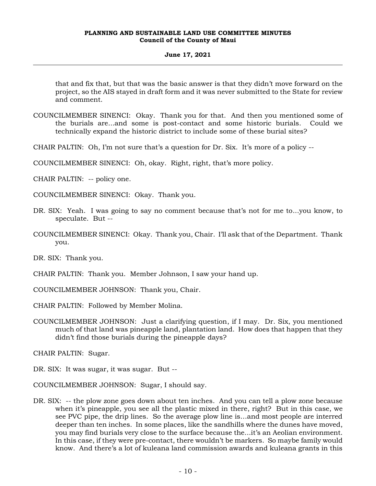# **June 17, 2021**

that and fix that, but that was the basic answer is that they didn't move forward on the project, so the AIS stayed in draft form and it was never submitted to the State for review and comment.

- COUNCILMEMBER SINENCI: Okay. Thank you for that. And then you mentioned some of the burials are...and some is post-contact and some historic burials. Could we technically expand the historic district to include some of these burial sites?
- CHAIR PALTIN: Oh, I'm not sure that's a question for Dr. Six. It's more of a policy --

COUNCILMEMBER SINENCI: Oh, okay. Right, right, that's more policy.

CHAIR PALTIN: -- policy one.

COUNCILMEMBER SINENCI: Okay. Thank you.

- DR. SIX: Yeah. I was going to say no comment because that's not for me to...you know, to speculate. But --
- COUNCILMEMBER SINENCI: Okay. Thank you, Chair. I'll ask that of the Department. Thank you.

DR. SIX: Thank you.

- CHAIR PALTIN: Thank you. Member Johnson, I saw your hand up.
- COUNCILMEMBER JOHNSON: Thank you, Chair.

CHAIR PALTIN: Followed by Member Molina.

COUNCILMEMBER JOHNSON: Just a clarifying question, if I may. Dr. Six, you mentioned much of that land was pineapple land, plantation land. How does that happen that they didn't find those burials during the pineapple days?

CHAIR PALTIN: Sugar.

DR. SIX: It was sugar, it was sugar. But --

COUNCILMEMBER JOHNSON: Sugar, I should say.

DR. SIX: -- the plow zone goes down about ten inches. And you can tell a plow zone because when it's pineapple, you see all the plastic mixed in there, right? But in this case, we see PVC pipe, the drip lines. So the average plow line is…and most people are interred deeper than ten inches. In some places, like the sandhills where the dunes have moved, you may find burials very close to the surface because the...it's an Aeolian environment. In this case, if they were pre-contact, there wouldn't be markers. So maybe family would know. And there's a lot of kuleana land commission awards and kuleana grants in this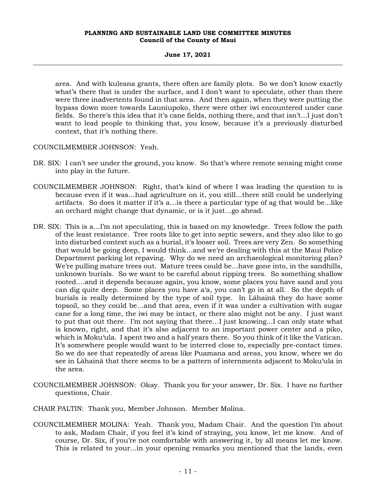# **June 17, 2021**

area. And with kuleana grants, there often are family plots. So we don't know exactly what's there that is under the surface, and I don't want to speculate, other than there were three inadvertents found in that area. And then again, when they were putting the bypass down more towards Launiupoko, there were other iwi encountered under cane fields. So there's this idea that it's cane fields, nothing there, and that isn't...I just don't want to lead people to thinking that, you know, because it's a previously disturbed context, that it's nothing there.

COUNCILMEMBER JOHNSON: Yeah.

- DR. SIX: I can't see under the ground, you know. So that's where remote sensing might come into play in the future.
- COUNCILMEMBER JOHNSON: Right, that's kind of where I was leading the question to is because even if it was…had agriculture on it, you still...there still could be underlying artifacts. So does it matter if it's a…is there a particular type of ag that would be...like an orchard might change that dynamic, or is it just…go ahead.
- DR. SIX: This is a…I'm not speculating, this is based on my knowledge. Trees follow the path of the least resistance. Tree roots like to get into septic sewers, and they also like to go into disturbed context such as a burial, it's looser soil. Trees are very Zen. So something that would be going deep, I would think…and we're dealing with this at the Maui Police Department parking lot repaving. Why do we need an archaeological monitoring plan? We're pulling mature trees out. Mature trees could be...have gone into, in the sandhills, unknown burials. So we want to be careful about ripping trees. So something shallow rooted....and it depends because again, you know, some places you have sand and you can dig quite deep. Some places you have a'a, you can't go in at all. So the depth of burials is really determined by the type of soil type. In Lāhainā they do have some topsoil, so they could be…and that area, even if it was under a cultivation with sugar cane for a long time, the iwi may be intact, or there also might not be any. I just want to put that out there. I'm not saying that there…I just knowing...I can only state what is known, right, and that it's also adjacent to an important power center and a piko, which is Moku'ula. I spent two and a half years there. So you think of it like the Vatican. It's somewhere people would want to be interred close to, especially pre-contact times. So we do see that repeatedly of areas like Puamana and areas, you know, where we do see in Lāhainā that there seems to be a pattern of internments adjacent to Moku'ula in the area.
- COUNCILMEMBER JOHNSON: Okay. Thank you for your answer, Dr. Six. I have no further questions, Chair.

CHAIR PALTIN: Thank you, Member Johnson. Member Molina.

COUNCILMEMBER MOLINA: Yeah. Thank you, Madam Chair. And the question I'm about to ask, Madam Chair, if you feel it's kind of straying, you know, let me know. And of course, Dr. Six, if you're not comfortable with answering it, by all means let me know. This is related to your...in your opening remarks you mentioned that the lands, even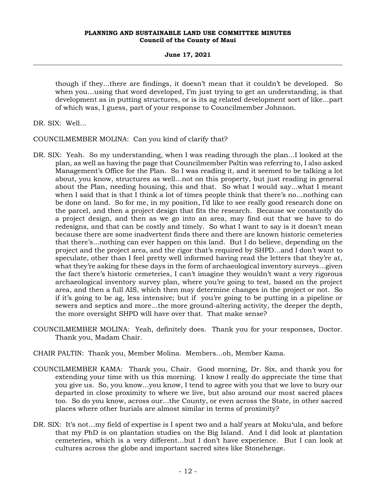**June 17, 2021**

though if they...there are findings, it doesn't mean that it couldn't be developed. So when you…using that word developed, I'm just trying to get an understanding, is that development as in putting structures, or is its ag related development sort of like...part of which was, I guess, part of your response to Councilmember Johnson.

DR. SIX: Well...

COUNCILMEMBER MOLINA: Can you kind of clarify that?

- DR. SIX: Yeah. So my understanding, when I was reading through the plan...I looked at the plan, as well as having the page that Councilmember Paltin was referring to, I also asked Management's Office for the Plan. So I was reading it, and it seemed to be talking a lot about, you know, structures as well...not on this property, but just reading in general about the Plan, needing housing, this and that. So what I would say...what I meant when I said that is that I think a lot of times people think that there's no...nothing can be done on land. So for me, in my position, I'd like to see really good research done on the parcel, and then a project design that fits the research. Because we constantly do a project design, and then as we go into an area, may find out that we have to do redesigns, and that can be costly and timely. So what I want to say is it doesn't mean because there are some inadvertent finds there and there are known historic cemeteries that there's...nothing can ever happen on this land. But I do believe, depending on the project and the project area, and the rigor that's required by SHPD...and I don't want to speculate, other than I feel pretty well informed having read the letters that they're at, what they're asking for these days in the form of archaeological inventory surveys...given the fact there's historic cemeteries, I can't imagine they wouldn't want a very rigorous archaeological inventory survey plan, where you're going to test, based on the project area, and then a full AIS, which then may determine changes in the project or not. So if it's going to be ag, less intensive; but if you're going to be putting in a pipeline or sewers and septics and more...the more ground-altering activity, the deeper the depth, the more oversight SHPD will have over that. That make sense?
- COUNCILMEMBER MOLINA: Yeah, definitely does. Thank you for your responses, Doctor. Thank you, Madam Chair.
- CHAIR PALTIN: Thank you, Member Molina. Members…oh, Member Kama.
- COUNCILMEMBER KAMA: Thank you, Chair. Good morning, Dr. Six, and thank you for extending your time with us this morning. I know I really do appreciate the time that you give us. So, you know...you know, I tend to agree with you that we love to bury our departed in close proximity to where we live, but also around our most sacred places too. So do you know, across our...the County, or even across the State, in other sacred places where other burials are almost similar in terms of proximity?
- DR. SIX: It's not…my field of expertise is I spent two and a half years at Moku'ula, and before that my PhD is on plantation studies on the Big Island. And I did look at plantation cemeteries, which is a very different...but I don't have experience. But I can look at cultures across the globe and important sacred sites like Stonehenge.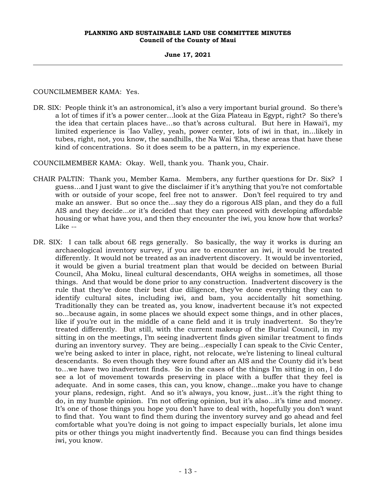# **June 17, 2021**

COUNCILMEMBER KAMA: Yes.

DR. SIX: People think it's an astronomical, it's also a very important burial ground. So there's a lot of times if it's a power center…look at the Giza Plateau in Egypt, right? So there's the idea that certain places have…so that's across cultural. But here in Hawai'i, my limited experience is `Īao Valley, yeah, power center, lots of iwi in that, in...likely in tubes, right, not, you know, the sandhills, the Na Wai 'Eha, these areas that have these kind of concentrations. So it does seem to be a pattern, in my experience.

COUNCILMEMBER KAMA: Okay. Well, thank you. Thank you, Chair.

- CHAIR PALTIN: Thank you, Member Kama. Members, any further questions for Dr. Six? I guess…and I just want to give the disclaimer if it's anything that you're not comfortable with or outside of your scope, feel free not to answer. Don't feel required to try and make an answer. But so once the…say they do a rigorous AIS plan, and they do a full AIS and they decide...or it's decided that they can proceed with developing affordable housing or what have you, and then they encounter the iwi, you know how that works? Like --
- DR. SIX: I can talk about 6E regs generally. So basically, the way it works is during an archaeological inventory survey, if you are to encounter an iwi, it would be treated differently. It would not be treated as an inadvertent discovery. It would be inventoried, it would be given a burial treatment plan that would be decided on between Burial Council, Aha Moku, lineal cultural descendants, OHA weighs in sometimes, all those things. And that would be done prior to any construction. Inadvertent discovery is the rule that they've done their best due diligence, they've done everything they can to identify cultural sites, including iwi, and bam, you accidentally hit something. Traditionally they can be treated as, you know, inadvertent because it's not expected so...because again, in some places we should expect some things, and in other places, like if you're out in the middle of a cane field and it is truly inadvertent. So they're treated differently. But still, with the current makeup of the Burial Council, in my sitting in on the meetings, I'm seeing inadvertent finds given similar treatment to finds during an inventory survey. They are being…especially I can speak to the Civic Center, we're being asked to inter in place, right, not relocate, we're listening to lineal cultural descendants. So even though they were found after an AIS and the County did it's best to…we have two inadvertent finds. So in the cases of the things I'm sitting in on, I do see a lot of movement towards preserving in place with a buffer that they feel is adequate. And in some cases, this can, you know, change...make you have to change your plans, redesign, right. And so it's always, you know, just…it's the right thing to do, in my humble opinion. I'm not offering opinion, but it's also...it's time and money. It's one of those things you hope you don't have to deal with, hopefully you don't want to find that. You want to find them during the inventory survey and go ahead and feel comfortable what you're doing is not going to impact especially burials, let alone imu pits or other things you might inadvertently find. Because you can find things besides iwi, you know.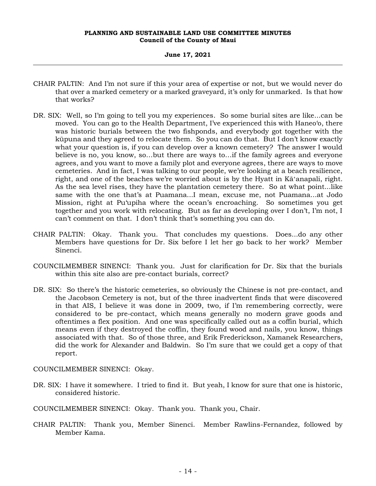## **June 17, 2021**

- CHAIR PALTIN: And I'm not sure if this your area of expertise or not, but we would never do that over a marked cemetery or a marked graveyard, it's only for unmarked. Is that how that works?
- DR. SIX: Well, so I'm going to tell you my experiences. So some burial sites are like...can be moved. You can go to the Health Department, I've experienced this with Haneo'o, there was historic burials between the two fishponds, and everybody got together with the kūpuna and they agreed to relocate them. So you can do that. But I don't know exactly what your question is, if you can develop over a known cemetery? The answer I would believe is no, you know, so…but there are ways to…if the family agrees and everyone agrees, and you want to move a family plot and everyone agrees, there are ways to move cemeteries. And in fact, I was talking to our people, we're looking at a beach resilience, right, and one of the beaches we're worried about is by the Hyatt in Kāʻanapali, right. As the sea level rises, they have the plantation cemetery there. So at what point...like same with the one that's at Puamana...I mean, excuse me, not Puamana...at Jodo Mission, right at Pu'upiha where the ocean's encroaching. So sometimes you get together and you work with relocating. But as far as developing over I don't, I'm not, I can't comment on that. I don't think that's something you can do.
- CHAIR PALTIN: Okay. Thank you. That concludes my questions. Does...do any other Members have questions for Dr. Six before I let her go back to her work? Member Sinenci.
- COUNCILMEMBER SINENCI: Thank you. Just for clarification for Dr. Six that the burials within this site also are pre-contact burials, correct?
- DR. SIX: So there's the historic cemeteries, so obviously the Chinese is not pre-contact, and the Jacobson Cemetery is not, but of the three inadvertent finds that were discovered in that AIS, I believe it was done in 2009, two, if I'm remembering correctly, were considered to be pre-contact, which means generally no modern grave goods and oftentimes a flex position. And one was specifically called out as a coffin burial, which means even if they destroyed the coffin, they found wood and nails, you know, things associated with that. So of those three, and Erik Frederickson, Xamanek Researchers, did the work for Alexander and Baldwin. So I'm sure that we could get a copy of that report.

COUNCILMEMBER SINENCI: Okay.

DR. SIX: I have it somewhere. I tried to find it. But yeah, I know for sure that one is historic, considered historic.

COUNCILMEMBER SINENCI: Okay. Thank you. Thank you, Chair.

CHAIR PALTIN: Thank you, Member Sinenci. Member Rawlins-Fernandez, followed by Member Kama.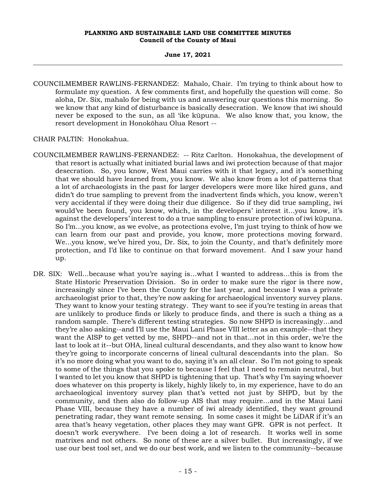# **June 17, 2021**

COUNCILMEMBER RAWLINS-FERNANDEZ: Mahalo, Chair. I'm trying to think about how to formulate my question. A few comments first, and hopefully the question will come. So aloha, Dr. Six, mahalo for being with us and answering our questions this morning. So we know that any kind of disturbance is basically desecration. We know that iwi should never be exposed to the sun, as all 'ike kūpuna. We also know that, you know, the resort development in Honokōhau Olua Resort --

CHAIR PALTIN: Honokahua.

- COUNCILMEMBER RAWLINS-FERNANDEZ: -- Ritz Carlton. Honokahua, the development of that resort is actually what initiated burial laws and iwi protection because of that major desecration. So, you know, West Maui carries with it that legacy, and it's something that we should have learned from, you know. We also know from a lot of patterns that a lot of archaeologists in the past for larger developers were more like hired guns, and didn't do true sampling to prevent from the inadvertent finds which, you know, weren't very accidental if they were doing their due diligence. So if they did true sampling, iwi would've been found, you know, which, in the developers' interest it...you know, it's against the developers' interest to do a true sampling to ensure protection of iwi kūpuna. So I'm...you know, as we evolve, as protections evolve, I'm just trying to think of how we can learn from our past and provide, you know, more protections moving forward. We...you know, we've hired you, Dr. Six, to join the County, and that's definitely more protection, and I'd like to continue on that forward movement. And I saw your hand up.
- DR. SIX: Well...because what you're saying is...what I wanted to address...this is from the State Historic Preservation Division. So in order to make sure the rigor is there now, increasingly since I've been the County for the last year, and because I was a private archaeologist prior to that, they're now asking for archaeological inventory survey plans. They want to know your testing strategy. They want to see if you're testing in areas that are unlikely to produce finds or likely to produce finds, and there is such a thing as a random sample. There's different testing strategies. So now SHPD is increasingly…and they're also asking--and I'll use the Maui Lani Phase VIII letter as an example--that they want the AISP to get vetted by me, SHPD--and not in that...not in this order, we're the last to look at it--but OHA, lineal cultural descendants, and they also want to know how they're going to incorporate concerns of lineal cultural descendants into the plan. So it's no more doing what you want to do, saying it's an all clear. So I'm not going to speak to some of the things that you spoke to because I feel that I need to remain neutral, but I wanted to let you know that SHPD is tightening that up. That's why I'm saying whoever does whatever on this property is likely, highly likely to, in my experience, have to do an archaeological inventory survey plan that's vetted not just by SHPD, but by the community, and then also do follow-up AIS that may require…and in the Maui Lani Phase VIII, because they have a number of iwi already identified, they want ground penetrating radar, they want remote sensing. In some cases it might be LiDAR if it's an area that's heavy vegetation, other places they may want GPR. GPR is not perfect. It doesn't work everywhere. I've been doing a lot of research. It works well in some matrixes and not others. So none of these are a silver bullet. But increasingly, if we use our best tool set, and we do our best work, and we listen to the community--because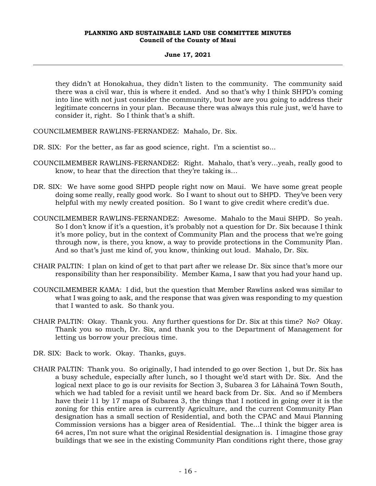# **June 17, 2021**

they didn't at Honokahua, they didn't listen to the community. The community said there was a civil war, this is where it ended. And so that's why I think SHPD's coming into line with not just consider the community, but how are you going to address their legitimate concerns in your plan. Because there was always this rule just, we'd have to consider it, right. So I think that's a shift.

COUNCILMEMBER RAWLINS-FERNANDEZ: Mahalo, Dr. Six.

- DR. SIX: For the better, as far as good science, right. I'm a scientist so...
- COUNCILMEMBER RAWLINS-FERNANDEZ: Right. Mahalo, that's very…yeah, really good to know, to hear that the direction that they're taking is…
- DR. SIX: We have some good SHPD people right now on Maui. We have some great people doing some really, really good work. So I want to shout out to SHPD. They've been very helpful with my newly created position. So I want to give credit where credit's due.
- COUNCILMEMBER RAWLINS-FERNANDEZ: Awesome. Mahalo to the Maui SHPD. So yeah. So I don't know if it's a question, it's probably not a question for Dr. Six because I think it's more policy, but in the context of Community Plan and the process that we're going through now, is there, you know, a way to provide protections in the Community Plan. And so that's just me kind of, you know, thinking out loud. Mahalo, Dr. Six.
- CHAIR PALTIN: I plan on kind of get to that part after we release Dr. Six since that's more our responsibility than her responsibility. Member Kama, I saw that you had your hand up.
- COUNCILMEMBER KAMA: I did, but the question that Member Rawlins asked was similar to what I was going to ask, and the response that was given was responding to my question that I wanted to ask. So thank you.
- CHAIR PALTIN: Okay. Thank you. Any further questions for Dr. Six at this time? No? Okay. Thank you so much, Dr. Six, and thank you to the Department of Management for letting us borrow your precious time.
- DR. SIX: Back to work. Okay. Thanks, guys.
- CHAIR PALTIN: Thank you. So originally, I had intended to go over Section 1, but Dr. Six has a busy schedule, especially after lunch, so I thought we'd start with Dr. Six. And the logical next place to go is our revisits for Section 3, Subarea 3 for Lāhainā Town South, which we had tabled for a revisit until we heard back from Dr. Six. And so if Members have their 11 by 17 maps of Subarea 3, the things that I noticed in going over it is the zoning for this entire area is currently Agriculture, and the current Community Plan designation has a small section of Residential, and both the CPAC and Maui Planning Commission versions has a bigger area of Residential. The...I think the bigger area is 64 acres, I'm not sure what the original Residential designation is. I imagine those gray buildings that we see in the existing Community Plan conditions right there, those gray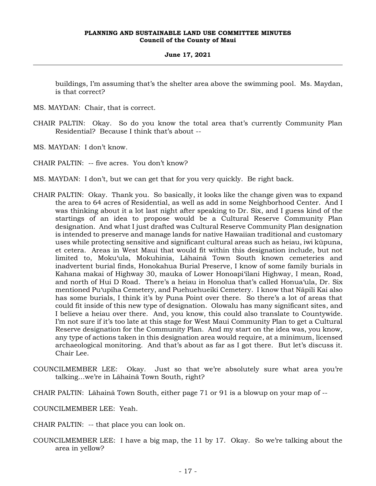# **June 17, 2021**

buildings, I'm assuming that's the shelter area above the swimming pool. Ms. Maydan, is that correct?

- MS. MAYDAN: Chair, that is correct.
- CHAIR PALTIN: Okay. So do you know the total area that's currently Community Plan Residential? Because I think that's about --
- MS. MAYDAN: I don't know.
- CHAIR PALTIN: -- five acres. You don't know?
- MS. MAYDAN: I don't, but we can get that for you very quickly. Be right back.
- CHAIR PALTIN: Okay. Thank you. So basically, it looks like the change given was to expand the area to 64 acres of Residential, as well as add in some Neighborhood Center. And I was thinking about it a lot last night after speaking to Dr. Six, and I guess kind of the startings of an idea to propose would be a Cultural Reserve Community Plan designation. And what I just drafted was Cultural Reserve Community Plan designation is intended to preserve and manage lands for native Hawaiian traditional and customary uses while protecting sensitive and significant cultural areas such as heiau, iwi kūpuna, et cetera. Areas in West Maui that would fit within this designation include, but not limited to, Moku'ula, Mokuhinia, Lāhainā Town South known cemeteries and inadvertent burial finds, Honokahua Burial Preserve, I know of some family burials in Kahana makai of Highway 30, mauka of Lower Honoapi'ilani Highway, I mean, Road, and north of Hui D Road. There's a heiau in Honolua that's called Honua'ula, Dr. Six mentioned Pu'upiha Cemetery, and Puehuehueiki Cemetery. I know that Nāpili Kai also has some burials, I think it's by Puna Point over there. So there's a lot of areas that could fit inside of this new type of designation. Olowalu has many significant sites, and I believe a heiau over there. And, you know, this could also translate to Countywide. I'm not sure if it's too late at this stage for West Maui Community Plan to get a Cultural Reserve designation for the Community Plan. And my start on the idea was, you know, any type of actions taken in this designation area would require, at a minimum, licensed archaeological monitoring. And that's about as far as I got there. But let's discuss it. Chair Lee.
- COUNCILMEMBER LEE: Okay. Just so that we're absolutely sure what area you're talking…we're in Lāhainā Town South, right?
- CHAIR PALTIN: Lāhainā Town South, either page 71 or 91 is a blowup on your map of --
- COUNCILMEMBER LEE: Yeah.
- CHAIR PALTIN: -- that place you can look on.
- COUNCILMEMBER LEE: I have a big map, the 11 by 17. Okay. So we're talking about the area in yellow?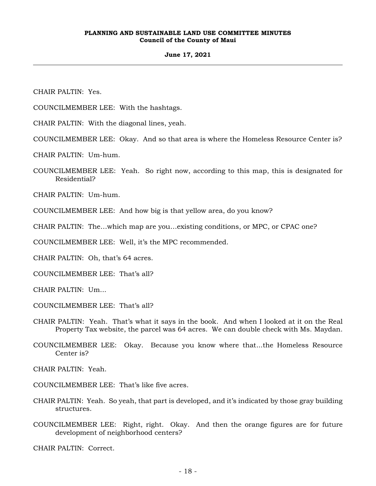# **June 17, 2021**

CHAIR PALTIN: Yes.

COUNCILMEMBER LEE: With the hashtags.

CHAIR PALTIN: With the diagonal lines, yeah.

COUNCILMEMBER LEE: Okay. And so that area is where the Homeless Resource Center is?

CHAIR PALTIN: Um-hum.

COUNCILMEMBER LEE: Yeah. So right now, according to this map, this is designated for Residential?

CHAIR PALTIN: Um-hum.

COUNCILMEMBER LEE: And how big is that yellow area, do you know?

CHAIR PALTIN: The…which map are you…existing conditions, or MPC, or CPAC one?

COUNCILMEMBER LEE: Well, it's the MPC recommended.

CHAIR PALTIN: Oh, that's 64 acres.

COUNCILMEMBER LEE: That's all?

CHAIR PALTIN: Um...

- COUNCILMEMBER LEE: That's all?
- CHAIR PALTIN: Yeah. That's what it says in the book. And when I looked at it on the Real Property Tax website, the parcel was 64 acres. We can double check with Ms. Maydan.
- COUNCILMEMBER LEE: Okay. Because you know where that...the Homeless Resource Center is?

CHAIR PALTIN: Yeah.

- COUNCILMEMBER LEE: That's like five acres.
- CHAIR PALTIN: Yeah. So yeah, that part is developed, and it's indicated by those gray building structures.
- COUNCILMEMBER LEE: Right, right. Okay. And then the orange figures are for future development of neighborhood centers?

CHAIR PALTIN: Correct.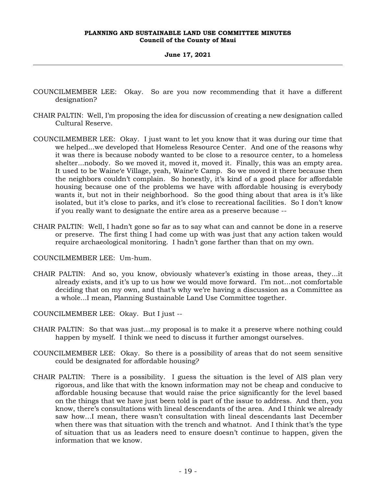#### **June 17, 2021**

- COUNCILMEMBER LEE: Okay. So are you now recommending that it have a different designation?
- CHAIR PALTIN: Well, I'm proposing the idea for discussion of creating a new designation called Cultural Reserve.
- COUNCILMEMBER LEE: Okay. I just want to let you know that it was during our time that we helped...we developed that Homeless Resource Center. And one of the reasons why it was there is because nobody wanted to be close to a resource center, to a homeless shelter...nobody. So we moved it, moved it, moved it. Finally, this was an empty area. It used to be Waine'e Village, yeah, Waine'e Camp. So we moved it there because then the neighbors couldn't complain. So honestly, it's kind of a good place for affordable housing because one of the problems we have with affordable housing is everybody wants it, but not in their neighborhood. So the good thing about that area is it's like isolated, but it's close to parks, and it's close to recreational facilities. So I don't know if you really want to designate the entire area as a preserve because --
- CHAIR PALTIN: Well, I hadn't gone so far as to say what can and cannot be done in a reserve or preserve. The first thing I had come up with was just that any action taken would require archaeological monitoring. I hadn't gone farther than that on my own.
- COUNCILMEMBER LEE: Um-hum.
- CHAIR PALTIN: And so, you know, obviously whatever's existing in those areas, they...it already exists, and it's up to us how we would move forward. I'm not…not comfortable deciding that on my own, and that's why we're having a discussion as a Committee as a whole...I mean, Planning Sustainable Land Use Committee together.
- COUNCILMEMBER LEE: Okay. But I just --
- CHAIR PALTIN: So that was just…my proposal is to make it a preserve where nothing could happen by myself. I think we need to discuss it further amongst ourselves.
- COUNCILMEMBER LEE: Okay. So there is a possibility of areas that do not seem sensitive could be designated for affordable housing?
- CHAIR PALTIN: There is a possibility. I guess the situation is the level of AIS plan very rigorous, and like that with the known information may not be cheap and conducive to affordable housing because that would raise the price significantly for the level based on the things that we have just been told is part of the issue to address. And then, you know, there's consultations with lineal descendants of the area. And I think we already saw how…I mean, there wasn't consultation with lineal descendants last December when there was that situation with the trench and whatnot. And I think that's the type of situation that us as leaders need to ensure doesn't continue to happen, given the information that we know.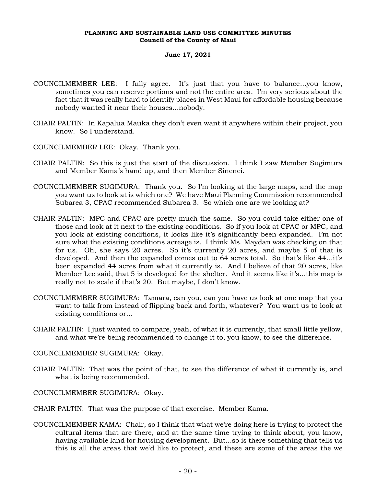# **June 17, 2021**

- COUNCILMEMBER LEE: I fully agree. It's just that you have to balance...you know, sometimes you can reserve portions and not the entire area. I'm very serious about the fact that it was really hard to identify places in West Maui for affordable housing because nobody wanted it near their houses...nobody.
- CHAIR PALTIN: In Kapalua Mauka they don't even want it anywhere within their project, you know. So I understand.
- COUNCILMEMBER LEE: Okay. Thank you.
- CHAIR PALTIN: So this is just the start of the discussion. I think I saw Member Sugimura and Member Kama's hand up, and then Member Sinenci.
- COUNCILMEMBER SUGIMURA: Thank you. So I'm looking at the large maps, and the map you want us to look at is which one? We have Maui Planning Commission recommended Subarea 3, CPAC recommended Subarea 3. So which one are we looking at?
- CHAIR PALTIN: MPC and CPAC are pretty much the same. So you could take either one of those and look at it next to the existing conditions. So if you look at CPAC or MPC, and you look at existing conditions, it looks like it's significantly been expanded. I'm not sure what the existing conditions acreage is. I think Ms. Maydan was checking on that for us. Oh, she says 20 acres. So it's currently 20 acres, and maybe 5 of that is developed. And then the expanded comes out to 64 acres total. So that's like 44...it's been expanded 44 acres from what it currently is. And I believe of that 20 acres, like Member Lee said, that 5 is developed for the shelter. And it seems like it's...this map is really not to scale if that's 20. But maybe, I don't know.
- COUNCILMEMBER SUGIMURA: Tamara, can you, can you have us look at one map that you want to talk from instead of flipping back and forth, whatever? You want us to look at existing conditions or…
- CHAIR PALTIN: I just wanted to compare, yeah, of what it is currently, that small little yellow, and what we're being recommended to change it to, you know, to see the difference.
- COUNCILMEMBER SUGIMURA: Okay.
- CHAIR PALTIN: That was the point of that, to see the difference of what it currently is, and what is being recommended.
- COUNCILMEMBER SUGIMURA: Okay.
- CHAIR PALTIN: That was the purpose of that exercise. Member Kama.
- COUNCILMEMBER KAMA: Chair, so I think that what we're doing here is trying to protect the cultural items that are there, and at the same time trying to think about, you know, having available land for housing development. But...so is there something that tells us this is all the areas that we'd like to protect, and these are some of the areas the we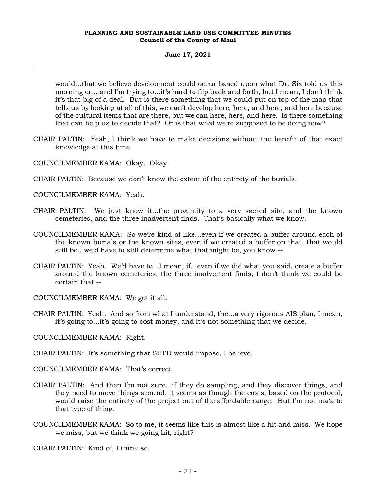# **June 17, 2021**

would...that we believe development could occur based upon what Dr. Six told us this morning on…and I'm trying to...it's hard to flip back and forth, but I mean, I don't think it's that big of a deal. But is there something that we could put on top of the map that tells us by looking at all of this, we can't develop here, here, and here, and here because of the cultural items that are there, but we can here, here, and here. Is there something that can help us to decide that? Or is that what we're supposed to be doing now?

- CHAIR PALTIN: Yeah, I think we have to make decisions without the benefit of that exact knowledge at this time.
- COUNCILMEMBER KAMA: Okay. Okay.
- CHAIR PALTIN: Because we don't know the extent of the entirety of the burials.
- COUNCILMEMBER KAMA: Yeah.
- CHAIR PALTIN: We just know it...the proximity to a very sacred site, and the known cemeteries, and the three inadvertent finds. That's basically what we know.
- COUNCILMEMBER KAMA: So we're kind of like...even if we created a buffer around each of the known burials or the known sites, even if we created a buffer on that, that would still be…we'd have to still determine what that might be, you know --
- CHAIR PALTIN: Yeah. We'd have to...I mean, if…even if we did what you said, create a buffer around the known cemeteries, the three inadvertent finds, I don't think we could be certain that --
- COUNCILMEMBER KAMA: We got it all.
- CHAIR PALTIN: Yeah. And so from what I understand, the...a very rigorous AIS plan, I mean, it's going to...it's going to cost money, and it's not something that we decide.
- COUNCILMEMBER KAMA: Right.
- CHAIR PALTIN: It's something that SHPD would impose, I believe.
- COUNCILMEMBER KAMA: That's correct.
- CHAIR PALTIN: And then I'm not sure...if they do sampling, and they discover things, and they need to move things around, it seems as though the costs, based on the protocol, would raise the entirety of the project out of the affordable range. But I'm not ma'a to that type of thing.
- COUNCILMEMBER KAMA: So to me, it seems like this is almost like a hit and miss. We hope we miss, but we think we going hit, right?
- CHAIR PALTIN: Kind of, I think so.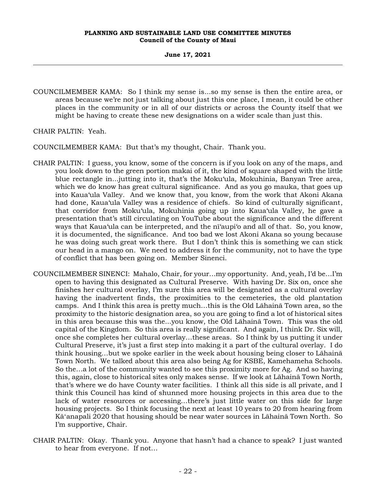# **June 17, 2021**

COUNCILMEMBER KAMA: So I think my sense is...so my sense is then the entire area, or areas because we're not just talking about just this one place, I mean, it could be other places in the community or in all of our districts or across the County itself that we might be having to create these new designations on a wider scale than just this.

CHAIR PALTIN: Yeah.

COUNCILMEMBER KAMA: But that's my thought, Chair. Thank you.

- CHAIR PALTIN: I guess, you know, some of the concern is if you look on any of the maps, and you look down to the green portion makai of it, the kind of square shaped with the little blue rectangle in...jutting into it, that's the Moku'ula, Mokuhinia, Banyan Tree area, which we do know has great cultural significance. And as you go mauka, that goes up into Kaua'ula Valley. And we know that, you know, from the work that Akoni Akana had done, Kaua'ula Valley was a residence of chiefs. So kind of culturally significant, that corridor from Moku'ula, Mokuhinia going up into Kaua'ula Valley, he gave a presentation that's still circulating on YouTube about the significance and the different ways that Kaua'ula can be interpreted, and the nī'aupi'o and all of that. So, you know, it is documented, the significance. And too bad we lost Akoni Akana so young because he was doing such great work there. But I don't think this is something we can stick our head in a mango on. We need to address it for the community, not to have the type of conflict that has been going on. Member Sinenci.
- COUNCILMEMBER SINENCI: Mahalo, Chair, for your…my opportunity. And, yeah, I'd be…I'm open to having this designated as Cultural Preserve. With having Dr. Six on, once she finishes her cultural overlay, I'm sure this area will be designated as a cultural overlay having the inadvertent finds, the proximities to the cemeteries, the old plantation camps. And I think this area is pretty much…this is the Old Lāhainā Town area, so the proximity to the historic designation area, so you are going to find a lot of historical sites in this area because this was the...you know, the Old Lāhainā Town. This was the old capital of the Kingdom. So this area is really significant. And again, I think Dr. Six will, once she completes her cultural overlay…these areas. So I think by us putting it under Cultural Preserve, it's just a first step into making it a part of the cultural overlay. I do think housing…but we spoke earlier in the week about housing being closer to Lāhainā Town North. We talked about this area also being Ag for KSBE, Kamehameha Schools. So the…a lot of the community wanted to see this proximity more for Ag. And so having this, again, close to historical sites only makes sense. If we look at Lāhainā Town North, that's where we do have County water facilities. I think all this side is all private, and I think this Council has kind of shunned more housing projects in this area due to the lack of water resources or accessing…there's just little water on this side for large housing projects. So I think focusing the next at least 10 years to 20 from hearing from Kāʻanapali 2020 that housing should be near water sources in Lāhainā Town North. So I'm supportive, Chair.
- CHAIR PALTIN: Okay. Thank you. Anyone that hasn't had a chance to speak? I just wanted to hear from everyone. If not…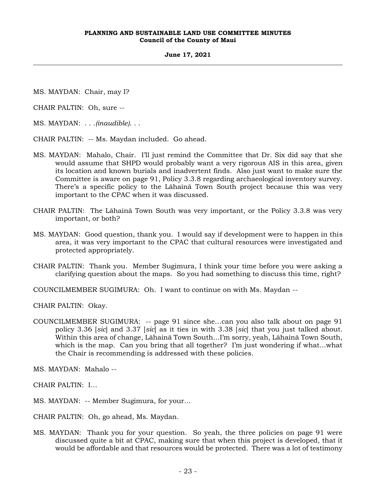**June 17, 2021**

MS. MAYDAN: Chair, may I?

CHAIR PALTIN: Oh, sure --

- MS. MAYDAN: . . .*(inaudible)*. . .
- CHAIR PALTIN: -- Ms. Maydan included. Go ahead.
- MS. MAYDAN: Mahalo, Chair. I'll just remind the Committee that Dr. Six did say that she would assume that SHPD would probably want a very rigorous AIS in this area, given its location and known burials and inadvertent finds. Also just want to make sure the Committee is aware on page 91, Policy 3.3.8 regarding archaeological inventory survey. There's a specific policy to the Lāhainā Town South project because this was very important to the CPAC when it was discussed.
- CHAIR PALTIN: The Lāhainā Town South was very important, or the Policy 3.3.8 was very important, or both?
- MS. MAYDAN: Good question, thank you. I would say if development were to happen in this area, it was very important to the CPAC that cultural resources were investigated and protected appropriately.
- CHAIR PALTIN: Thank you. Member Sugimura, I think your time before you were asking a clarifying question about the maps. So you had something to discuss this time, right?

COUNCILMEMBER SUGIMURA: Oh. I want to continue on with Ms. Maydan --

CHAIR PALTIN: Okay.

COUNCILMEMBER SUGIMURA: -- page 91 since she…can you also talk about on page 91 policy 3.36 [*sic*] and 3.37 [*sic*] as it ties in with 3.38 [*sic*] that you just talked about. Within this area of change, Lāhainā Town South…I'm sorry, yeah, Lāhainā Town South, which is the map. Can you bring that all together? I'm just wondering if what…what the Chair is recommending is addressed with these policies.

MS. MAYDAN: Mahalo --

CHAIR PALTIN: I…

MS. MAYDAN: -- Member Sugimura, for your…

CHAIR PALTIN: Oh, go ahead, Ms. Maydan.

MS. MAYDAN: Thank you for your question. So yeah, the three policies on page 91 were discussed quite a bit at CPAC, making sure that when this project is developed, that it would be affordable and that resources would be protected. There was a lot of testimony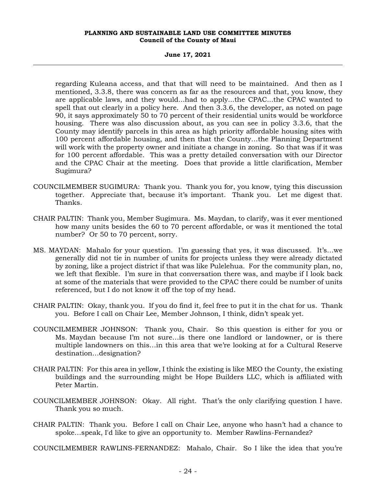**June 17, 2021**

regarding Kuleana access, and that that will need to be maintained. And then as I mentioned, 3.3.8, there was concern as far as the resources and that, you know, they are applicable laws, and they would...had to apply...the CPAC...the CPAC wanted to spell that out clearly in a policy here. And then 3.3.6, the developer, as noted on page 90, it says approximately 50 to 70 percent of their residential units would be workforce housing. There was also discussion about, as you can see in policy 3.3.6, that the County may identify parcels in this area as high priority affordable housing sites with 100 percent affordable housing, and then that the County…the Planning Department will work with the property owner and initiate a change in zoning. So that was if it was for 100 percent affordable. This was a pretty detailed conversation with our Director and the CPAC Chair at the meeting. Does that provide a little clarification, Member Sugimura?

- COUNCILMEMBER SUGIMURA: Thank you. Thank you for, you know, tying this discussion together. Appreciate that, because it's important. Thank you. Let me digest that. Thanks.
- CHAIR PALTIN: Thank you, Member Sugimura. Ms. Maydan, to clarify, was it ever mentioned how many units besides the 60 to 70 percent affordable, or was it mentioned the total number? Or 50 to 70 percent, sorry.
- MS. MAYDAN: Mahalo for your question. I'm guessing that yes, it was discussed. It's…we generally did not tie in number of units for projects unless they were already dictated by zoning, like a project district if that was like Pulelehua. For the community plan, no, we left that flexible. I'm sure in that conversation there was, and maybe if I look back at some of the materials that were provided to the CPAC there could be number of units referenced, but I do not know it off the top of my head.
- CHAIR PALTIN: Okay, thank you. If you do find it, feel free to put it in the chat for us. Thank you. Before I call on Chair Lee, Member Johnson, I think, didn't speak yet.
- COUNCILMEMBER JOHNSON: Thank you, Chair. So this question is either for you or Ms. Maydan because I'm not sure…is there one landlord or landowner, or is there multiple landowners on this…in this area that we're looking at for a Cultural Reserve destination…designation?
- CHAIR PALTIN: For this area in yellow, I think the existing is like MEO the County, the existing buildings and the surrounding might be Hope Builders LLC, which is affiliated with Peter Martin.
- COUNCILMEMBER JOHNSON: Okay. All right. That's the only clarifying question I have. Thank you so much.
- CHAIR PALTIN: Thank you. Before I call on Chair Lee, anyone who hasn't had a chance to spoke…speak, I'd like to give an opportunity to. Member Rawlins-Fernandez?
- COUNCILMEMBER RAWLINS-FERNANDEZ: Mahalo, Chair. So I like the idea that you're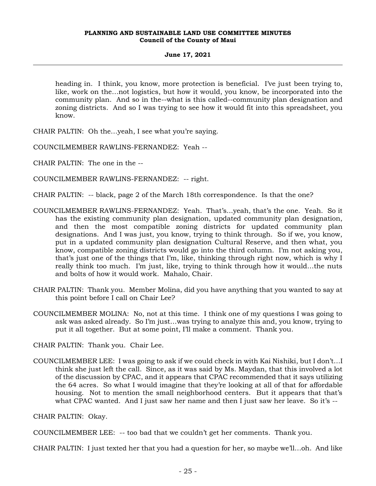# **June 17, 2021**

heading in. I think, you know, more protection is beneficial. I've just been trying to, like, work on the…not logistics, but how it would, you know, be incorporated into the community plan. And so in the--what is this called--community plan designation and zoning districts. And so I was trying to see how it would fit into this spreadsheet, you know.

CHAIR PALTIN: Oh the…yeah, I see what you're saying.

COUNCILMEMBER RAWLINS-FERNANDEZ: Yeah --

CHAIR PALTIN: The one in the --

COUNCILMEMBER RAWLINS-FERNANDEZ: -- right.

CHAIR PALTIN: -- black, page 2 of the March 18th correspondence. Is that the one?

- COUNCILMEMBER RAWLINS-FERNANDEZ: Yeah. That's...yeah, that's the one. Yeah. So it has the existing community plan designation, updated community plan designation, and then the most compatible zoning districts for updated community plan designations. And I was just, you know, trying to think through. So if we, you know, put in a updated community plan designation Cultural Reserve, and then what, you know, compatible zoning districts would go into the third column. I'm not asking you, that's just one of the things that I'm, like, thinking through right now, which is why I really think too much. I'm just, like, trying to think through how it would…the nuts and bolts of how it would work. Mahalo, Chair.
- CHAIR PALTIN: Thank you. Member Molina, did you have anything that you wanted to say at this point before I call on Chair Lee?
- COUNCILMEMBER MOLINA: No, not at this time. I think one of my questions I was going to ask was asked already. So I'm just…was trying to analyze this and, you know, trying to put it all together. But at some point, I'll make a comment. Thank you.

CHAIR PALTIN: Thank you. Chair Lee.

COUNCILMEMBER LEE: I was going to ask if we could check in with Kai Nishiki, but I don't…I think she just left the call. Since, as it was said by Ms. Maydan, that this involved a lot of the discussion by CPAC, and it appears that CPAC recommended that it says utilizing the 64 acres. So what I would imagine that they're looking at all of that for affordable housing. Not to mention the small neighborhood centers. But it appears that that's what CPAC wanted. And I just saw her name and then I just saw her leave. So it's --

CHAIR PALTIN: Okay.

COUNCILMEMBER LEE: -- too bad that we couldn't get her comments. Thank you.

CHAIR PALTIN: I just texted her that you had a question for her, so maybe we'll…oh. And like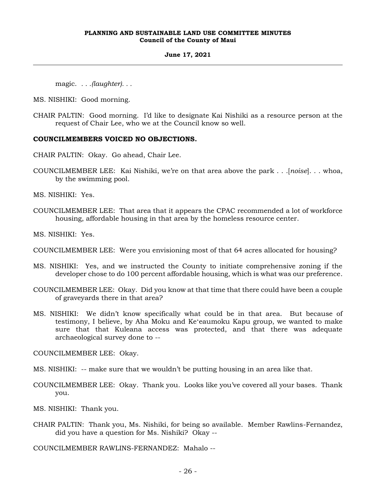#### **June 17, 2021**

magic. *. . .(laughter). . .*

MS. NISHIKI: Good morning.

CHAIR PALTIN: Good morning. I'd like to designate Kai Nishiki as a resource person at the request of Chair Lee, who we at the Council know so well.

# **COUNCILMEMBERS VOICED NO OBJECTIONS.**

CHAIR PALTIN: Okay. Go ahead, Chair Lee.

COUNCILMEMBER LEE: Kai Nishiki, we're on that area above the park . . .[*noise*]. . . whoa, by the swimming pool.

MS. NISHIKI: Yes.

COUNCILMEMBER LEE: That area that it appears the CPAC recommended a lot of workforce housing, affordable housing in that area by the homeless resource center.

MS. NISHIKI: Yes.

- COUNCILMEMBER LEE: Were you envisioning most of that 64 acres allocated for housing?
- MS. NISHIKI: Yes, and we instructed the County to initiate comprehensive zoning if the developer chose to do 100 percent affordable housing, which is what was our preference.
- COUNCILMEMBER LEE: Okay. Did you know at that time that there could have been a couple of graveyards there in that area?
- MS. NISHIKI: We didn't know specifically what could be in that area. But because of testimony, I believe, by Aha Moku and Keʻeaumoku Kapu group, we wanted to make sure that that Kuleana access was protected, and that there was adequate archaeological survey done to --

COUNCILMEMBER LEE: Okay.

- MS. NISHIKI: -- make sure that we wouldn't be putting housing in an area like that.
- COUNCILMEMBER LEE: Okay. Thank you. Looks like you've covered all your bases. Thank you.

MS. NISHIKI: Thank you.

CHAIR PALTIN: Thank you, Ms. Nishiki, for being so available. Member Rawlins-Fernandez, did you have a question for Ms. Nishiki? Okay --

COUNCILMEMBER RAWLINS-FERNANDEZ: Mahalo --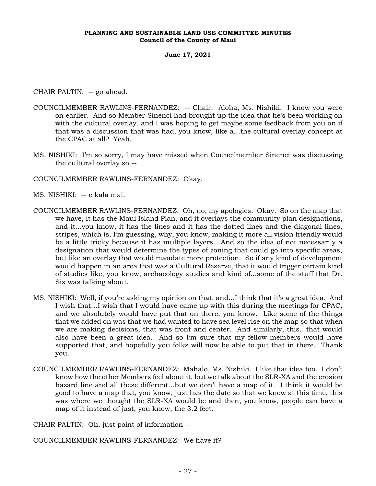# **June 17, 2021**

CHAIR PALTIN: -- go ahead.

- COUNCILMEMBER RAWLINS-FERNANDEZ: -- Chair. Aloha, Ms. Nishiki. I know you were on earlier. And so Member Sinenci had brought up the idea that he's been working on with the cultural overlay, and I was hoping to get maybe some feedback from you on if that was a discussion that was had, you know, like a…the cultural overlay concept at the CPAC at all? Yeah.
- MS. NISHIKI: I'm so sorry, I may have missed when Councilmember Sinenci was discussing the cultural overlay so --

COUNCILMEMBER RAWLINS-FERNANDEZ: Okay.

- MS. NISHIKI: -- e kala mai.
- COUNCILMEMBER RAWLINS-FERNANDEZ: Oh, no, my apologies. Okay. So on the map that we have, it has the Maui Island Plan, and it overlays the community plan designations, and it...you know, it has the lines and it has the dotted lines and the diagonal lines, stripes, which is, I'm guessing, why, you know, making it more all vision friendly would be a little tricky because it has multiple layers. And so the idea of not necessarily a designation that would determine the types of zoning that could go into specific areas, but like an overlay that would mandate more protection. So if any kind of development would happen in an area that was a Cultural Reserve, that it would trigger certain kind of studies like, you know, archaeology studies and kind of...some of the stuff that Dr. Six was talking about.
- MS. NISHIKI: Well, if you're asking my opinion on that, and...I think that it's a great idea. And I wish that…I wish that I would have came up with this during the meetings for CPAC, and we absolutely would have put that on there, you know. Like some of the things that we added on was that we had wanted to have sea level rise on the map so that when we are making decisions, that was front and center. And similarly, this…that would also have been a great idea. And so I'm sure that my fellow members would have supported that, and hopefully you folks will now be able to put that in there. Thank you.
- COUNCILMEMBER RAWLINS-FERNANDEZ: Mahalo, Ms. Nishiki. I like that idea too. I don't know how the other Members feel about it, but we talk about the SLR-XA and the erosion hazard line and all these different…but we don't have a map of it. I think it would be good to have a map that, you know, just has the date so that we know at this time, this was where we thought the SLR-XA would be and then, you know, people can have a map of it instead of just, you know, the 3.2 feet.

CHAIR PALTIN: Oh, just point of information --

COUNCILMEMBER RAWLINS-FERNANDEZ: We have it?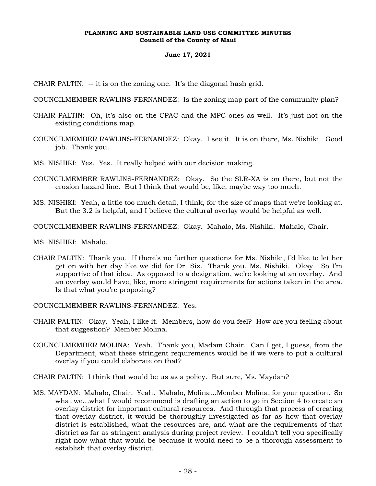# **June 17, 2021**

CHAIR PALTIN: -- it is on the zoning one. It's the diagonal hash grid.

COUNCILMEMBER RAWLINS-FERNANDEZ: Is the zoning map part of the community plan?

- CHAIR PALTIN: Oh, it's also on the CPAC and the MPC ones as well. It's just not on the existing conditions map.
- COUNCILMEMBER RAWLINS-FERNANDEZ: Okay. I see it. It is on there, Ms. Nishiki. Good job. Thank you.
- MS. NISHIKI: Yes. Yes. It really helped with our decision making.
- COUNCILMEMBER RAWLINS-FERNANDEZ: Okay. So the SLR-XA is on there, but not the erosion hazard line. But I think that would be, like, maybe way too much.
- MS. NISHIKI: Yeah, a little too much detail, I think, for the size of maps that we're looking at. But the 3.2 is helpful, and I believe the cultural overlay would be helpful as well.
- COUNCILMEMBER RAWLINS-FERNANDEZ: Okay. Mahalo, Ms. Nishiki. Mahalo, Chair.
- MS. NISHIKI: Mahalo.
- CHAIR PALTIN: Thank you. If there's no further questions for Ms. Nishiki, I'd like to let her get on with her day like we did for Dr. Six. Thank you, Ms. Nishiki. Okay. So I'm supportive of that idea. As opposed to a designation, we're looking at an overlay. And an overlay would have, like, more stringent requirements for actions taken in the area. Is that what you're proposing?
- COUNCILMEMBER RAWLINS-FERNANDEZ: Yes.
- CHAIR PALTIN: Okay. Yeah, I like it. Members, how do you feel? How are you feeling about that suggestion? Member Molina.
- COUNCILMEMBER MOLINA: Yeah. Thank you, Madam Chair. Can I get, I guess, from the Department, what these stringent requirements would be if we were to put a cultural overlay if you could elaborate on that?
- CHAIR PALTIN: I think that would be us as a policy. But sure, Ms. Maydan?
- MS. MAYDAN: Mahalo, Chair. Yeah. Mahalo, Molina…Member Molina, for your question. So what we…what I would recommend is drafting an action to go in Section 4 to create an overlay district for important cultural resources. And through that process of creating that overlay district, it would be thoroughly investigated as far as how that overlay district is established, what the resources are, and what are the requirements of that district as far as stringent analysis during project review. I couldn't tell you specifically right now what that would be because it would need to be a thorough assessment to establish that overlay district.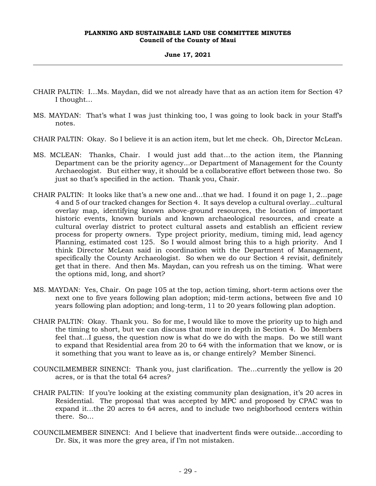# **June 17, 2021**

- CHAIR PALTIN: I…Ms. Maydan, did we not already have that as an action item for Section 4? I thought…
- MS. MAYDAN: That's what I was just thinking too, I was going to look back in your Staff's notes.
- CHAIR PALTIN: Okay. So I believe it is an action item, but let me check. Oh, Director McLean.
- MS. MCLEAN: Thanks, Chair. I would just add that…to the action item, the Planning Department can be the priority agency...or Department of Management for the County Archaeologist. But either way, it should be a collaborative effort between those two. So just so that's specified in the action. Thank you, Chair.
- CHAIR PALTIN: It looks like that's a new one and…that we had. I found it on page 1, 2…page 4 and 5 of our tracked changes for Section 4. It says develop a cultural overlay...cultural overlay map, identifying known above-ground resources, the location of important historic events, known burials and known archaeological resources, and create a cultural overlay district to protect cultural assets and establish an efficient review process for property owners. Type project priority, medium, timing mid, lead agency Planning, estimated cost 125. So I would almost bring this to a high priority. And I think Director McLean said in coordination with the Department of Management, specifically the County Archaeologist. So when we do our Section 4 revisit, definitely get that in there. And then Ms. Maydan, can you refresh us on the timing. What were the options mid, long, and short?
- MS. MAYDAN: Yes, Chair. On page 105 at the top, action timing, short-term actions over the next one to five years following plan adoption; mid-term actions, between five and 10 years following plan adoption; and long-term, 11 to 20 years following plan adoption.
- CHAIR PALTIN: Okay. Thank you. So for me, I would like to move the priority up to high and the timing to short, but we can discuss that more in depth in Section 4. Do Members feel that...I guess, the question now is what do we do with the maps. Do we still want to expand that Residential area from 20 to 64 with the information that we know, or is it something that you want to leave as is, or change entirely? Member Sinenci.
- COUNCILMEMBER SINENCI: Thank you, just clarification. The…currently the yellow is 20 acres, or is that the total 64 acres?
- CHAIR PALTIN: If you're looking at the existing community plan designation, it's 20 acres in Residential. The proposal that was accepted by MPC and proposed by CPAC was to expand it…the 20 acres to 64 acres, and to include two neighborhood centers within there. So…
- COUNCILMEMBER SINENCI: And I believe that inadvertent finds were outside…according to Dr. Six, it was more the grey area, if I'm not mistaken.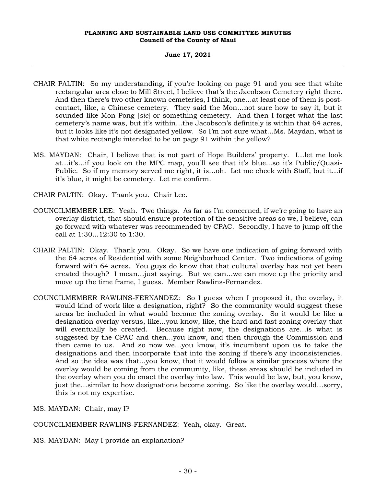# **June 17, 2021**

- CHAIR PALTIN: So my understanding, if you're looking on page 91 and you see that white rectangular area close to Mill Street, I believe that's the Jacobson Cemetery right there. And then there's two other known cemeteries, I think, one…at least one of them is postcontact, like, a Chinese cemetery. They said the Mon…not sure how to say it, but it sounded like Mon Pong [*sic*] or something cemetery. And then I forget what the last cemetery's name was, but it's within…the Jacobson's definitely is within that 64 acres, but it looks like it's not designated yellow. So I'm not sure what…Ms. Maydan, what is that white rectangle intended to be on page 91 within the yellow?
- MS. MAYDAN: Chair, I believe that is not part of Hope Builders' property. I…let me look at…it's…if you look on the MPC map, you'll see that it's blue...so it's Public/Quasi-Public. So if my memory served me right, it is…oh. Let me check with Staff, but it…if it's blue, it might be cemetery. Let me confirm.
- CHAIR PALTIN: Okay. Thank you. Chair Lee.
- COUNCILMEMBER LEE: Yeah. Two things. As far as I'm concerned, if we're going to have an overlay district, that should ensure protection of the sensitive areas so we, I believe, can go forward with whatever was recommended by CPAC. Secondly, I have to jump off the call at 1:30...12:30 to 1:30.
- CHAIR PALTIN: Okay. Thank you. Okay. So we have one indication of going forward with the 64 acres of Residential with some Neighborhood Center. Two indications of going forward with 64 acres. You guys do know that that cultural overlay has not yet been created though? I mean…just saying. But we can…we can move up the priority and move up the time frame, I guess. Member Rawlins-Fernandez.
- COUNCILMEMBER RAWLINS-FERNANDEZ: So I guess when I proposed it, the overlay, it would kind of work like a designation, right? So the community would suggest these areas be included in what would become the zoning overlay. So it would be like a designation overlay versus, like...you know, like, the hard and fast zoning overlay that will eventually be created. Because right now, the designations are…is what is suggested by the CPAC and then...you know, and then through the Commission and then came to us. And so now we…you know, it's incumbent upon us to take the designations and then incorporate that into the zoning if there's any inconsistencies. And so the idea was that...you know, that it would follow a similar process where the overlay would be coming from the community, like, these areas should be included in the overlay when you do enact the overlay into law. This would be law, but, you know, just the…similar to how designations become zoning. So like the overlay would…sorry, this is not my expertise.

MS. MAYDAN: Chair, may I?

COUNCILMEMBER RAWLINS-FERNANDEZ: Yeah, okay. Great.

MS. MAYDAN: May I provide an explanation?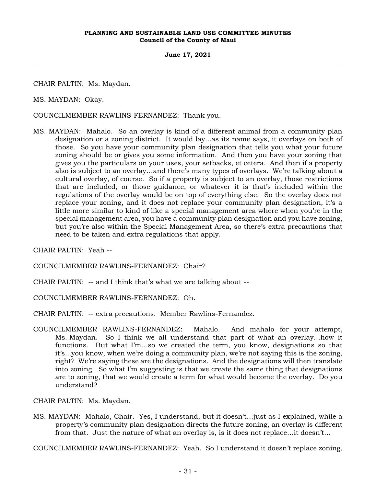## **June 17, 2021**

CHAIR PALTIN: Ms. Maydan.

MS. MAYDAN: Okay.

COUNCILMEMBER RAWLINS-FERNANDEZ: Thank you.

MS. MAYDAN: Mahalo. So an overlay is kind of a different animal from a community plan designation or a zoning district. It would lay...as its name says, it overlays on both of those. So you have your community plan designation that tells you what your future zoning should be or gives you some information. And then you have your zoning that gives you the particulars on your uses, your setbacks, et cetera. And then if a property also is subject to an overlay…and there's many types of overlays. We're talking about a cultural overlay, of course. So if a property is subject to an overlay, those restrictions that are included, or those guidance, or whatever it is that's included within the regulations of the overlay would be on top of everything else. So the overlay does not replace your zoning, and it does not replace your community plan designation, it's a little more similar to kind of like a special management area where when you're in the special management area, you have a community plan designation and you have zoning, but you're also within the Special Management Area, so there's extra precautions that need to be taken and extra regulations that apply.

CHAIR PALTIN: Yeah --

COUNCILMEMBER RAWLINS-FERNANDEZ: Chair?

CHAIR PALTIN: -- and I think that's what we are talking about --

COUNCILMEMBER RAWLINS-FERNANDEZ: Oh.

CHAIR PALTIN: -- extra precautions. Member Rawlins-Fernandez.

COUNCILMEMBER RAWLINS-FERNANDEZ: Mahalo. And mahalo for your attempt, Ms. Maydan. So I think we all understand that part of what an overlay…how it functions. But what I'm…so we created the term, you know, designations so that it's...you know, when we're doing a community plan, we're not saying this is the zoning, right? We're saying these are the designations. And the designations will then translate into zoning. So what I'm suggesting is that we create the same thing that designations are to zoning, that we would create a term for what would become the overlay. Do you understand?

CHAIR PALTIN: Ms. Maydan.

MS. MAYDAN: Mahalo, Chair. Yes, I understand, but it doesn't…just as I explained, while a property's community plan designation directs the future zoning, an overlay is different from that. Just the nature of what an overlay is, is it does not replace…it doesn't…

COUNCILMEMBER RAWLINS-FERNANDEZ: Yeah. So I understand it doesn't replace zoning,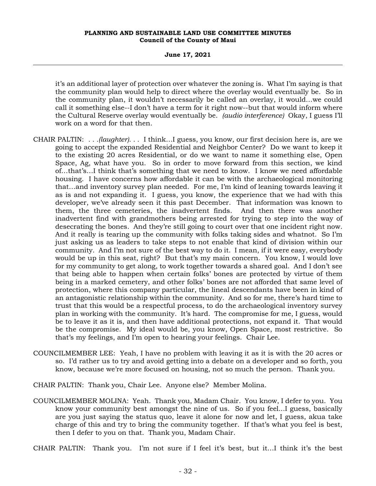#### **June 17, 2021**

it's an additional layer of protection over whatever the zoning is. What I'm saying is that the community plan would help to direct where the overlay would eventually be. So in the community plan, it wouldn't necessarily be called an overlay, it would…we could call it something else--I don't have a term for it right now--but that would inform where the Cultural Reserve overlay would eventually be. *(audio interference)* Okay, I guess I'll work on a word for that then.

- CHAIR PALTIN: *. . .(laughter). . .* I think…I guess, you know, our first decision here is, are we going to accept the expanded Residential and Neighbor Center? Do we want to keep it to the existing 20 acres Residential, or do we want to name it something else, Open Space, Ag, what have you. So in order to move forward from this section, we kind of…that's…I think that's something that we need to know. I know we need affordable housing. I have concerns how affordable it can be with the archaeological monitoring that…and inventory survey plan needed. For me, I'm kind of leaning towards leaving it as is and not expanding it. I guess, you know, the experience that we had with this developer, we've already seen it this past December. That information was known to them, the three cemeteries, the inadvertent finds. And then there was another inadvertent find with grandmothers being arrested for trying to step into the way of desecrating the bones. And they're still going to court over that one incident right now. And it really is tearing up the community with folks taking sides and whatnot. So I'm just asking us as leaders to take steps to not enable that kind of division within our community. And I'm not sure of the best way to do it. I mean, if it were easy, everybody would be up in this seat, right? But that's my main concern. You know, I would love for my community to get along, to work together towards a shared goal. And I don't see that being able to happen when certain folks' bones are protected by virtue of them being in a marked cemetery, and other folks' bones are not afforded that same level of protection, where this company particular, the lineal descendants have been in kind of an antagonistic relationship within the community. And so for me, there's hard time to trust that this would be a respectful process, to do the archaeological inventory survey plan in working with the community. It's hard. The compromise for me, I guess, would be to leave it as it is, and then have additional protections, not expand it. That would be the compromise. My ideal would be, you know, Open Space, most restrictive. So that's my feelings, and I'm open to hearing your feelings. Chair Lee.
- COUNCILMEMBER LEE: Yeah, I have no problem with leaving it as it is with the 20 acres or so. I'd rather us to try and avoid getting into a debate on a developer and so forth, you know, because we're more focused on housing, not so much the person. Thank you.

CHAIR PALTIN: Thank you, Chair Lee. Anyone else? Member Molina.

COUNCILMEMBER MOLINA: Yeah. Thank you, Madam Chair. You know, I defer to you. You know your community best amongst the nine of us. So if you feel...I guess, basically are you just saying the status quo, leave it alone for now and let, I guess, akua take charge of this and try to bring the community together. If that's what you feel is best, then I defer to you on that. Thank you, Madam Chair.

CHAIR PALTIN: Thank you. I'm not sure if I feel it's best, but it…I think it's the best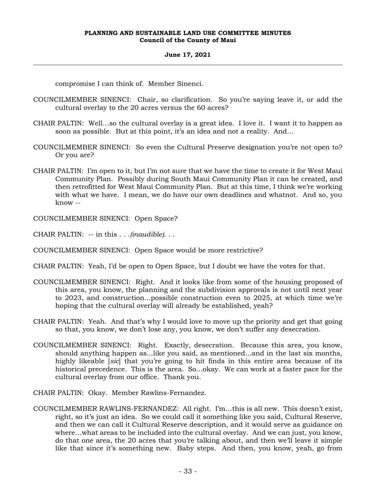# **June 17, 2021**

compromise I can think of. Member Sinenci.

- COUNCILMEMBER SINENCI: Chair, so clarification. So you're saying leave it, or add the cultural overlay to the 20 acres versus the 60 acres?
- CHAIR PALTIN: Well…so the cultural overlay is a great idea. I love it. I want it to happen as soon as possible. But at this point, it's an idea and not a reality. And...
- COUNCILMEMBER SINENCI: So even the Cultural Preserve designation you're not open to? Or you are?
- CHAIR PALTIN: I'm open to it, but I'm not sure that we have the time to create it for West Maui Community Plan. Possibly during South Maui Community Plan it can be created, and then retrofitted for West Maui Community Plan. But at this time, I think we're working with what we have. I mean, we do have our own deadlines and whatnot. And so, you know --

COUNCILMEMBER SINENCI: Open Space?

CHAIR PALTIN: -- in this . . .*(inaudible)*. . .

- COUNCILMEMBER SINENCI: Open Space would be more restrictive?
- CHAIR PALTIN: Yeah, I'd be open to Open Space, but I doubt we have the votes for that.
- COUNCILMEMBER SINENCI: Right. And it looks like from some of the housing proposed of this area, you know, the planning and the subdivision approvals is not until next year to 2023, and construction...possible construction even to 2025, at which time we're hoping that the cultural overlay will already be established, yeah?
- CHAIR PALTIN: Yeah. And that's why I would love to move up the priority and get that going so that, you know, we don't lose any, you know, we don't suffer any desecration.
- COUNCILMEMBER SINENCI: Right. Exactly, desecration. Because this area, you know, should anything happen as...like you said, as mentioned...and in the last six months, highly likeable [*sic*] that you're going to hit finds in this entire area because of its historical precedence. This is the area. So...okay. We can work at a faster pace for the cultural overlay from our office. Thank you.
- CHAIR PALTIN: Okay. Member Rawlins-Fernandez.
- COUNCILMEMBER RAWLINS-FERNANDEZ: All right. I'm…this is all new. This doesn't exist, right, so it's just an idea. So we could call it something like you said, Cultural Reserve, and then we can call it Cultural Reserve description, and it would serve as guidance on where…what areas to be included into the cultural overlay. And we can just, you know, do that one area, the 20 acres that you're talking about, and then we'll leave it simple like that since it's something new. Baby steps. And then, you know, yeah, go from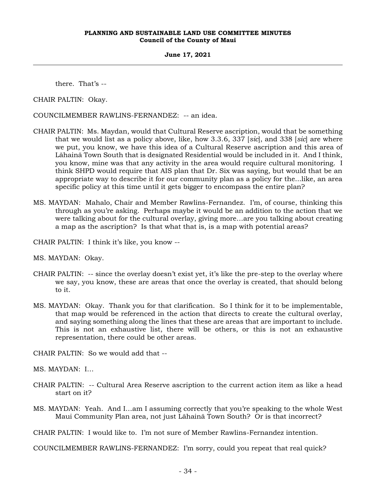**June 17, 2021**

there. That's --

CHAIR PALTIN: Okay.

COUNCILMEMBER RAWLINS-FERNANDEZ: -- an idea.

- CHAIR PALTIN: Ms. Maydan, would that Cultural Reserve ascription, would that be something that we would list as a policy above, like, how 3.3.6, 337 [*sic*], and 338 [*sic*] are where we put, you know, we have this idea of a Cultural Reserve ascription and this area of Lāhainā Town South that is designated Residential would be included in it. And I think, you know, mine was that any activity in the area would require cultural monitoring. I think SHPD would require that AIS plan that Dr. Six was saying, but would that be an appropriate way to describe it for our community plan as a policy for the...like, an area specific policy at this time until it gets bigger to encompass the entire plan?
- MS. MAYDAN: Mahalo, Chair and Member Rawlins-Fernandez. I'm, of course, thinking this through as you're asking. Perhaps maybe it would be an addition to the action that we were talking about for the cultural overlay, giving more…are you talking about creating a map as the ascription? Is that what that is, is a map with potential areas?
- CHAIR PALTIN: I think it's like, you know --
- MS. MAYDAN: Okay.
- CHAIR PALTIN: -- since the overlay doesn't exist yet, it's like the pre-step to the overlay where we say, you know, these are areas that once the overlay is created, that should belong to it.
- MS. MAYDAN: Okay. Thank you for that clarification. So I think for it to be implementable, that map would be referenced in the action that directs to create the cultural overlay, and saying something along the lines that these are areas that are important to include. This is not an exhaustive list, there will be others, or this is not an exhaustive representation, there could be other areas.

CHAIR PALTIN: So we would add that --

MS. MAYDAN: I…

- CHAIR PALTIN: -- Cultural Area Reserve ascription to the current action item as like a head start on it?
- MS. MAYDAN: Yeah. And I…am I assuming correctly that you're speaking to the whole West Maui Community Plan area, not just Lāhainā Town South? Or is that incorrect?

CHAIR PALTIN: I would like to. I'm not sure of Member Rawlins-Fernandez intention.

COUNCILMEMBER RAWLINS-FERNANDEZ: I'm sorry, could you repeat that real quick?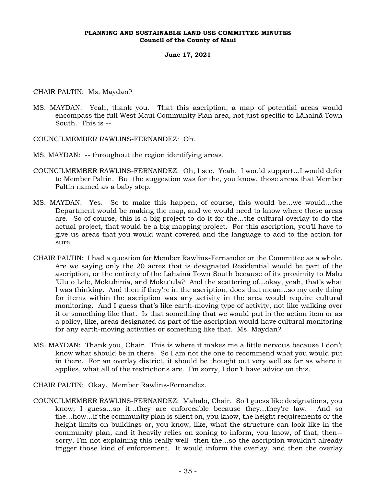# **June 17, 2021**

CHAIR PALTIN: Ms. Maydan?

MS. MAYDAN: Yeah, thank you. That this ascription, a map of potential areas would encompass the full West Maui Community Plan area, not just specific to Lāhainā Town South. This is --

COUNCILMEMBER RAWLINS-FERNANDEZ: Oh.

MS. MAYDAN: -- throughout the region identifying areas.

- COUNCILMEMBER RAWLINS-FERNANDEZ: Oh, I see. Yeah. I would support…I would defer to Member Paltin. But the suggestion was for the, you know, those areas that Member Paltin named as a baby step.
- MS. MAYDAN: Yes. So to make this happen, of course, this would be…we would…the Department would be making the map, and we would need to know where these areas are. So of course, this is a big project to do it for the…the cultural overlay to do the actual project, that would be a big mapping project. For this ascription, you'll have to give us areas that you would want covered and the language to add to the action for sure.
- CHAIR PALTIN: I had a question for Member Rawlins-Fernandez or the Committee as a whole. Are we saying only the 20 acres that is designated Residential would be part of the ascription, or the entirety of the Lāhainā Town South because of its proximity to Malu 'Ulu o Lele, Mokuhinia, and Mokuʻula? And the scattering of…okay, yeah, that's what I was thinking. And then if they're in the ascription, does that mean…so my only thing for items within the ascription was any activity in the area would require cultural monitoring. And I guess that's like earth-moving type of activity, not like walking over it or something like that. Is that something that we would put in the action item or as a policy, like, areas designated as part of the ascription would have cultural monitoring for any earth-moving activities or something like that. Ms. Maydan?
- MS. MAYDAN: Thank you, Chair. This is where it makes me a little nervous because I don't know what should be in there. So I am not the one to recommend what you would put in there. For an overlay district, it should be thought out very well as far as where it applies, what all of the restrictions are. I'm sorry, I don't have advice on this.
- CHAIR PALTIN: Okay. Member Rawlins-Fernandez.
- COUNCILMEMBER RAWLINS-FERNANDEZ: Mahalo, Chair. So I guess like designations, you know, I guess…so it…they are enforceable because they…they're law. And so the…how…if the community plan is silent on, you know, the height requirements or the height limits on buildings or, you know, like, what the structure can look like in the community plan, and it heavily relies on zoning to inform, you know, of that, then- sorry, I'm not explaining this really well--then the…so the ascription wouldn't already trigger those kind of enforcement. It would inform the overlay, and then the overlay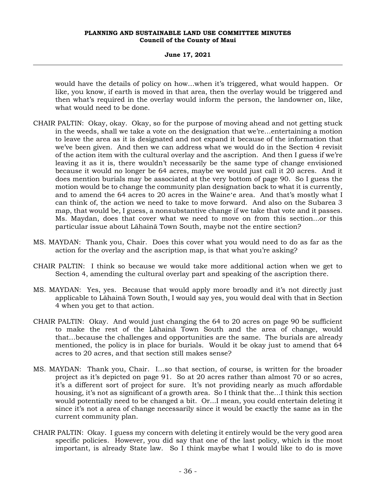## **June 17, 2021**

would have the details of policy on how…when it's triggered, what would happen. Or like, you know, if earth is moved in that area, then the overlay would be triggered and then what's required in the overlay would inform the person, the landowner on, like, what would need to be done.

- CHAIR PALTIN: Okay, okay. Okay, so for the purpose of moving ahead and not getting stuck in the weeds, shall we take a vote on the designation that we're…entertaining a motion to leave the area as it is designated and not expand it because of the information that we've been given. And then we can address what we would do in the Section 4 revisit of the action item with the cultural overlay and the ascription. And then I guess if we're leaving it as it is, there wouldn't necessarily be the same type of change envisioned because it would no longer be 64 acres, maybe we would just call it 20 acres. And it does mention burials may be associated at the very bottom of page 90. So I guess the motion would be to change the community plan designation back to what it is currently, and to amend the 64 acres to 20 acres in the Waineʻe area. And that's mostly what I can think of, the action we need to take to move forward. And also on the Subarea 3 map, that would be, I guess, a nonsubstantive change if we take that vote and it passes. Ms. Maydan, does that cover what we need to move on from this section...or this particular issue about Lāhainā Town South, maybe not the entire section?
- MS. MAYDAN: Thank you, Chair. Does this cover what you would need to do as far as the action for the overlay and the ascription map, is that what you're asking?
- CHAIR PALTIN: I think so because we would take more additional action when we get to Section 4, amending the cultural overlay part and speaking of the ascription there.
- MS. MAYDAN: Yes, yes. Because that would apply more broadly and it's not directly just applicable to Lāhainā Town South, I would say yes, you would deal with that in Section 4 when you get to that action.
- CHAIR PALTIN: Okay. And would just changing the 64 to 20 acres on page 90 be sufficient to make the rest of the Lāhainā Town South and the area of change, would that…because the challenges and opportunities are the same. The burials are already mentioned, the policy is in place for burials. Would it be okay just to amend that 64 acres to 20 acres, and that section still makes sense?
- MS. MAYDAN: Thank you, Chair. I…so that section, of course, is written for the broader project as it's depicted on page 91. So at 20 acres rather than almost 70 or so acres, it's a different sort of project for sure. It's not providing nearly as much affordable housing, it's not as significant of a growth area. So I think that the…I think this section would potentially need to be changed a bit. Or...I mean, you could entertain deleting it since it's not a area of change necessarily since it would be exactly the same as in the current community plan.
- CHAIR PALTIN: Okay. I guess my concern with deleting it entirely would be the very good area specific policies. However, you did say that one of the last policy, which is the most important, is already State law. So I think maybe what I would like to do is move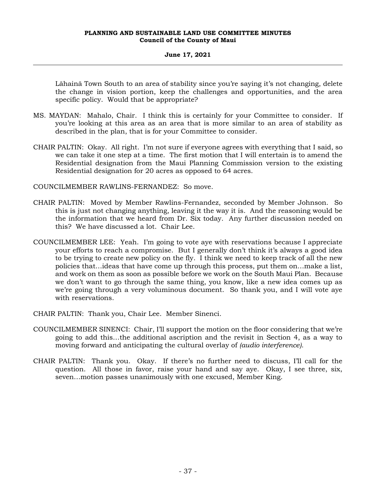## **June 17, 2021**

Lāhainā Town South to an area of stability since you're saying it's not changing, delete the change in vision portion, keep the challenges and opportunities, and the area specific policy. Would that be appropriate?

- MS. MAYDAN: Mahalo, Chair. I think this is certainly for your Committee to consider. If you're looking at this area as an area that is more similar to an area of stability as described in the plan, that is for your Committee to consider.
- CHAIR PALTIN: Okay. All right. I'm not sure if everyone agrees with everything that I said, so we can take it one step at a time. The first motion that I will entertain is to amend the Residential designation from the Maui Planning Commission version to the existing Residential designation for 20 acres as opposed to 64 acres.

COUNCILMEMBER RAWLINS-FERNANDEZ: So move.

- CHAIR PALTIN: Moved by Member Rawlins-Fernandez, seconded by Member Johnson. So this is just not changing anything, leaving it the way it is. And the reasoning would be the information that we heard from Dr. Six today. Any further discussion needed on this? We have discussed a lot. Chair Lee.
- COUNCILMEMBER LEE: Yeah. I'm going to vote aye with reservations because I appreciate your efforts to reach a compromise. But I generally don't think it's always a good idea to be trying to create new policy on the fly. I think we need to keep track of all the new policies that…ideas that have come up through this process, put them on…make a list, and work on them as soon as possible before we work on the South Maui Plan. Because we don't want to go through the same thing, you know, like a new idea comes up as we're going through a very voluminous document. So thank you, and I will vote aye with reservations.
- CHAIR PALTIN: Thank you, Chair Lee. Member Sinenci.
- COUNCILMEMBER SINENCI: Chair, I'll support the motion on the floor considering that we're going to add this…the additional ascription and the revisit in Section 4, as a way to moving forward and anticipating the cultural overlay of *(audio interference)*.
- CHAIR PALTIN: Thank you. Okay. If there's no further need to discuss, I'll call for the question. All those in favor, raise your hand and say aye. Okay, I see three, six, seven…motion passes unanimously with one excused, Member King.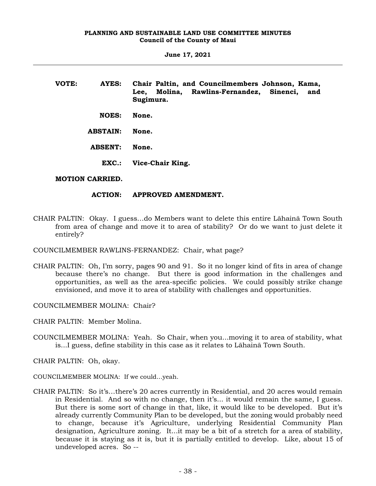| VOTE: | AYES:           | Chair Paltin, and Councilmembers Johnson, Kama,<br>Molina, Rawlins-Fernandez, Sinenci,<br>Lee,<br>and<br>Sugimura. |
|-------|-----------------|--------------------------------------------------------------------------------------------------------------------|
|       | <b>NOES:</b>    | None.                                                                                                              |
|       | <b>ABSTAIN:</b> | None.                                                                                                              |
|       | <b>ABSENT:</b>  | None.                                                                                                              |
|       | EXC.:           | Vice-Chair King.                                                                                                   |

# **MOTION CARRIED.**

# **ACTION: APPROVED AMENDMENT.**

CHAIR PALTIN: Okay. I guess…do Members want to delete this entire Lāhainā Town South from area of change and move it to area of stability? Or do we want to just delete it entirely?

COUNCILMEMBER RAWLINS-FERNANDEZ: Chair, what page?

CHAIR PALTIN: Oh, I'm sorry, pages 90 and 91. So it no longer kind of fits in area of change because there's no change. But there is good information in the challenges and opportunities, as well as the area-specific policies. We could possibly strike change envisioned, and move it to area of stability with challenges and opportunities.

COUNCILMEMBER MOLINA: Chair?

CHAIR PALTIN: Member Molina.

COUNCILMEMBER MOLINA: Yeah. So Chair, when you...moving it to area of stability, what is...I guess, define stability in this case as it relates to Lāhainā Town South.

CHAIR PALTIN: Oh, okay.

- COUNCILMEMBER MOLINA: If we could...yeah.
- CHAIR PALTIN: So it's…there's 20 acres currently in Residential, and 20 acres would remain in Residential. And so with no change, then it's... it would remain the same, I guess. But there is some sort of change in that, like, it would like to be developed. But it's already currently Community Plan to be developed, but the zoning would probably need to change, because it's Agriculture, underlying Residential Community Plan designation, Agriculture zoning. It...it may be a bit of a stretch for a area of stability, because it is staying as it is, but it is partially entitled to develop. Like, about 15 of undeveloped acres. So --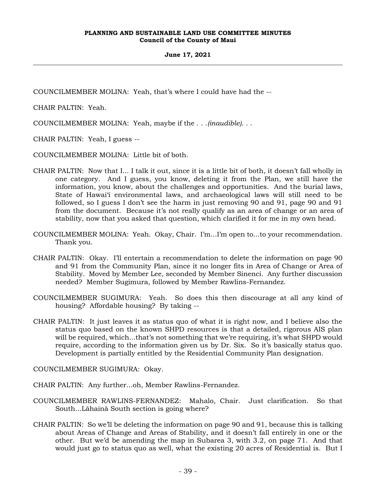COUNCILMEMBER MOLINA: Yeah, that's where I could have had the --

CHAIR PALTIN: Yeah.

COUNCILMEMBER MOLINA: Yeah, maybe if the . . .*(inaudible)*. . .

CHAIR PALTIN: Yeah, I guess --

COUNCILMEMBER MOLINA: Little bit of both.

- CHAIR PALTIN: Now that I... I talk it out, since it is a little bit of both, it doesn't fall wholly in one category. And I guess, you know, deleting it from the Plan, we still have the information, you know, about the challenges and opportunities. And the burial laws, State of Hawai'i environmental laws, and archaeological laws will still need to be followed, so I guess I don't see the harm in just removing 90 and 91, page 90 and 91 from the document. Because it's not really qualify as an area of change or an area of stability, now that you asked that question, which clarified it for me in my own head.
- COUNCILMEMBER MOLINA: Yeah. Okay, Chair. I'm...I'm open to...to your recommendation. Thank you.
- CHAIR PALTIN: Okay. I'll entertain a recommendation to delete the information on page 90 and 91 from the Community Plan, since it no longer fits in Area of Change or Area of Stability. Moved by Member Lee, seconded by Member Sinenci. Any further discussion needed? Member Sugimura, followed by Member Rawlins-Fernandez.
- COUNCILMEMBER SUGIMURA: Yeah. So does this then discourage at all any kind of housing? Affordable housing? By taking --
- CHAIR PALTIN: It just leaves it as status quo of what it is right now, and I believe also the status quo based on the known SHPD resources is that a detailed, rigorous AIS plan will be required, which...that's not something that we're requiring, it's what SHPD would require, according to the information given us by Dr. Six. So it's basically status quo. Development is partially entitled by the Residential Community Plan designation.

COUNCILMEMBER SUGIMURA: Okay.

CHAIR PALTIN: Any further...oh, Member Rawlins-Fernandez.

- COUNCILMEMBER RAWLINS-FERNANDEZ: Mahalo, Chair. Just clarification. So that South...Lāhainā South section is going where?
- CHAIR PALTIN: So we'll be deleting the information on page 90 and 91, because this is talking about Areas of Change and Areas of Stability, and it doesn't fall entirely in one or the other. But we'd be amending the map in Subarea 3, with 3.2, on page 71. And that would just go to status quo as well, what the existing 20 acres of Residential is. But I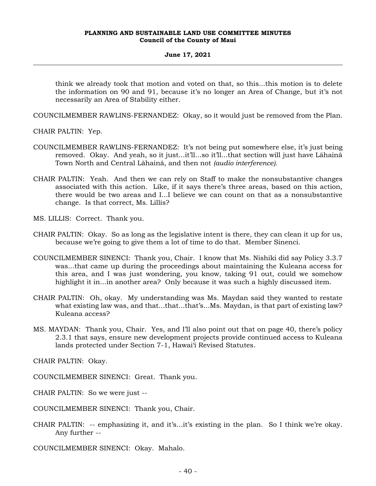#### **June 17, 2021**

think we already took that motion and voted on that, so this...this motion is to delete the information on 90 and 91, because it's no longer an Area of Change, but it's not necessarily an Area of Stability either.

COUNCILMEMBER RAWLINS-FERNANDEZ: Okay, so it would just be removed from the Plan.

CHAIR PALTIN: Yep.

- COUNCILMEMBER RAWLINS-FERNANDEZ: It's not being put somewhere else, it's just being removed. Okay. And yeah, so it just...it'll...so it'll...that section will just have Lāhainā Town North and Central Lāhainā, and then not *(audio interference).*
- CHAIR PALTIN: Yeah. And then we can rely on Staff to make the nonsubstantive changes associated with this action. Like, if it says there's three areas, based on this action, there would be two areas and I...I believe we can count on that as a nonsubstantive change. Is that correct, Ms. Lillis?

MS. LILLIS: Correct. Thank you.

- CHAIR PALTIN: Okay. So as long as the legislative intent is there, they can clean it up for us, because we're going to give them a lot of time to do that. Member Sinenci.
- COUNCILMEMBER SINENCI: Thank you, Chair. I know that Ms. Nishiki did say Policy 3.3.7 was...that came up during the proceedings about maintaining the Kuleana access for this area, and I was just wondering, you know, taking 91 out, could we somehow highlight it in...in another area? Only because it was such a highly discussed item.
- CHAIR PALTIN: Oh, okay. My understanding was Ms. Maydan said they wanted to restate what existing law was, and that...that...that's...Ms. Maydan, is that part of existing law? Kuleana access?
- MS. MAYDAN: Thank you, Chair. Yes, and I'll also point out that on page 40, there's policy 2.3.1 that says, ensure new development projects provide continued access to Kuleana lands protected under Section 7-1, Hawai'i Revised Statutes.

CHAIR PALTIN: Okay.

COUNCILMEMBER SINENCI: Great. Thank you.

CHAIR PALTIN: So we were just --

COUNCILMEMBER SINENCI: Thank you, Chair.

CHAIR PALTIN: -- emphasizing it, and it's...it's existing in the plan. So I think we're okay. Any further --

COUNCILMEMBER SINENCI: Okay. Mahalo.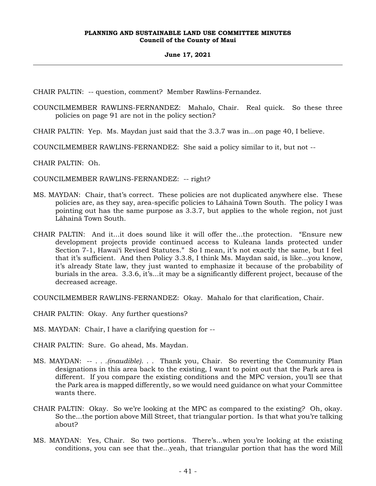CHAIR PALTIN: -- question, comment? Member Rawlins-Fernandez.

COUNCILMEMBER RAWLINS-FERNANDEZ: Mahalo, Chair. Real quick. So these three policies on page 91 are not in the policy section?

CHAIR PALTIN: Yep. Ms. Maydan just said that the 3.3.7 was in...on page 40, I believe.

COUNCILMEMBER RAWLINS-FERNANDEZ: She said a policy similar to it, but not --

CHAIR PALTIN: Oh.

COUNCILMEMBER RAWLINS-FERNANDEZ: -- right?

- MS. MAYDAN: Chair, that's correct. These policies are not duplicated anywhere else. These policies are, as they say, area-specific policies to Lāhainā Town South. The policy I was pointing out has the same purpose as 3.3.7, but applies to the whole region, not just Lāhainā Town South.
- CHAIR PALTIN: And it...it does sound like it will offer the...the protection. "Ensure new development projects provide continued access to Kuleana lands protected under Section 7-1, Hawai'i Revised Statutes." So I mean, it's not exactly the same, but I feel that it's sufficient. And then Policy 3.3.8, I think Ms. Maydan said, is like...you know, it's already State law, they just wanted to emphasize it because of the probability of burials in the area. 3.3.6, it's...it may be a significantly different project, because of the decreased acreage.

COUNCILMEMBER RAWLINS-FERNANDEZ: Okay. Mahalo for that clarification, Chair.

CHAIR PALTIN: Okay. Any further questions?

MS. MAYDAN: Chair, I have a clarifying question for --

CHAIR PALTIN: Sure. Go ahead, Ms. Maydan.

- MS. MAYDAN: -- *. . .(inaudible)*. . . Thank you, Chair. So reverting the Community Plan designations in this area back to the existing, I want to point out that the Park area is different. If you compare the existing conditions and the MPC version, you'll see that the Park area is mapped differently, so we would need guidance on what your Committee wants there.
- CHAIR PALTIN: Okay. So we're looking at the MPC as compared to the existing? Oh, okay. So the...the portion above Mill Street, that triangular portion. Is that what you're talking about?
- MS. MAYDAN: Yes, Chair. So two portions. There's...when you're looking at the existing conditions, you can see that the...yeah, that triangular portion that has the word Mill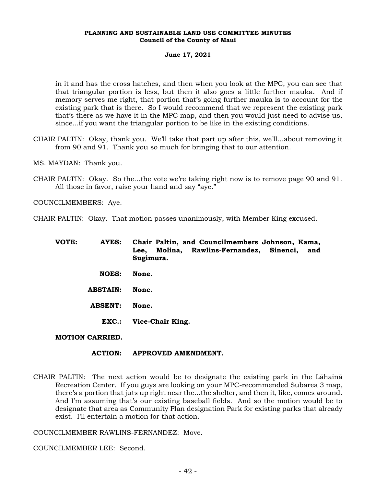#### **June 17, 2021**

in it and has the cross hatches, and then when you look at the MPC, you can see that that triangular portion is less, but then it also goes a little further mauka. And if memory serves me right, that portion that's going further mauka is to account for the existing park that is there. So I would recommend that we represent the existing park that's there as we have it in the MPC map, and then you would just need to advise us, since...if you want the triangular portion to be like in the existing conditions.

- CHAIR PALTIN: Okay, thank you. We'll take that part up after this, we'll...about removing it from 90 and 91. Thank you so much for bringing that to our attention.
- MS. MAYDAN: Thank you.
- CHAIR PALTIN: Okay. So the...the vote we're taking right now is to remove page 90 and 91. All those in favor, raise your hand and say "aye."

COUNCILMEMBERS: Aye.

CHAIR PALTIN: Okay. That motion passes unanimously, with Member King excused.

| VOTE: | AYES:           | Chair Paltin, and Councilmembers Johnson, Kama,<br>Molina, Rawlins-Fernandez, Sinenci,<br>Lee,<br>and<br>Sugimura. |
|-------|-----------------|--------------------------------------------------------------------------------------------------------------------|
|       | <b>NOES:</b>    | None.                                                                                                              |
|       | <b>ABSTAIN:</b> | None.                                                                                                              |
|       | <b>ABSENT:</b>  | None.                                                                                                              |
|       | $EXEC.:$        | Vice-Chair King.                                                                                                   |

# **MOTION CARRIED.**

#### **ACTION: APPROVED AMENDMENT.**

CHAIR PALTIN: The next action would be to designate the existing park in the Lāhainā Recreation Center. If you guys are looking on your MPC-recommended Subarea 3 map, there's a portion that juts up right near the...the shelter, and then it, like, comes around. And I'm assuming that's our existing baseball fields. And so the motion would be to designate that area as Community Plan designation Park for existing parks that already exist. I'll entertain a motion for that action.

COUNCILMEMBER RAWLINS-FERNANDEZ: Move.

COUNCILMEMBER LEE: Second.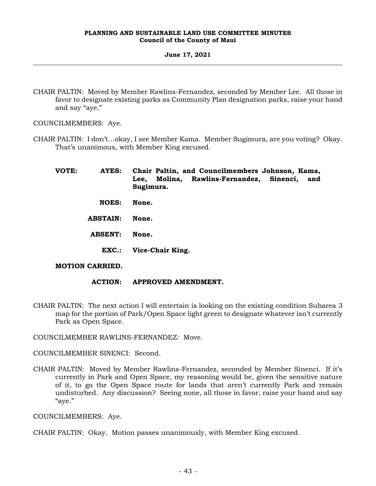## **June 17, 2021**

CHAIR PALTIN: Moved by Member Rawlins-Fernandez, seconded by Member Lee. All those in favor to designate existing parks as Community Plan designation parks, raise your hand and say "aye."

COUNCILMEMBERS: Aye.

CHAIR PALTIN: I don't…okay, I see Member Kama. Member Sugimura, are you voting? Okay. That's unanimous, with Member King excused.

| VOTE: | <b>AYES:</b>    | Chair Paltin, and Councilmembers Johnson, Kama,<br>Molina, Rawlins-Fernandez, Sinenci,<br>Lee.<br>and<br>Sugimura. |
|-------|-----------------|--------------------------------------------------------------------------------------------------------------------|
|       | <b>NOES:</b>    | None.                                                                                                              |
|       | <b>ABSTAIN:</b> | None.                                                                                                              |
|       | <b>ABSENT:</b>  | None.                                                                                                              |
|       | <b>EXC.:</b>    | Vice-Chair King.                                                                                                   |

# **MOTION CARRIED.**

- **ACTION: APPROVED AMENDMENT.**
- CHAIR PALTIN: The next action I will entertain is looking on the existing condition Subarea 3 map for the portion of Park/Open Space light green to designate whatever isn't currently Park as Open Space.

COUNCILMEMBER RAWLINS-FERNANDEZ: Move.

COUNCILMEMBER SINENCI: Second.

CHAIR PALTIN: Moved by Member Rawlins-Fernandez, seconded by Member Sinenci. If it's currently in Park and Open Space, my reasoning would be, given the sensitive nature of it, to go the Open Space route for lands that aren't currently Park and remain undisturbed. Any discussion? Seeing none, all those in favor, raise your hand and say "aye."

COUNCILMEMBERS: Aye.

CHAIR PALTIN: Okay. Motion passes unanimously, with Member King excused.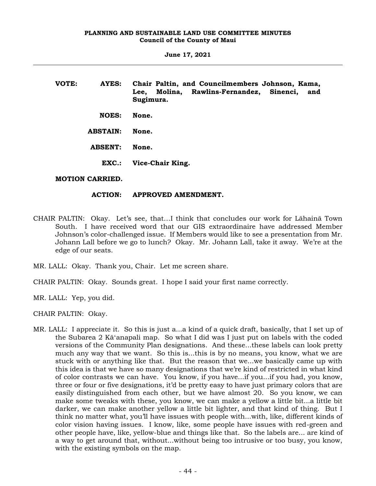| VOTE: | AYES:           | Chair Paltin, and Councilmembers Johnson, Kama,<br>Molina, Rawlins-Fernandez, Sinenci,<br>Lee,<br>and<br>Sugimura. |
|-------|-----------------|--------------------------------------------------------------------------------------------------------------------|
|       | <b>NOES:</b>    | None.                                                                                                              |
|       | <b>ABSTAIN:</b> | None.                                                                                                              |
|       | <b>ABSENT:</b>  | None.                                                                                                              |
|       | EXC.:           | Vice-Chair King.                                                                                                   |

# **MOTION CARRIED.**

# **ACTION: APPROVED AMENDMENT.**

- CHAIR PALTIN: Okay. Let's see, that…I think that concludes our work for Lāhainā Town South. I have received word that our GIS extraordinaire have addressed Member Johnson's color-challenged issue. If Members would like to see a presentation from Mr. Johann Lall before we go to lunch? Okay. Mr. Johann Lall, take it away. We're at the edge of our seats.
- MR. LALL: Okay. Thank you, Chair. Let me screen share.
- CHAIR PALTIN: Okay. Sounds great. I hope I said your first name correctly.
- MR. LALL: Yep, you did.

CHAIR PALTIN: Okay.

MR. LALL: I appreciate it. So this is just a...a kind of a quick draft, basically, that I set up of the Subarea 2 Kāʻanapali map. So what I did was I just put on labels with the coded versions of the Community Plan designations. And these...these labels can look pretty much any way that we want. So this is...this is by no means, you know, what we are stuck with or anything like that. But the reason that we...we basically came up with this idea is that we have so many designations that we're kind of restricted in what kind of color contrasts we can have. You know, if you have...if you...if you had, you know, three or four or five designations, it'd be pretty easy to have just primary colors that are easily distinguished from each other, but we have almost 20. So you know, we can make some tweaks with these, you know, we can make a yellow a little bit...a little bit darker, we can make another yellow a little bit lighter, and that kind of thing. But I think no matter what, you'll have issues with people with...with, like, different kinds of color vision having issues. I know, like, some people have issues with red-green and other people have, like, yellow-blue and things like that. So the labels are... are kind of a way to get around that, without...without being too intrusive or too busy, you know, with the existing symbols on the map.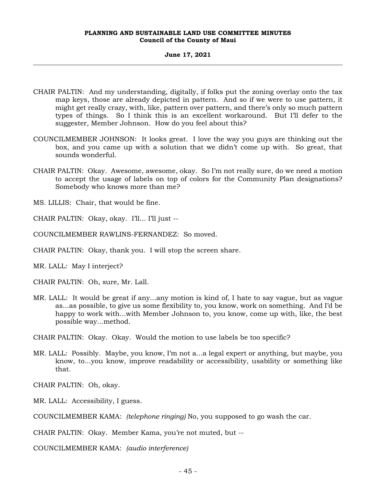#### **June 17, 2021**

- CHAIR PALTIN: And my understanding, digitally, if folks put the zoning overlay onto the tax map keys, those are already depicted in pattern. And so if we were to use pattern, it might get really crazy, with, like, pattern over pattern, and there's only so much pattern types of things. So I think this is an excellent workaround. But I'll defer to the suggester, Member Johnson. How do you feel about this?
- COUNCILMEMBER JOHNSON: It looks great. I love the way you guys are thinking out the box, and you came up with a solution that we didn't come up with. So great, that sounds wonderful.
- CHAIR PALTIN: Okay. Awesome, awesome, okay. So I'm not really sure, do we need a motion to accept the usage of labels on top of colors for the Community Plan designations? Somebody who knows more than me?

MS. LILLIS: Chair, that would be fine.

CHAIR PALTIN: Okay, okay. I'll... I'll just --

COUNCILMEMBER RAWLINS-FERNANDEZ: So moved.

CHAIR PALTIN: Okay, thank you. I will stop the screen share.

MR. LALL: May I interject?

CHAIR PALTIN: Oh, sure, Mr. Lall.

MR. LALL: It would be great if any...any motion is kind of, I hate to say vague, but as vague as...as possible, to give us some flexibility to, you know, work on something. And I'd be happy to work with...with Member Johnson to, you know, come up with, like, the best possible way...method.

CHAIR PALTIN: Okay. Okay. Would the motion to use labels be too specific?

MR. LALL: Possibly. Maybe, you know, I'm not a...a legal expert or anything, but maybe, you know, to...you know, improve readability or accessibility, usability or something like that.

CHAIR PALTIN: Oh, okay.

MR. LALL: Accessibility, I guess.

COUNCILMEMBER KAMA: *(telephone ringing)* No, you supposed to go wash the car.

CHAIR PALTIN: Okay. Member Kama, you're not muted, but --

COUNCILMEMBER KAMA: *(audio interference)*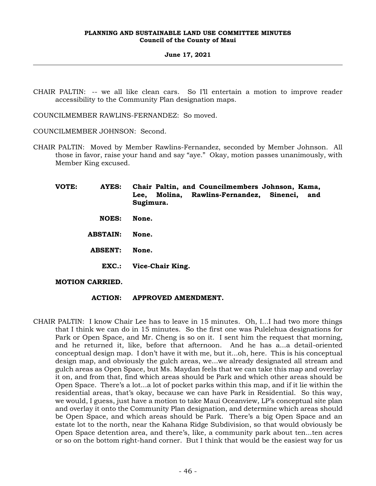#### **June 17, 2021**

CHAIR PALTIN: -- we all like clean cars. So I'll entertain a motion to improve reader accessibility to the Community Plan designation maps.

COUNCILMEMBER RAWLINS-FERNANDEZ: So moved.

COUNCILMEMBER JOHNSON: Second.

CHAIR PALTIN: Moved by Member Rawlins-Fernandez, seconded by Member Johnson. All those in favor, raise your hand and say "aye." Okay, motion passes unanimously, with Member King excused.

**VOTE: AYES: Chair Paltin, and Councilmembers Johnson, Kama, Lee, Molina, Rawlins-Fernandez, Sinenci, and Sugimura. NOES: None. ABSTAIN: None. ABSENT: None. EXC.: Vice-Chair King.**

# **MOTION CARRIED.**

# **ACTION: APPROVED AMENDMENT.**

CHAIR PALTIN: I know Chair Lee has to leave in 15 minutes. Oh, I...I had two more things that I think we can do in 15 minutes. So the first one was Pulelehua designations for Park or Open Space, and Mr. Cheng is so on it. I sent him the request that morning, and he returned it, like, before that afternoon. And he has a...a detail-oriented conceptual design map. I don't have it with me, but it...oh, here. This is his conceptual design map, and obviously the gulch areas, we...we already designated all stream and gulch areas as Open Space, but Ms. Maydan feels that we can take this map and overlay it on, and from that, find which areas should be Park and which other areas should be Open Space. There's a lot...a lot of pocket parks within this map, and if it lie within the residential areas, that's okay, because we can have Park in Residential. So this way, we would, I guess, just have a motion to take Maui Oceanview, LP's conceptual site plan and overlay it onto the Community Plan designation, and determine which areas should be Open Space, and which areas should be Park. There's a big Open Space and an estate lot to the north, near the Kahana Ridge Subdivision, so that would obviously be Open Space detention area, and there's, like, a community park about ten...ten acres or so on the bottom right-hand corner. But I think that would be the easiest way for us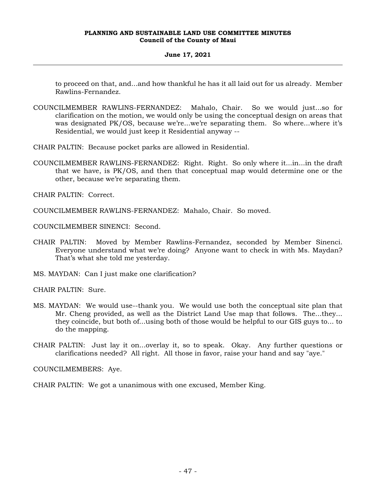# **June 17, 2021**

to proceed on that, and...and how thankful he has it all laid out for us already. Member Rawlins-Fernandez.

COUNCILMEMBER RAWLINS-FERNANDEZ: Mahalo, Chair. So we would just...so for clarification on the motion, we would only be using the conceptual design on areas that was designated PK/OS, because we're...we're separating them. So where...where it's Residential, we would just keep it Residential anyway --

CHAIR PALTIN: Because pocket parks are allowed in Residential.

COUNCILMEMBER RAWLINS-FERNANDEZ: Right. Right. So only where it...in...in the draft that we have, is PK/OS, and then that conceptual map would determine one or the other, because we're separating them.

CHAIR PALTIN: Correct.

COUNCILMEMBER RAWLINS-FERNANDEZ: Mahalo, Chair. So moved.

COUNCILMEMBER SINENCI: Second.

CHAIR PALTIN: Moved by Member Rawlins-Fernandez, seconded by Member Sinenci. Everyone understand what we're doing? Anyone want to check in with Ms. Maydan? That's what she told me yesterday.

MS. MAYDAN: Can I just make one clarification?

CHAIR PALTIN: Sure.

- MS. MAYDAN: We would use--thank you. We would use both the conceptual site plan that Mr. Cheng provided, as well as the District Land Use map that follows. The...they... they coincide, but both of...using both of those would be helpful to our GIS guys to... to do the mapping.
- CHAIR PALTIN: Just lay it on...overlay it, so to speak. Okay. Any further questions or clarifications needed? All right. All those in favor, raise your hand and say "aye."

COUNCILMEMBERS: Aye.

CHAIR PALTIN: We got a unanimous with one excused, Member King.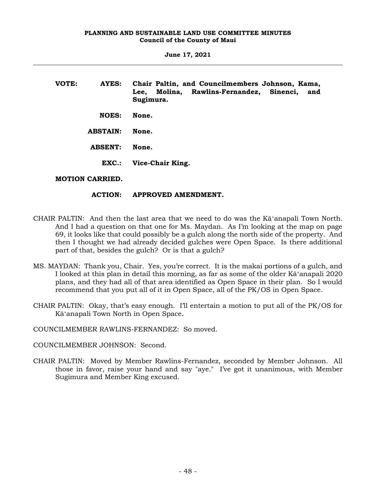| VOTE: | AYES:              | Chair Paltin, and Councilmembers Johnson, Kama,<br>Molina, Rawlins-Fernandez, Sinenci,<br>Lee.<br>and<br>Sugimura. |
|-------|--------------------|--------------------------------------------------------------------------------------------------------------------|
|       | <b>NOES:</b>       | None.                                                                                                              |
|       | <b>ABSTAIN:</b>    | None.                                                                                                              |
|       | <b>ABSENT:</b>     | None.                                                                                                              |
|       | EXC.               | Vice-Chair King.                                                                                                   |
|       | ,,,,,,,,,,,,,,,,,, |                                                                                                                    |

# **MOTION CARRIED.**

# **ACTION: APPROVED AMENDMENT.**

- CHAIR PALTIN: And then the last area that we need to do was the Kāʻanapali Town North. And I had a question on that one for Ms. Maydan. As I'm looking at the map on page 69, it looks like that could possibly be a gulch along the north side of the property. And then I thought we had already decided gulches were Open Space. Is there additional part of that, besides the gulch? Or is that a gulch?
- MS. MAYDAN: Thank you, Chair. Yes, you're correct. It is the makai portions of a gulch, and I looked at this plan in detail this morning, as far as some of the older Kāʻanapali 2020 plans, and they had all of that area identified as Open Space in their plan. So I would recommend that you put all of it in Open Space, all of the PK/OS in Open Space.
- CHAIR PALTIN: Okay, that's easy enough. I'll entertain a motion to put all of the PK/OS for Kāʻanapali Town North in Open Space.

COUNCILMEMBER RAWLINS-FERNANDEZ: So moved.

COUNCILMEMBER JOHNSON: Second.

CHAIR PALTIN: Moved by Member Rawlins-Fernandez, seconded by Member Johnson. All those in favor, raise your hand and say "aye." I've got it unanimous, with Member Sugimura and Member King excused.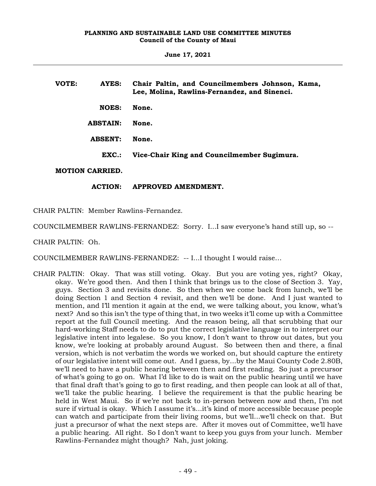**June 17, 2021**

| VOTE: | AYES:                  | Chair Paltin, and Councilmembers Johnson, Kama,<br>Lee, Molina, Rawlins-Fernandez, and Sinenci. |
|-------|------------------------|-------------------------------------------------------------------------------------------------|
|       | <b>NOES:</b>           | None.                                                                                           |
|       | <b>ABSTAIN:</b>        | None.                                                                                           |
|       | <b>ABSENT:</b>         | None.                                                                                           |
|       | EXC.                   | Vice-Chair King and Councilmember Sugimura.                                                     |
|       | <b>MOTION CARRIED.</b> |                                                                                                 |

# **ACTION: APPROVED AMENDMENT.**

CHAIR PALTIN: Member Rawlins-Fernandez.

COUNCILMEMBER RAWLINS-FERNANDEZ: Sorry. I...I saw everyone's hand still up, so --

CHAIR PALTIN: Oh.

COUNCILMEMBER RAWLINS-FERNANDEZ: -- I...I thought I would raise…

CHAIR PALTIN: Okay. That was still voting. Okay. But you are voting yes, right? Okay, okay. We're good then. And then I think that brings us to the close of Section 3. Yay, guys. Section 3 and revisits done. So then when we come back from lunch, we'll be doing Section 1 and Section 4 revisit, and then we'll be done. And I just wanted to mention, and I'll mention it again at the end, we were talking about, you know, what's next? And so this isn't the type of thing that, in two weeks it'll come up with a Committee report at the full Council meeting. And the reason being, all that scrubbing that our hard-working Staff needs to do to put the correct legislative language in to interpret our legislative intent into legalese. So you know, I don't want to throw out dates, but you know, we're looking at probably around August. So between then and there, a final version, which is not verbatim the words we worked on, but should capture the entirety of our legislative intent will come out. And I guess, by...by the Maui County Code 2.80B, we'll need to have a public hearing between then and first reading. So just a precursor of what's going to go on. What I'd like to do is wait on the public hearing until we have that final draft that's going to go to first reading, and then people can look at all of that, we'll take the public hearing. I believe the requirement is that the public hearing be held in West Maui. So if we're not back to in-person between now and then, I'm not sure if virtual is okay. Which I assume it's...it's kind of more accessible because people can watch and participate from their living rooms, but we'll...we'll check on that. But just a precursor of what the next steps are. After it moves out of Committee, we'll have a public hearing. All right. So I don't want to keep you guys from your lunch. Member Rawlins-Fernandez might though? Nah, just joking.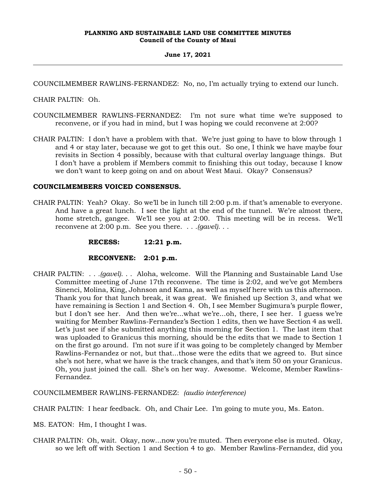# **June 17, 2021**

COUNCILMEMBER RAWLINS-FERNANDEZ: No, no, I'm actually trying to extend our lunch.

CHAIR PALTIN: Oh.

- COUNCILMEMBER RAWLINS-FERNANDEZ: I'm not sure what time we're supposed to reconvene, or if you had in mind, but I was hoping we could reconvene at 2:00?
- CHAIR PALTIN: I don't have a problem with that. We're just going to have to blow through 1 and 4 or stay later, because we got to get this out. So one, I think we have maybe four revisits in Section 4 possibly, because with that cultural overlay language things. But I don't have a problem if Members commit to finishing this out today, because I know we don't want to keep going on and on about West Maui. Okay? Consensus?

# **COUNCILMEMBERS VOICED CONSENSUS.**

CHAIR PALTIN: Yeah? Okay. So we'll be in lunch till 2:00 p.m. if that's amenable to everyone. And have a great lunch. I see the light at the end of the tunnel. We're almost there, home stretch, gangee. We'll see you at 2:00. This meeting will be in recess. We'll reconvene at 2:00 p.m. See you there. . . *.(gavel)*. . .

**RECESS: 12:21 p.m.**

#### **RECONVENE: 2:01 p.m.**

CHAIR PALTIN: . . *.(gavel)*. . . Aloha, welcome. Will the Planning and Sustainable Land Use Committee meeting of June 17th reconvene. The time is 2:02, and we've got Members Sinenci, Molina, King, Johnson and Kama, as well as myself here with us this afternoon. Thank you for that lunch break, it was great. We finished up Section 3, and what we have remaining is Section 1 and Section 4. Oh, I see Member Sugimura's purple flower, but I don't see her. And then we're...what we're...oh, there, I see her. I guess we're waiting for Member Rawlins-Fernandez's Section 1 edits, then we have Section 4 as well. Let's just see if she submitted anything this morning for Section 1. The last item that was uploaded to Granicus this morning, should be the edits that we made to Section 1 on the first go around. I'm not sure if it was going to be completely changed by Member Rawlins-Fernandez or not, but that...those were the edits that we agreed to. But since she's not here, what we have is the track changes, and that's item 50 on your Granicus. Oh, you just joined the call. She's on her way. Awesome. Welcome, Member Rawlins-Fernandez.

COUNCILMEMBER RAWLINS-FERNANDEZ: *(audio interference)*

CHAIR PALTIN: I hear feedback. Oh, and Chair Lee. I'm going to mute you, Ms. Eaton.

MS. EATON: Hm, I thought I was.

CHAIR PALTIN: Oh, wait. Okay, now...now you're muted. Then everyone else is muted. Okay, so we left off with Section 1 and Section 4 to go. Member Rawlins-Fernandez, did you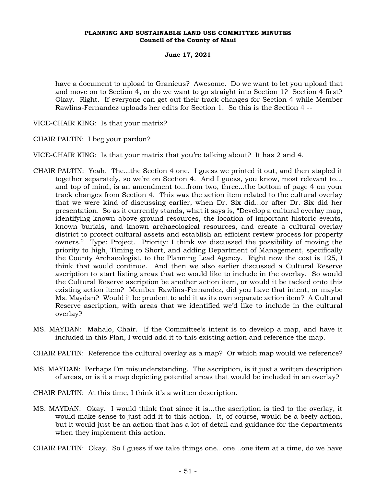#### **June 17, 2021**

have a document to upload to Granicus? Awesome. Do we want to let you upload that and move on to Section 4, or do we want to go straight into Section 1? Section 4 first? Okay. Right. If everyone can get out their track changes for Section 4 while Member Rawlins-Fernandez uploads her edits for Section 1. So this is the Section 4 --

VICE-CHAIR KING: Is that your matrix?

CHAIR PALTIN: I beg your pardon?

VICE-CHAIR KING: Is that your matrix that you're talking about? It has 2 and 4.

- CHAIR PALTIN: Yeah. The...the Section 4 one. I guess we printed it out, and then stapled it together separately, so we're on Section 4. And I guess, you know, most relevant to... and top of mind, is an amendment to...from two, three...the bottom of page 4 on your track changes from Section 4. This was the action item related to the cultural overlay that we were kind of discussing earlier, when Dr. Six did...or after Dr. Six did her presentation. So as it currently stands, what it says is, "Develop a cultural overlay map, identifying known above-ground resources, the location of important historic events, known burials, and known archaeological resources, and create a cultural overlay district to protect cultural assets and establish an efficient review process for property owners." Type: Project. Priority: I think we discussed the possibility of moving the priority to high, Timing to Short, and adding Department of Management, specifically the County Archaeologist, to the Planning Lead Agency. Right now the cost is 125, I think that would continue. And then we also earlier discussed a Cultural Reserve ascription to start listing areas that we would like to include in the overlay. So would the Cultural Reserve ascription be another action item, or would it be tacked onto this existing action item? Member Rawlins-Fernandez, did you have that intent, or maybe Ms. Maydan? Would it be prudent to add it as its own separate action item? A Cultural Reserve ascription, with areas that we identified we'd like to include in the cultural overlay?
- MS. MAYDAN: Mahalo, Chair. If the Committee's intent is to develop a map, and have it included in this Plan, I would add it to this existing action and reference the map.
- CHAIR PALTIN: Reference the cultural overlay as a map? Or which map would we reference?
- MS. MAYDAN: Perhaps I'm misunderstanding. The ascription, is it just a written description of areas, or is it a map depicting potential areas that would be included in an overlay?
- CHAIR PALTIN: At this time, I think it's a written description.
- MS. MAYDAN: Okay. I would think that since it is...the ascription is tied to the overlay, it would make sense to just add it to this action. It, of course, would be a beefy action, but it would just be an action that has a lot of detail and guidance for the departments when they implement this action.
- CHAIR PALTIN: Okay. So I guess if we take things one...one...one item at a time, do we have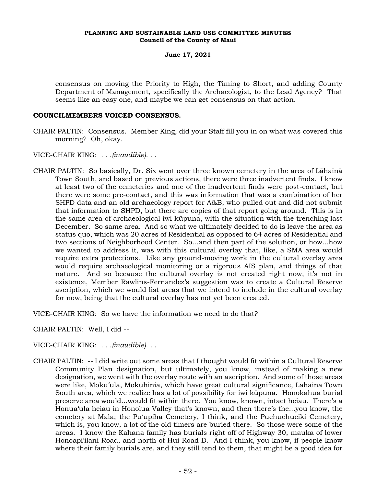consensus on moving the Priority to High, the Timing to Short, and adding County Department of Management, specifically the Archaeologist, to the Lead Agency? That seems like an easy one, and maybe we can get consensus on that action.

# **COUNCILMEMBERS VOICED CONSENSUS.**

- CHAIR PALTIN: Consensus. Member King, did your Staff fill you in on what was covered this morning? Oh, okay.
- VICE-CHAIR KING: . . .*(inaudible)*. . .
- CHAIR PALTIN: So basically, Dr. Six went over three known cemetery in the area of Lāhainā Town South, and based on previous actions, there were three inadvertent finds. I know at least two of the cemeteries and one of the inadvertent finds were post-contact, but there were some pre-contact, and this was information that was a combination of her SHPD data and an old archaeology report for A&B, who pulled out and did not submit that information to SHPD, but there are copies of that report going around. This is in the same area of archaeological iwi kūpuna, with the situation with the trenching last December. So same area. And so what we ultimately decided to do is leave the area as status quo, which was 20 acres of Residential as opposed to 64 acres of Residential and two sections of Neighborhood Center. So...and then part of the solution, or how...how we wanted to address it, was with this cultural overlay that, like, a SMA area would require extra protections. Like any ground-moving work in the cultural overlay area would require archaeological monitoring or a rigorous AIS plan, and things of that nature. And so because the cultural overlay is not created right now, it's not in existence, Member Rawlins-Fernandez's suggestion was to create a Cultural Reserve ascription, which we would list areas that we intend to include in the cultural overlay for now, being that the cultural overlay has not yet been created.

VICE-CHAIR KING: So we have the information we need to do that?

CHAIR PALTIN: Well, I did --

- VICE-CHAIR KING: . . .*(inaudible)*. . .
- CHAIR PALTIN: -- I did write out some areas that I thought would fit within a Cultural Reserve Community Plan designation, but ultimately, you know, instead of making a new designation, we went with the overlay route with an ascription. And some of those areas were like, Moku'ula, Mokuhinia, which have great cultural significance, Lāhainā Town South area, which we realize has a lot of possibility for iwi kūpuna. Honokahua burial preserve area would...would fit within there. You know, known, intact heiau. There's a Honua'ula heiau in Honolua Valley that's known, and then there's the...you know, the cemetery at Mala; the Pu'upiha Cemetery, I think, and the Puehuehueiki Cemetery, which is, you know, a lot of the old timers are buried there. So those were some of the areas. I know the Kahana family has burials right off of Highway 30, mauka of lower Honoapi'ilani Road, and north of Hui Road D. And I think, you know, if people know where their family burials are, and they still tend to them, that might be a good idea for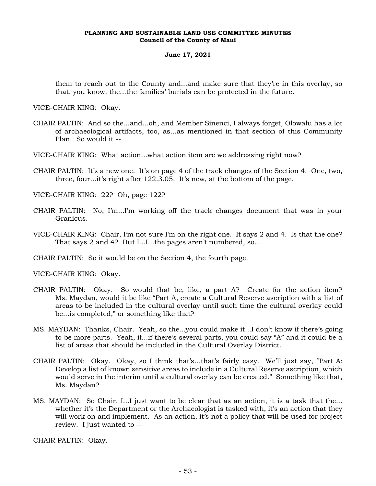#### **June 17, 2021**

them to reach out to the County and...and make sure that they're in this overlay, so that, you know, the...the families' burials can be protected in the future.

VICE-CHAIR KING: Okay.

- CHAIR PALTIN: And so the...and...oh, and Member Sinenci, I always forget, Olowalu has a lot of archaeological artifacts, too, as...as mentioned in that section of this Community Plan. So would it --
- VICE-CHAIR KING: What action...what action item are we addressing right now?
- CHAIR PALTIN: It's a new one. It's on page 4 of the track changes of the Section 4. One, two, three, four...it's right after 122.3.05. It's new, at the bottom of the page.

VICE-CHAIR KING: 22? Oh, page 122?

- CHAIR PALTIN: No, I'm...I'm working off the track changes document that was in your Granicus.
- VICE-CHAIR KING: Chair, I'm not sure I'm on the right one. It says 2 and 4. Is that the one? That says 2 and 4? But I...I...the pages aren't numbered, so…

CHAIR PALTIN: So it would be on the Section 4, the fourth page.

VICE-CHAIR KING: Okay.

- CHAIR PALTIN: Okay. So would that be, like, a part A? Create for the action item? Ms. Maydan, would it be like "Part A, create a Cultural Reserve ascription with a list of areas to be included in the cultural overlay until such time the cultural overlay could be...is completed," or something like that?
- MS. MAYDAN: Thanks, Chair. Yeah, so the...you could make it...I don't know if there's going to be more parts. Yeah, if...if there's several parts, you could say "A" and it could be a list of areas that should be included in the Cultural Overlay District.
- CHAIR PALTIN: Okay. Okay, so I think that's...that's fairly easy. We'll just say, "Part A: Develop a list of known sensitive areas to include in a Cultural Reserve ascription, which would serve in the interim until a cultural overlay can be created." Something like that, Ms. Maydan?
- MS. MAYDAN: So Chair, I...I just want to be clear that as an action, it is a task that the... whether it's the Department or the Archaeologist is tasked with, it's an action that they will work on and implement. As an action, it's not a policy that will be used for project review. I just wanted to --

CHAIR PALTIN: Okay.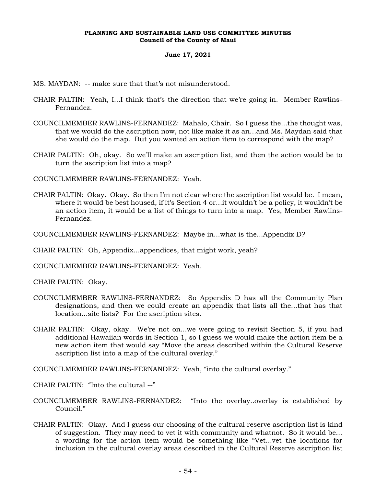#### **June 17, 2021**

- MS. MAYDAN: -- make sure that that's not misunderstood.
- CHAIR PALTIN: Yeah, I...I think that's the direction that we're going in. Member Rawlins-Fernandez.
- COUNCILMEMBER RAWLINS-FERNANDEZ: Mahalo, Chair. So I guess the...the thought was, that we would do the ascription now, not like make it as an...and Ms. Maydan said that she would do the map. But you wanted an action item to correspond with the map?
- CHAIR PALTIN: Oh, okay. So we'll make an ascription list, and then the action would be to turn the ascription list into a map?

COUNCILMEMBER RAWLINS-FERNANDEZ: Yeah.

- CHAIR PALTIN: Okay. Okay. So then I'm not clear where the ascription list would be. I mean, where it would be best housed, if it's Section 4 or...it wouldn't be a policy, it wouldn't be an action item, it would be a list of things to turn into a map. Yes, Member Rawlins-Fernandez.
- COUNCILMEMBER RAWLINS-FERNANDEZ: Maybe in...what is the...Appendix D?

CHAIR PALTIN: Oh, Appendix...appendices, that might work, yeah?

COUNCILMEMBER RAWLINS-FERNANDEZ: Yeah.

CHAIR PALTIN: Okay.

- COUNCILMEMBER RAWLINS-FERNANDEZ: So Appendix D has all the Community Plan designations, and then we could create an appendix that lists all the...that has that location...site lists? For the ascription sites.
- CHAIR PALTIN: Okay, okay. We're not on...we were going to revisit Section 5, if you had additional Hawaiian words in Section 1, so I guess we would make the action item be a new action item that would say "Move the areas described within the Cultural Reserve ascription list into a map of the cultural overlay."

COUNCILMEMBER RAWLINS-FERNANDEZ: Yeah, "into the cultural overlay."

CHAIR PALTIN: "Into the cultural --"

- COUNCILMEMBER RAWLINS-FERNANDEZ: "Into the overlay..overlay is established by Council."
- CHAIR PALTIN: Okay. And I guess our choosing of the cultural reserve ascription list is kind of suggestion. They may need to vet it with community and whatnot. So it would be... a wording for the action item would be something like "Vet...vet the locations for inclusion in the cultural overlay areas described in the Cultural Reserve ascription list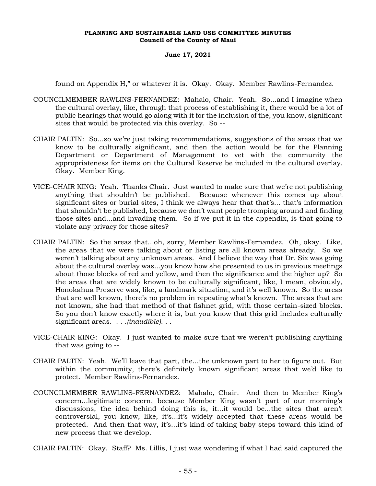## **June 17, 2021**

found on Appendix H," or whatever it is. Okay. Okay. Member Rawlins-Fernandez.

- COUNCILMEMBER RAWLINS-FERNANDEZ: Mahalo, Chair. Yeah. So...and I imagine when the cultural overlay, like, through that process of establishing it, there would be a lot of public hearings that would go along with it for the inclusion of the, you know, significant sites that would be protected via this overlay. So --
- CHAIR PALTIN: So...so we're just taking recommendations, suggestions of the areas that we know to be culturally significant, and then the action would be for the Planning Department or Department of Management to vet with the community the appropriateness for items on the Cultural Reserve be included in the cultural overlay. Okay. Member King.
- VICE-CHAIR KING: Yeah. Thanks Chair. Just wanted to make sure that we're not publishing anything that shouldn't be published. Because whenever this comes up about significant sites or burial sites, I think we always hear that that's... that's information that shouldn't be published, because we don't want people tromping around and finding those sites and...and invading them. So if we put it in the appendix, is that going to violate any privacy for those sites?
- CHAIR PALTIN: So the areas that...oh, sorry, Member Rawlins-Fernandez. Oh, okay. Like, the areas that we were talking about or listing are all known areas already. So we weren't talking about any unknown areas. And I believe the way that Dr. Six was going about the cultural overlay was...you know how she presented to us in previous meetings about those blocks of red and yellow, and then the significance and the higher up? So the areas that are widely known to be culturally significant, like, I mean, obviously, Honokahua Preserve was, like, a landmark situation, and it's well known. So the areas that are well known, there's no problem in repeating what's known. The areas that are not known, she had that method of that fishnet grid, with those certain-sized blocks. So you don't know exactly where it is, but you know that this grid includes culturally significant areas. . . .*(inaudible)*. . .
- VICE-CHAIR KING: Okay. I just wanted to make sure that we weren't publishing anything that was going to --
- CHAIR PALTIN: Yeah. We'll leave that part, the...the unknown part to her to figure out. But within the community, there's definitely known significant areas that we'd like to protect. Member Rawlins-Fernandez.
- COUNCILMEMBER RAWLINS-FERNANDEZ: Mahalo, Chair. And then to Member King's concern...legitimate concern, because Member King wasn't part of our morning's discussions, the idea behind doing this is, it...it would be...the sites that aren't controversial, you know, like, it's...it's widely accepted that these areas would be protected. And then that way, it's...it's kind of taking baby steps toward this kind of new process that we develop.

CHAIR PALTIN: Okay. Staff? Ms. Lillis, I just was wondering if what I had said captured the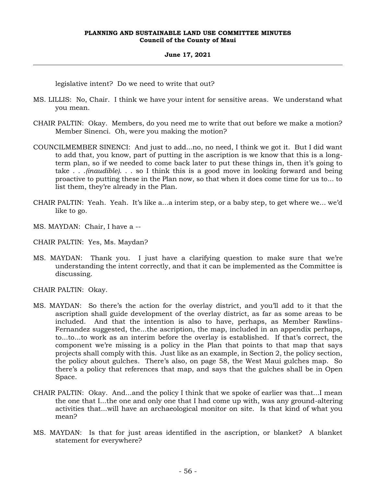#### **June 17, 2021**

legislative intent? Do we need to write that out?

- MS. LILLIS: No, Chair. I think we have your intent for sensitive areas. We understand what you mean.
- CHAIR PALTIN: Okay. Members, do you need me to write that out before we make a motion? Member Sinenci. Oh, were you making the motion?
- COUNCILMEMBER SINENCI: And just to add...no, no need, I think we got it. But I did want to add that, you know, part of putting in the ascription is we know that this is a longterm plan, so if we needed to come back later to put these things in, then it's going to take . . .*(inaudible)*. . . so I think this is a good move in looking forward and being proactive to putting these in the Plan now, so that when it does come time for us to... to list them, they're already in the Plan.
- CHAIR PALTIN: Yeah. Yeah. It's like a...a interim step, or a baby step, to get where we... we'd like to go.
- MS. MAYDAN: Chair, I have a --
- CHAIR PALTIN: Yes, Ms. Maydan?
- MS. MAYDAN: Thank you. I just have a clarifying question to make sure that we're understanding the intent correctly, and that it can be implemented as the Committee is discussing.
- CHAIR PALTIN: Okay.
- MS. MAYDAN: So there's the action for the overlay district, and you'll add to it that the ascription shall guide development of the overlay district, as far as some areas to be included. And that the intention is also to have, perhaps, as Member Rawlins-Fernandez suggested, the...the ascription, the map, included in an appendix perhaps, to...to...to work as an interim before the overlay is established. If that's correct, the component we're missing is a policy in the Plan that points to that map that says projects shall comply with this. Just like as an example, in Section 2, the policy section, the policy about gulches. There's also, on page 58, the West Maui gulches map. So there's a policy that references that map, and says that the gulches shall be in Open Space.
- CHAIR PALTIN: Okay. And...and the policy I think that we spoke of earlier was that...I mean the one that I...the one and only one that I had come up with, was any ground-altering activities that...will have an archaeological monitor on site. Is that kind of what you mean?
- MS. MAYDAN: Is that for just areas identified in the ascription, or blanket? A blanket statement for everywhere?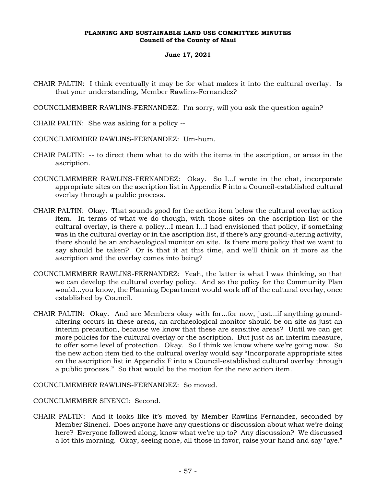## **June 17, 2021**

CHAIR PALTIN: I think eventually it may be for what makes it into the cultural overlay. Is that your understanding, Member Rawlins-Fernandez?

COUNCILMEMBER RAWLINS-FERNANDEZ: I'm sorry, will you ask the question again?

CHAIR PALTIN: She was asking for a policy --

- COUNCILMEMBER RAWLINS-FERNANDEZ: Um-hum.
- CHAIR PALTIN: -- to direct them what to do with the items in the ascription, or areas in the ascription.
- COUNCILMEMBER RAWLINS-FERNANDEZ: Okay. So I...I wrote in the chat, incorporate appropriate sites on the ascription list in Appendix F into a Council-established cultural overlay through a public process.
- CHAIR PALTIN: Okay. That sounds good for the action item below the cultural overlay action item. In terms of what we do though, with those sites on the ascription list or the cultural overlay, is there a policy...I mean I...I had envisioned that policy, if something was in the cultural overlay or in the ascription list, if there's any ground-altering activity, there should be an archaeological monitor on site. Is there more policy that we want to say should be taken? Or is that it at this time, and we'll think on it more as the ascription and the overlay comes into being?
- COUNCILMEMBER RAWLINS-FERNANDEZ: Yeah, the latter is what I was thinking, so that we can develop the cultural overlay policy. And so the policy for the Community Plan would...you know, the Planning Department would work off of the cultural overlay, once established by Council.
- CHAIR PALTIN: Okay. And are Members okay with for...for now, just...if anything groundaltering occurs in these areas, an archaeological monitor should be on site as just an interim precaution, because we know that these are sensitive areas? Until we can get more policies for the cultural overlay or the ascription. But just as an interim measure, to offer some level of protection. Okay. So I think we know where we're going now. So the new action item tied to the cultural overlay would say "Incorporate appropriate sites on the ascription list in Appendix F into a Council-established cultural overlay through a public process." So that would be the motion for the new action item.

COUNCILMEMBER RAWLINS-FERNANDEZ: So moved.

COUNCILMEMBER SINENCI: Second.

CHAIR PALTIN: And it looks like it's moved by Member Rawlins-Fernandez, seconded by Member Sinenci. Does anyone have any questions or discussion about what we're doing here? Everyone followed along, know what we're up to? Any discussion? We discussed a lot this morning. Okay, seeing none, all those in favor, raise your hand and say "aye."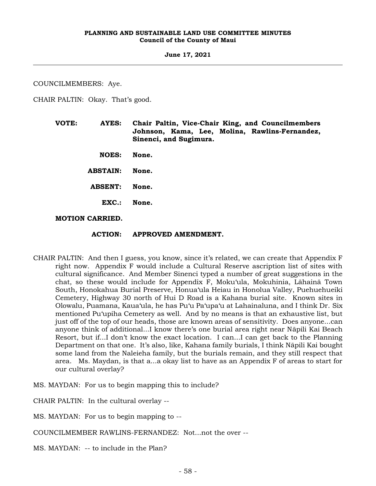**June 17, 2021**

COUNCILMEMBERS: Aye.

CHAIR PALTIN: Okay. That's good.

**VOTE: AYES: Chair Paltin, Vice-Chair King, and Councilmembers Johnson, Kama, Lee, Molina, Rawlins-Fernandez, Sinenci, and Sugimura. NOES: None. ABSTAIN: None. ABSENT: None. EXC.: None.**

# **MOTION CARRIED.**

# **ACTION: APPROVED AMENDMENT.**

CHAIR PALTIN: And then I guess, you know, since it's related, we can create that Appendix F right now. Appendix F would include a Cultural Reserve ascription list of sites with cultural significance. And Member Sinenci typed a number of great suggestions in the chat, so these would include for Appendix F, Moku'ula, Mokuhinia, Lāhainā Town South, Honokahua Burial Preserve, Honua'ula Heiau in Honolua Valley, Puehuehueiki Cemetery, Highway 30 north of Hui D Road is a Kahana burial site. Known sites in Olowalu, Puamana, Kaua'ula, he has Pu'u Pa'upa'u at Lahainaluna, and I think Dr. Six mentioned Pu'upiha Cemetery as well. And by no means is that an exhaustive list, but just off of the top of our heads, those are known areas of sensitivity. Does anyone...can anyone think of additional...I know there's one burial area right near Nāpili Kai Beach Resort, but if...I don't know the exact location. I can...I can get back to the Planning Department on that one. It's also, like, Kahana family burials, I think Nāpili Kai bought some land from the Naleieha family, but the burials remain, and they still respect that area. Ms. Maydan, is that a...a okay list to have as an Appendix F of areas to start for our cultural overlay?

MS. MAYDAN: For us to begin mapping this to include?

CHAIR PALTIN: In the cultural overlay --

MS. MAYDAN: For us to begin mapping to --

COUNCILMEMBER RAWLINS-FERNANDEZ: Not...not the over --

MS. MAYDAN: -- to include in the Plan?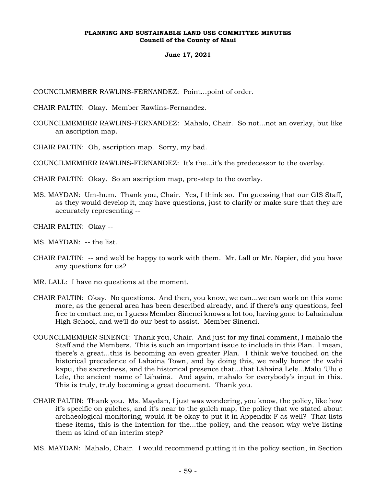#### **June 17, 2021**

COUNCILMEMBER RAWLINS-FERNANDEZ: Point...point of order.

CHAIR PALTIN: Okay. Member Rawlins-Fernandez.

COUNCILMEMBER RAWLINS-FERNANDEZ: Mahalo, Chair. So not...not an overlay, but like an ascription map.

CHAIR PALTIN: Oh, ascription map. Sorry, my bad.

COUNCILMEMBER RAWLINS-FERNANDEZ: It's the...it's the predecessor to the overlay.

CHAIR PALTIN: Okay. So an ascription map, pre-step to the overlay.

MS. MAYDAN: Um-hum. Thank you, Chair. Yes, I think so. I'm guessing that our GIS Staff, as they would develop it, may have questions, just to clarify or make sure that they are accurately representing --

CHAIR PALTIN: Okay --

MS. MAYDAN: -- the list.

- CHAIR PALTIN: -- and we'd be happy to work with them. Mr. Lall or Mr. Napier, did you have any questions for us?
- MR. LALL: I have no questions at the moment.
- CHAIR PALTIN: Okay. No questions. And then, you know, we can...we can work on this some more, as the general area has been described already, and if there's any questions, feel free to contact me, or I guess Member Sinenci knows a lot too, having gone to Lahainalua High School, and we'll do our best to assist. Member Sinenci.
- COUNCILMEMBER SINENCI: Thank you, Chair. And just for my final comment, I mahalo the Staff and the Members. This is such an important issue to include in this Plan. I mean, there's a great...this is becoming an even greater Plan. I think we've touched on the historical precedence of Lāhainā Town, and by doing this, we really honor the wahi kapu, the sacredness, and the historical presence that...that Lāhainā Lele...Malu 'Ulu o Lele, the ancient name of Lāhainā. And again, mahalo for everybody's input in this. This is truly, truly becoming a great document. Thank you.
- CHAIR PALTIN: Thank you. Ms. Maydan, I just was wondering, you know, the policy, like how it's specific on gulches, and it's near to the gulch map, the policy that we stated about archaeological monitoring, would it be okay to put it in Appendix F as well? That lists these items, this is the intention for the...the policy, and the reason why we're listing them as kind of an interim step?
- MS. MAYDAN: Mahalo, Chair. I would recommend putting it in the policy section, in Section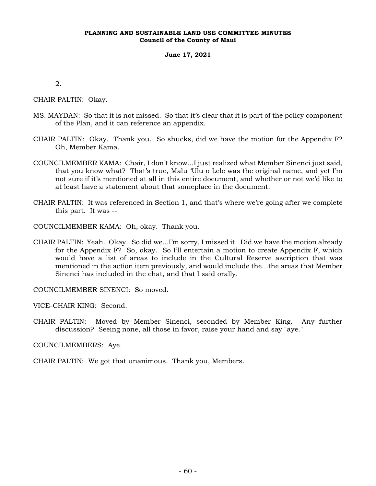#### **June 17, 2021**

2.

CHAIR PALTIN: Okay.

- MS. MAYDAN: So that it is not missed. So that it's clear that it is part of the policy component of the Plan, and it can reference an appendix.
- CHAIR PALTIN: Okay. Thank you. So shucks, did we have the motion for the Appendix F? Oh, Member Kama.
- COUNCILMEMBER KAMA: Chair, I don't know...I just realized what Member Sinenci just said, that you know what? That's true, Malu 'Ulu o Lele was the original name, and yet I'm not sure if it's mentioned at all in this entire document, and whether or not we'd like to at least have a statement about that someplace in the document.
- CHAIR PALTIN: It was referenced in Section 1, and that's where we're going after we complete this part. It was --
- COUNCILMEMBER KAMA: Oh, okay. Thank you.
- CHAIR PALTIN: Yeah. Okay. So did we...I'm sorry, I missed it. Did we have the motion already for the Appendix F? So, okay. So I'll entertain a motion to create Appendix F, which would have a list of areas to include in the Cultural Reserve ascription that was mentioned in the action item previously, and would include the...the areas that Member Sinenci has included in the chat, and that I said orally.

COUNCILMEMBER SINENCI: So moved.

VICE-CHAIR KING: Second.

CHAIR PALTIN: Moved by Member Sinenci, seconded by Member King. Any further discussion? Seeing none, all those in favor, raise your hand and say "aye."

COUNCILMEMBERS: Aye.

CHAIR PALTIN: We got that unanimous. Thank you, Members.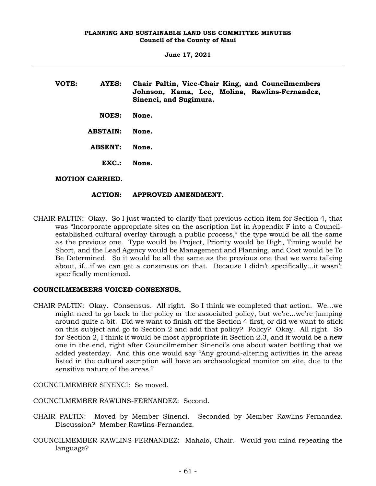| VOTE: | AYES:                  | Chair Paltin, Vice-Chair King, and Councilmembers<br>Johnson, Kama, Lee, Molina, Rawlins-Fernandez,<br>Sinenci, and Sugimura. |
|-------|------------------------|-------------------------------------------------------------------------------------------------------------------------------|
|       | <b>NOES:</b>           | None.                                                                                                                         |
|       | <b>ABSTAIN:</b>        | None.                                                                                                                         |
|       | <b>ABSENT:</b>         | None.                                                                                                                         |
|       | EXC.                   | None.                                                                                                                         |
|       | <b>MOTION CARRIED.</b> |                                                                                                                               |

# **ACTION: APPROVED AMENDMENT.**

CHAIR PALTIN: Okay. So I just wanted to clarify that previous action item for Section 4, that was "Incorporate appropriate sites on the ascription list in Appendix F into a Councilestablished cultural overlay through a public process," the type would be all the same as the previous one. Type would be Project, Priority would be High, Timing would be Short, and the Lead Agency would be Management and Planning, and Cost would be To Be Determined. So it would be all the same as the previous one that we were talking about, if...if we can get a consensus on that. Because I didn't specifically...it wasn't specifically mentioned.

# **COUNCILMEMBERS VOICED CONSENSUS.**

CHAIR PALTIN: Okay. Consensus. All right. So I think we completed that action. We...we might need to go back to the policy or the associated policy, but we're...we're jumping around quite a bit. Did we want to finish off the Section 4 first, or did we want to stick on this subject and go to Section 2 and add that policy? Policy? Okay. All right. So for Section 2, I think it would be most appropriate in Section 2.3, and it would be a new one in the end, right after Councilmember Sinenci's one about water bottling that we added yesterday. And this one would say "Any ground-altering activities in the areas listed in the cultural ascription will have an archaeological monitor on site, due to the sensitive nature of the areas."

COUNCILMEMBER SINENCI: So moved.

COUNCILMEMBER RAWLINS-FERNANDEZ: Second.

- CHAIR PALTIN: Moved by Member Sinenci. Seconded by Member Rawlins-Fernandez. Discussion? Member Rawlins-Fernandez.
- COUNCILMEMBER RAWLINS-FERNANDEZ: Mahalo, Chair. Would you mind repeating the language?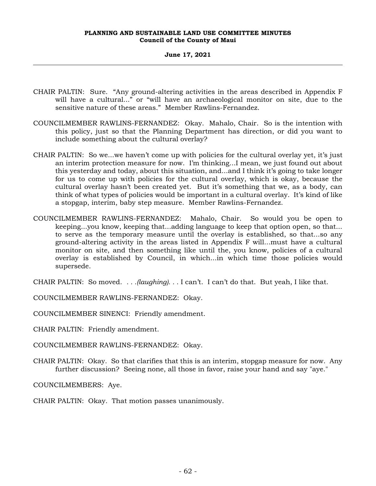#### **June 17, 2021**

- CHAIR PALTIN: Sure. "Any ground-altering activities in the areas described in Appendix F will have a cultural..." or "will have an archaeological monitor on site, due to the sensitive nature of these areas." Member Rawlins-Fernandez.
- COUNCILMEMBER RAWLINS-FERNANDEZ: Okay. Mahalo, Chair. So is the intention with this policy, just so that the Planning Department has direction, or did you want to include something about the cultural overlay?
- CHAIR PALTIN: So we...we haven't come up with policies for the cultural overlay yet, it's just an interim protection measure for now. I'm thinking...I mean, we just found out about this yesterday and today, about this situation, and...and I think it's going to take longer for us to come up with policies for the cultural overlay, which is okay, because the cultural overlay hasn't been created yet. But it's something that we, as a body, can think of what types of policies would be important in a cultural overlay. It's kind of like a stopgap, interim, baby step measure. Member Rawlins-Fernandez.
- COUNCILMEMBER RAWLINS-FERNANDEZ: Mahalo, Chair. So would you be open to keeping...you know, keeping that...adding language to keep that option open, so that... to serve as the temporary measure until the overlay is established, so that...so any ground-altering activity in the areas listed in Appendix F will...must have a cultural monitor on site, and then something like until the, you know, policies of a cultural overlay is established by Council, in which...in which time those policies would supersede.

CHAIR PALTIN: So moved. *. . .(laughing). . .* I can't. I can't do that. But yeah, I like that.

COUNCILMEMBER RAWLINS-FERNANDEZ: Okay.

COUNCILMEMBER SINENCI: Friendly amendment.

CHAIR PALTIN: Friendly amendment.

COUNCILMEMBER RAWLINS-FERNANDEZ: Okay.

CHAIR PALTIN: Okay. So that clarifies that this is an interim, stopgap measure for now. Any further discussion? Seeing none, all those in favor, raise your hand and say "aye."

COUNCILMEMBERS: Aye.

CHAIR PALTIN: Okay. That motion passes unanimously.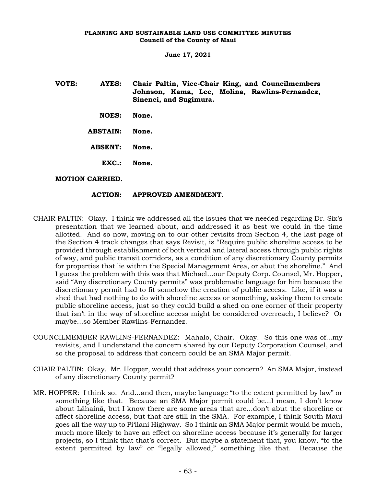| VOTE: | AYES:                  | Chair Paltin, Vice-Chair King, and Councilmembers<br>Johnson, Kama, Lee, Molina, Rawlins-Fernandez,<br>Sinenci, and Sugimura. |
|-------|------------------------|-------------------------------------------------------------------------------------------------------------------------------|
|       | <b>NOES:</b>           | None.                                                                                                                         |
|       | <b>ABSTAIN:</b>        | None.                                                                                                                         |
|       | <b>ABSENT:</b>         | None.                                                                                                                         |
|       | EXC.                   | None.                                                                                                                         |
|       | <b>MOTION CARRIED.</b> |                                                                                                                               |

# **ACTION: APPROVED AMENDMENT.**

- CHAIR PALTIN: Okay. I think we addressed all the issues that we needed regarding Dr. Six's presentation that we learned about, and addressed it as best we could in the time allotted. And so now, moving on to our other revisits from Section 4, the last page of the Section 4 track changes that says Revisit, is "Require public shoreline access to be provided through establishment of both vertical and lateral access through public rights of way, and public transit corridors, as a condition of any discretionary County permits for properties that lie within the Special Management Area, or abut the shoreline." And I guess the problem with this was that Michael...our Deputy Corp. Counsel, Mr. Hopper, said "Any discretionary County permits" was problematic language for him because the discretionary permit had to fit somehow the creation of public access. Like, if it was a shed that had nothing to do with shoreline access or something, asking them to create public shoreline access, just so they could build a shed on one corner of their property that isn't in the way of shoreline access might be considered overreach, I believe? Or maybe...so Member Rawlins-Fernandez.
- COUNCILMEMBER RAWLINS-FERNANDEZ: Mahalo, Chair. Okay. So this one was of...my revisits, and I understand the concern shared by our Deputy Corporation Counsel, and so the proposal to address that concern could be an SMA Major permit.
- CHAIR PALTIN: Okay. Mr. Hopper, would that address your concern? An SMA Major, instead of any discretionary County permit?
- MR. HOPPER: I think so. And...and then, maybe language "to the extent permitted by law" or something like that. Because an SMA Major permit could be...I mean, I don't know about Lāhainā, but I know there are some areas that are...don't abut the shoreline or affect shoreline access, but that are still in the SMA. For example, I think South Maui goes all the way up to Pi'ilani Highway. So I think an SMA Major permit would be much, much more likely to have an effect on shoreline access because it's generally for larger projects, so I think that that's correct. But maybe a statement that, you know, "to the extent permitted by law" or "legally allowed," something like that. Because the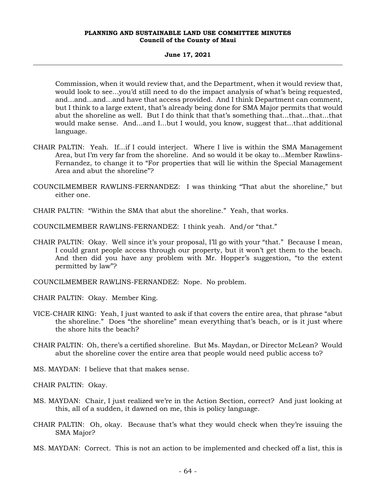#### **June 17, 2021**

Commission, when it would review that, and the Department, when it would review that, would look to see...you'd still need to do the impact analysis of what's being requested, and...and...and...and have that access provided. And I think Department can comment, but I think to a large extent, that's already being done for SMA Major permits that would abut the shoreline as well. But I do think that that's something that...that...that...that would make sense. And...and I...but I would, you know, suggest that...that additional language.

- CHAIR PALTIN: Yeah. If...if I could interject. Where I live is within the SMA Management Area, but I'm very far from the shoreline. And so would it be okay to...Member Rawlins-Fernandez, to change it to "For properties that will lie within the Special Management Area and abut the shoreline"?
- COUNCILMEMBER RAWLINS-FERNANDEZ: I was thinking "That abut the shoreline," but either one.
- CHAIR PALTIN: "Within the SMA that abut the shoreline." Yeah, that works.
- COUNCILMEMBER RAWLINS-FERNANDEZ: I think yeah. And/or "that."
- CHAIR PALTIN: Okay. Well since it's your proposal, I'll go with your "that." Because I mean, I could grant people access through our property, but it won't get them to the beach. And then did you have any problem with Mr. Hopper's suggestion, "to the extent permitted by law"?
- COUNCILMEMBER RAWLINS-FERNANDEZ: Nope. No problem.
- CHAIR PALTIN: Okay. Member King.
- VICE-CHAIR KING: Yeah, I just wanted to ask if that covers the entire area, that phrase "abut the shoreline." Does "the shoreline" mean everything that's beach, or is it just where the shore hits the beach?
- CHAIR PALTIN: Oh, there's a certified shoreline. But Ms. Maydan, or Director McLean? Would abut the shoreline cover the entire area that people would need public access to?
- MS. MAYDAN: I believe that that makes sense.
- CHAIR PALTIN: Okay.
- MS. MAYDAN: Chair, I just realized we're in the Action Section, correct? And just looking at this, all of a sudden, it dawned on me, this is policy language.
- CHAIR PALTIN: Oh, okay. Because that's what they would check when they're issuing the SMA Major?
- MS. MAYDAN: Correct. This is not an action to be implemented and checked off a list, this is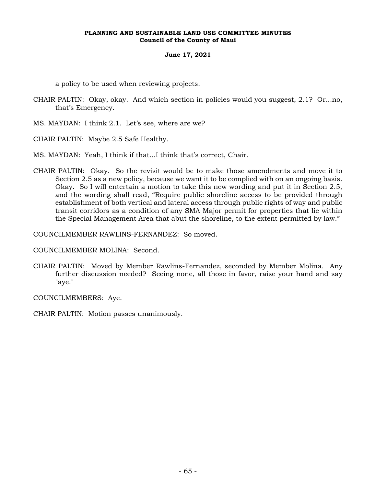# **June 17, 2021**

a policy to be used when reviewing projects.

- CHAIR PALTIN: Okay, okay. And which section in policies would you suggest, 2.1? Or...no, that's Emergency.
- MS. MAYDAN: I think 2.1. Let's see, where are we?
- CHAIR PALTIN: Maybe 2.5 Safe Healthy.
- MS. MAYDAN: Yeah, I think if that...I think that's correct, Chair.
- CHAIR PALTIN: Okay. So the revisit would be to make those amendments and move it to Section 2.5 as a new policy, because we want it to be complied with on an ongoing basis. Okay. So I will entertain a motion to take this new wording and put it in Section 2.5, and the wording shall read, "Require public shoreline access to be provided through establishment of both vertical and lateral access through public rights of way and public transit corridors as a condition of any SMA Major permit for properties that lie within the Special Management Area that abut the shoreline, to the extent permitted by law."

COUNCILMEMBER RAWLINS-FERNANDEZ: So moved.

COUNCILMEMBER MOLINA: Second.

CHAIR PALTIN: Moved by Member Rawlins-Fernandez, seconded by Member Molina. Any further discussion needed? Seeing none, all those in favor, raise your hand and say "aye."

COUNCILMEMBERS: Aye.

CHAIR PALTIN: Motion passes unanimously.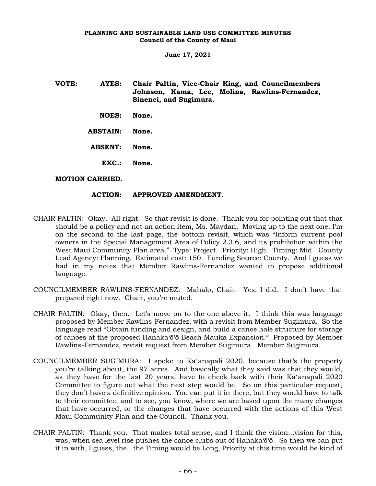| VOTE: | AYES:                  | Chair Paltin, Vice-Chair King, and Councilmembers<br>Johnson, Kama, Lee, Molina, Rawlins-Fernandez,<br>Sinenci, and Sugimura. |
|-------|------------------------|-------------------------------------------------------------------------------------------------------------------------------|
|       | <b>NOES:</b>           | None.                                                                                                                         |
|       | <b>ABSTAIN:</b>        | None.                                                                                                                         |
|       | <b>ABSENT:</b>         | None.                                                                                                                         |
|       | $\mathbf{EXC}$ .:      | None.                                                                                                                         |
|       | <b>MOTION CARRIED.</b> |                                                                                                                               |

# **ACTION: APPROVED AMENDMENT.**

- CHAIR PALTIN: Okay. All right. So that revisit is done. Thank you for pointing out that that should be a policy and not an action item, Ms. Maydan. Moving up to the next one, I'm on the second to the last page, the bottom revisit, which was "Inform current pool owners in the Special Management Area of Policy 2.3.6, and its prohibition within the West Maui Community Plan area." Type: Project. Priority: High. Timing: Mid. County Lead Agency: Planning. Estimated cost: 150. Funding Source: County. And I guess we had in my notes that Member Rawlins-Fernandez wanted to propose additional language.
- COUNCILMEMBER RAWLINS-FERNANDEZ: Mahalo, Chair. Yes, I did. I don't have that prepared right now. Chair, you're muted.
- CHAIR PALTIN: Okay, then. Let's move on to the one above it. I think this was language proposed by Member Rawlins-Fernandez, with a revisit from Member Sugimura. So the language read "Obtain funding and design, and build a canoe hale structure for storage of canoes at the proposed Hanaka'ō'ō Beach Mauka Expansion." Proposed by Member Rawlins-Fernandez, revisit request from Member Sugimura. Member Sugimura.
- COUNCILMEMBER SUGIMURA: I spoke to Kāʻanapali 2020, because that's the property you're talking about, the 97 acres. And basically what they said was that they would, as they have for the last 20 years, have to check back with their Kāʻanapali 2020 Committee to figure out what the next step would be. So on this particular request, they don't have a definitive opinion. You can put it in there, but they would have to talk to their committee, and to see, you know, where we are based upon the many changes that have occurred, or the changes that have occurred with the actions of this West Maui Community Plan and the Council. Thank you.
- CHAIR PALTIN: Thank you. That makes total sense, and I think the vision...vision for this, was, when sea level rise pushes the canoe clubs out of Hanaka'ō'ō. So then we can put it in with, I guess, the...the Timing would be Long, Priority at this time would be kind of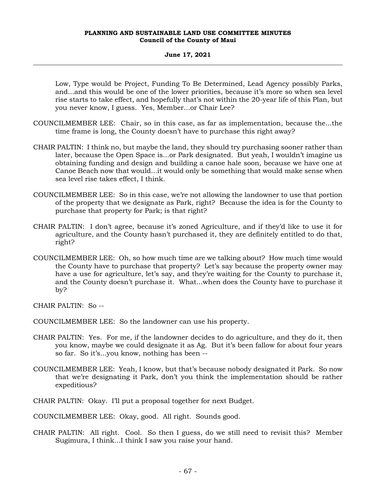#### **June 17, 2021**

Low, Type would be Project, Funding To Be Determined, Lead Agency possibly Parks, and...and this would be one of the lower priorities, because it's more so when sea level rise starts to take effect, and hopefully that's not within the 20-year life of this Plan, but you never know, I guess. Yes, Member...or Chair Lee?

- COUNCILMEMBER LEE: Chair, so in this case, as far as implementation, because the...the time frame is long, the County doesn't have to purchase this right away?
- CHAIR PALTIN: I think no, but maybe the land, they should try purchasing sooner rather than later, because the Open Space is...or Park designated. But yeah, I wouldn't imagine us obtaining funding and design and building a canoe hale soon, because we have one at Canoe Beach now that would...it would only be something that would make sense when sea level rise takes effect, I think.
- COUNCILMEMBER LEE: So in this case, we're not allowing the landowner to use that portion of the property that we designate as Park, right? Because the idea is for the County to purchase that property for Park; is that right?
- CHAIR PALTIN: I don't agree, because it's zoned Agriculture, and if they'd like to use it for agriculture, and the County hasn't purchased it, they are definitely entitled to do that, right?
- COUNCILMEMBER LEE: Oh, so how much time are we talking about? How much time would the County have to purchase that property? Let's say because the property owner may have a use for agriculture, let's say, and they're waiting for the County to purchase it, and the County doesn't purchase it. What...when does the County have to purchase it by?

CHAIR PALTIN: So --

COUNCILMEMBER LEE: So the landowner can use his property.

- CHAIR PALTIN: Yes. For me, if the landowner decides to do agriculture, and they do it, then you know, maybe we could designate it as Ag. But it's been fallow for about four years so far. So it's...you know, nothing has been --
- COUNCILMEMBER LEE: Yeah, I know, but that's because nobody designated it Park. So now that we're designating it Park, don't you think the implementation should be rather expeditious?
- CHAIR PALTIN: Okay. I'll put a proposal together for next Budget.

COUNCILMEMBER LEE: Okay, good. All right. Sounds good.

CHAIR PALTIN: All right. Cool. So then I guess, do we still need to revisit this? Member Sugimura, I think...I think I saw you raise your hand.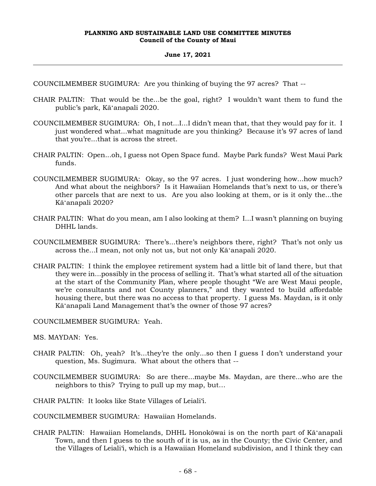## **June 17, 2021**

COUNCILMEMBER SUGIMURA: Are you thinking of buying the 97 acres? That --

- CHAIR PALTIN: That would be the...be the goal, right? I wouldn't want them to fund the public's park, Kāʻanapali 2020.
- COUNCILMEMBER SUGIMURA: Oh, I not...I...I didn't mean that, that they would pay for it. I just wondered what...what magnitude are you thinking? Because it's 97 acres of land that you're...that is across the street.
- CHAIR PALTIN: Open...oh, I guess not Open Space fund. Maybe Park funds? West Maui Park funds.
- COUNCILMEMBER SUGIMURA: Okay, so the 97 acres. I just wondering how...how much? And what about the neighbors? Is it Hawaiian Homelands that's next to us, or there's other parcels that are next to us. Are you also looking at them, or is it only the...the Kāʻanapali 2020?
- CHAIR PALTIN: What do you mean, am I also looking at them? I...I wasn't planning on buying DHHL lands.
- COUNCILMEMBER SUGIMURA: There's...there's neighbors there, right? That's not only us across the...I mean, not only not us, but not only Kāʻanapali 2020.
- CHAIR PALTIN: I think the employee retirement system had a little bit of land there, but that they were in...possibly in the process of selling it. That's what started all of the situation at the start of the Community Plan, where people thought "We are West Maui people, we're consultants and not County planners," and they wanted to build affordable housing there, but there was no access to that property. I guess Ms. Maydan, is it only Kāʻanapali Land Management that's the owner of those 97 acres?

COUNCILMEMBER SUGIMURA: Yeah.

MS. MAYDAN: Yes.

- CHAIR PALTIN: Oh, yeah? It's...they're the only...so then I guess I don't understand your question, Ms. Sugimura. What about the others that --
- COUNCILMEMBER SUGIMURA: So are there...maybe Ms. Maydan, are there...who are the neighbors to this? Trying to pull up my map, but…

CHAIR PALTIN: It looks like State Villages of Leiali'i.

COUNCILMEMBER SUGIMURA: Hawaiian Homelands.

CHAIR PALTIN: Hawaiian Homelands, DHHL Honokōwai is on the north part of Kāʻanapali Town, and then I guess to the south of it is us, as in the County; the Civic Center, and the Villages of Leiali'i, which is a Hawaiian Homeland subdivision, and I think they can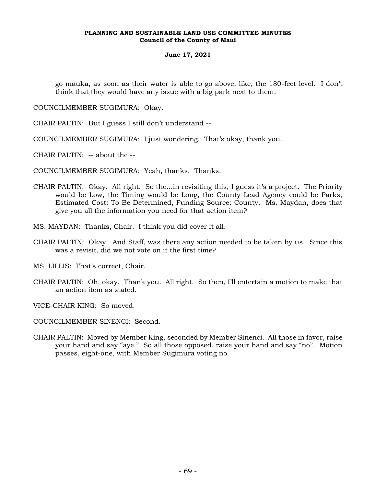# **June 17, 2021**

go mauka, as soon as their water is able to go above, like, the 180-feet level. I don't think that they would have any issue with a big park next to them.

COUNCILMEMBER SUGIMURA: Okay.

CHAIR PALTIN: But I guess I still don't understand --

COUNCILMEMBER SUGIMURA: I just wondering. That's okay, thank you.

CHAIR PALTIN: -- about the --

COUNCILMEMBER SUGIMURA: Yeah, thanks. Thanks.

CHAIR PALTIN: Okay. All right. So the...in revisiting this, I guess it's a project. The Priority would be Low, the Timing would be Long, the County Lead Agency could be Parks, Estimated Cost: To Be Determined, Funding Source: County. Ms. Maydan, does that give you all the information you need for that action item?

MS. MAYDAN: Thanks, Chair. I think you did cover it all.

CHAIR PALTIN: Okay. And Staff, was there any action needed to be taken by us. Since this was a revisit, did we not vote on it the first time?

MS. LILLIS: That's correct, Chair.

CHAIR PALTIN: Oh, okay. Thank you. All right. So then, I'll entertain a motion to make that an action item as stated.

VICE-CHAIR KING: So moved.

COUNCILMEMBER SINENCI: Second.

CHAIR PALTIN: Moved by Member King, seconded by Member Sinenci. All those in favor, raise your hand and say "aye." So all those opposed, raise your hand and say "no". Motion passes, eight-one, with Member Sugimura voting no.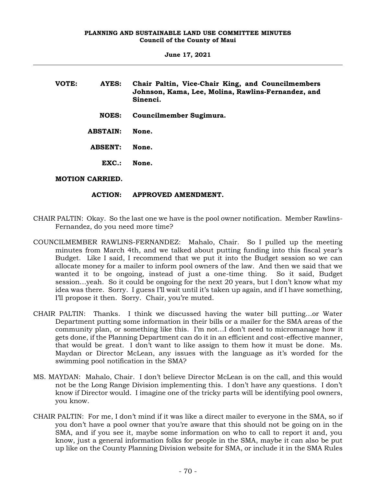| VOTE: | AYES:                  | Chair Paltin, Vice-Chair King, and Councilmembers<br>Johnson, Kama, Lee, Molina, Rawlins-Fernandez, and<br>Sinenci. |
|-------|------------------------|---------------------------------------------------------------------------------------------------------------------|
|       | <b>NOES:</b>           | Councilmember Sugimura.                                                                                             |
|       | <b>ABSTAIN:</b>        | None.                                                                                                               |
|       | <b>ABSENT:</b>         | None.                                                                                                               |
|       | EXC.                   | None.                                                                                                               |
|       | <b>MOTION CARRIED.</b> |                                                                                                                     |

# **ACTION: APPROVED AMENDMENT.**

- CHAIR PALTIN: Okay. So the last one we have is the pool owner notification. Member Rawlins-Fernandez, do you need more time?
- COUNCILMEMBER RAWLINS-FERNANDEZ: Mahalo, Chair. So I pulled up the meeting minutes from March 4th, and we talked about putting funding into this fiscal year's Budget. Like I said, I recommend that we put it into the Budget session so we can allocate money for a mailer to inform pool owners of the law. And then we said that we wanted it to be ongoing, instead of just a one-time thing. So it said, Budget session…yeah. So it could be ongoing for the next 20 years, but I don't know what my idea was there. Sorry. I guess I'll wait until it's taken up again, and if I have something, I'll propose it then. Sorry. Chair, you're muted.
- CHAIR PALTIN: Thanks. I think we discussed having the water bill putting…or Water Department putting some information in their bills or a mailer for the SMA areas of the community plan, or something like this. I'm not…I don't need to micromanage how it gets done, if the Planning Department can do it in an efficient and cost-effective manner, that would be great. I don't want to like assign to them how it must be done. Ms. Maydan or Director McLean, any issues with the language as it's worded for the swimming pool notification in the SMA?
- MS. MAYDAN: Mahalo, Chair. I don't believe Director McLean is on the call, and this would not be the Long Range Division implementing this. I don't have any questions. I don't know if Director would. I imagine one of the tricky parts will be identifying pool owners, you know.
- CHAIR PALTIN: For me, I don't mind if it was like a direct mailer to everyone in the SMA, so if you don't have a pool owner that you're aware that this should not be going on in the SMA, and if you see it, maybe some information on who to call to report it and, you know, just a general information folks for people in the SMA, maybe it can also be put up like on the County Planning Division website for SMA, or include it in the SMA Rules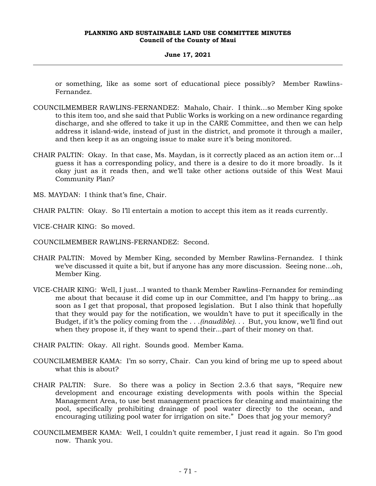## **June 17, 2021**

or something, like as some sort of educational piece possibly? Member Rawlins-Fernandez.

- COUNCILMEMBER RAWLINS-FERNANDEZ: Mahalo, Chair. I think…so Member King spoke to this item too, and she said that Public Works is working on a new ordinance regarding discharge, and she offered to take it up in the CARE Committee, and then we can help address it island-wide, instead of just in the district, and promote it through a mailer, and then keep it as an ongoing issue to make sure it's being monitored.
- CHAIR PALTIN: Okay. In that case, Ms. Maydan, is it correctly placed as an action item or…I guess it has a corresponding policy, and there is a desire to do it more broadly. Is it okay just as it reads then, and we'll take other actions outside of this West Maui Community Plan?
- MS. MAYDAN: I think that's fine, Chair.

CHAIR PALTIN: Okay. So I'll entertain a motion to accept this item as it reads currently.

- VICE-CHAIR KING: So moved.
- COUNCILMEMBER RAWLINS-FERNANDEZ: Second.
- CHAIR PALTIN: Moved by Member King, seconded by Member Rawlins-Fernandez. I think we've discussed it quite a bit, but if anyone has any more discussion. Seeing none…oh, Member King.
- VICE-CHAIR KING: Well, I just…I wanted to thank Member Rawlins-Fernandez for reminding me about that because it did come up in our Committee, and I'm happy to bring…as soon as I get that proposal, that proposed legislation. But I also think that hopefully that they would pay for the notification, we wouldn't have to put it specifically in the Budget, if it's the policy coming from the . . .*(inaudible)*. . . But, you know, we'll find out when they propose it, if they want to spend their...part of their money on that.

CHAIR PALTIN: Okay. All right. Sounds good. Member Kama.

- COUNCILMEMBER KAMA: I'm so sorry, Chair. Can you kind of bring me up to speed about what this is about?
- CHAIR PALTIN: Sure. So there was a policy in Section 2.3.6 that says, "Require new development and encourage existing developments with pools within the Special Management Area, to use best management practices for cleaning and maintaining the pool, specifically prohibiting drainage of pool water directly to the ocean, and encouraging utilizing pool water for irrigation on site." Does that jog your memory?
- COUNCILMEMBER KAMA: Well, I couldn't quite remember, I just read it again. So I'm good now. Thank you.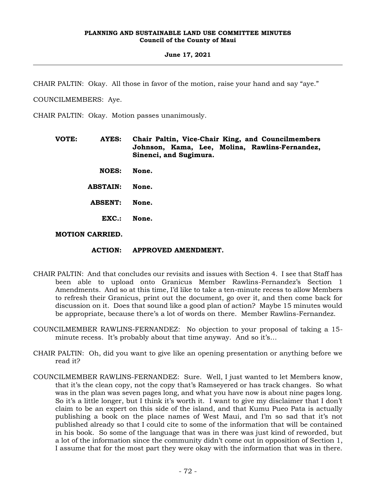#### **June 17, 2021**

CHAIR PALTIN: Okay. All those in favor of the motion, raise your hand and say "aye."

COUNCILMEMBERS: Aye.

CHAIR PALTIN: Okay. Motion passes unanimously.

- **VOTE: AYES: Chair Paltin, Vice-Chair King, and Councilmembers Johnson, Kama, Lee, Molina, Rawlins-Fernandez, Sinenci, and Sugimura.**
	- **NOES: None.**
	- **ABSTAIN: None.**

**ABSENT: None.**

**EXC.: None.**

**MOTION CARRIED.**

## **ACTION: APPROVED AMENDMENT.**

- CHAIR PALTIN: And that concludes our revisits and issues with Section 4. I see that Staff has been able to upload onto Granicus Member Rawlins-Fernandez's Section 1 Amendments. And so at this time, I'd like to take a ten-minute recess to allow Members to refresh their Granicus, print out the document, go over it, and then come back for discussion on it. Does that sound like a good plan of action? Maybe 15 minutes would be appropriate, because there's a lot of words on there. Member Rawlins-Fernandez.
- COUNCILMEMBER RAWLINS-FERNANDEZ: No objection to your proposal of taking a 15 minute recess. It's probably about that time anyway. And so it's…
- CHAIR PALTIN: Oh, did you want to give like an opening presentation or anything before we read it?
- COUNCILMEMBER RAWLINS-FERNANDEZ: Sure. Well, I just wanted to let Members know, that it's the clean copy, not the copy that's Ramseyered or has track changes. So what was in the plan was seven pages long, and what you have now is about nine pages long. So it's a little longer, but I think it's worth it. I want to give my disclaimer that I don't claim to be an expert on this side of the island, and that Kumu Pueo Pata is actually publishing a book on the place names of West Maui, and I'm so sad that it's not published already so that I could cite to some of the information that will be contained in his book. So some of the language that was in there was just kind of reworded, but a lot of the information since the community didn't come out in opposition of Section 1, I assume that for the most part they were okay with the information that was in there.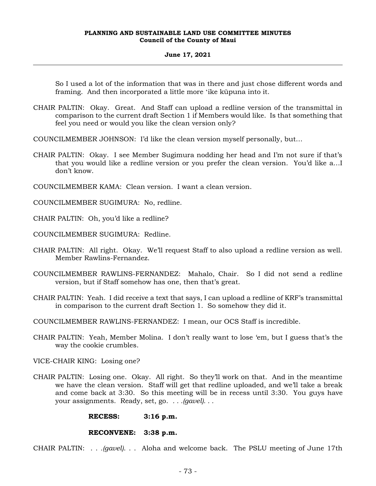#### **June 17, 2021**

So I used a lot of the information that was in there and just chose different words and framing. And then incorporated a little more ʻike kūpuna into it.

- CHAIR PALTIN: Okay. Great. And Staff can upload a redline version of the transmittal in comparison to the current draft Section 1 if Members would like. Is that something that feel you need or would you like the clean version only?
- COUNCILMEMBER JOHNSON: I'd like the clean version myself personally, but…
- CHAIR PALTIN: Okay. I see Member Sugimura nodding her head and I'm not sure if that's that you would like a redline version or you prefer the clean version. You'd like a…I don't know.
- COUNCILMEMBER KAMA: Clean version. I want a clean version.

COUNCILMEMBER SUGIMURA: No, redline.

CHAIR PALTIN: Oh, you'd like a redline?

COUNCILMEMBER SUGIMURA: Redline.

- CHAIR PALTIN: All right. Okay. We'll request Staff to also upload a redline version as well. Member Rawlins-Fernandez.
- COUNCILMEMBER RAWLINS-FERNANDEZ: Mahalo, Chair. So I did not send a redline version, but if Staff somehow has one, then that's great.
- CHAIR PALTIN: Yeah. I did receive a text that says, I can upload a redline of KRF's transmittal in comparison to the current draft Section 1. So somehow they did it.

COUNCILMEMBER RAWLINS-FERNANDEZ: I mean, our OCS Staff is incredible.

CHAIR PALTIN: Yeah, Member Molina. I don't really want to lose 'em, but I guess that's the way the cookie crumbles.

VICE-CHAIR KING: Losing one?

CHAIR PALTIN: Losing one. Okay. All right. So they'll work on that. And in the meantime we have the clean version. Staff will get that redline uploaded, and we'll take a break and come back at 3:30. So this meeting will be in recess until 3:30. You guys have your assignments. Ready, set, go. *. . .(gavel). . .*

**RECESS: 3:16 p.m.**

#### **RECONVENE: 3:38 p.m.**

CHAIR PALTIN: . . *.(gavel)*. . . Aloha and welcome back. The PSLU meeting of June 17th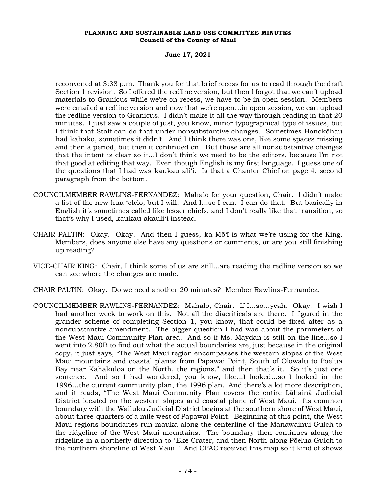**June 17, 2021**

reconvened at 3:38 p.m. Thank you for that brief recess for us to read through the draft Section 1 revision. So I offered the redline version, but then I forgot that we can't upload materials to Granicus while we're on recess, we have to be in open session. Members were emailed a redline version and now that we're open…in open session, we can upload the redline version to Granicus. I didn't make it all the way through reading in that 20 minutes. I just saw a couple of just, you know, minor typographical type of issues, but I think that Staff can do that under nonsubstantive changes. Sometimes Honokōhau had kahakō, sometimes it didn't. And I think there was one, like some spaces missing and then a period, but then it continued on. But those are all nonsubstantive changes that the intent is clear so it…I don't think we need to be the editors, because I'm not that good at editing that way. Even though English is my first language. I guess one of the questions that I had was kaukau aliʻi. Is that a Chanter Chief on page 4, second paragraph from the bottom.

- COUNCILMEMBER RAWLINS-FERNANDEZ: Mahalo for your question, Chair. I didn't make a list of the new hua ʻōlelo, but I will. And I…so I can. I can do that. But basically in English it's sometimes called like lesser chiefs, and I don't really like that transition, so that's why I used, kaukau akauliʻi instead.
- CHAIR PALTIN: Okay. Okay. And then I guess, ka Mō'ī is what we're using for the King. Members, does anyone else have any questions or comments, or are you still finishing up reading?
- VICE-CHAIR KING: Chair, I think some of us are still...are reading the redline version so we can see where the changes are made.
- CHAIR PALTIN: Okay. Do we need another 20 minutes? Member Rawlins-Fernandez.
- COUNCILMEMBER RAWLINS-FERNANDEZ: Mahalo, Chair. If I…so…yeah. Okay. I wish I had another week to work on this. Not all the diacriticals are there. I figured in the grander scheme of completing Section 1, you know, that could be fixed after as a nonsubstantive amendment. The bigger question I had was about the parameters of the West Maui Community Plan area. And so if Ms. Maydan is still on the line...so I went into 2.80B to find out what the actual boundaries are, just because in the original copy, it just says, "The West Maui region encompasses the western slopes of the West Maui mountains and coastal planes from Papawai Point, South of Olowalu to Pōelua Bay near Kahakuloa on the North, the regions." and then that's it. So it's just one sentence. And so I had wondered, you know, like…I looked…so I looked in the 1996…the current community plan, the 1996 plan. And there's a lot more description, and it reads, "The West Maui Community Plan covers the entire Lāhainā Judicial District located on the western slopes and coastal plane of West Maui. Its common boundary with the Wailuku Judicial District begins at the southern shore of West Maui, about three-quarters of a mile west of Papawai Point. Beginning at this point, the West Maui regions boundaries run mauka along the centerline of the Manawainui Gulch to the ridgeline of the West Maui mountains. The boundary then continues along the ridgeline in a northerly direction to ʻEke Crater, and then North along Pōelua Gulch to the northern shoreline of West Maui." And CPAC received this map so it kind of shows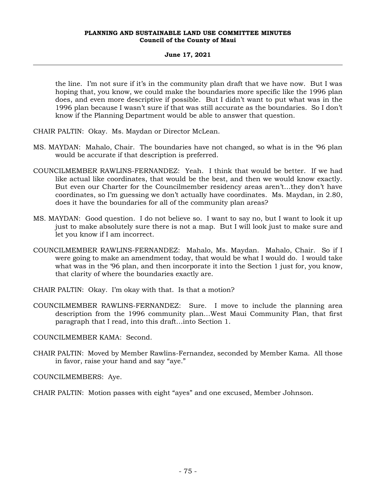## **June 17, 2021**

the line. I'm not sure if it's in the community plan draft that we have now. But I was hoping that, you know, we could make the boundaries more specific like the 1996 plan does, and even more descriptive if possible. But I didn't want to put what was in the 1996 plan because I wasn't sure if that was still accurate as the boundaries. So I don't know if the Planning Department would be able to answer that question.

CHAIR PALTIN: Okay. Ms. Maydan or Director McLean.

- MS. MAYDAN: Mahalo, Chair. The boundaries have not changed, so what is in the '96 plan would be accurate if that description is preferred.
- COUNCILMEMBER RAWLINS-FERNANDEZ: Yeah. I think that would be better. If we had like actual like coordinates, that would be the best, and then we would know exactly. But even our Charter for the Councilmember residency areas aren't…they don't have coordinates, so I'm guessing we don't actually have coordinates. Ms. Maydan, in 2.80, does it have the boundaries for all of the community plan areas?
- MS. MAYDAN: Good question. I do not believe so. I want to say no, but I want to look it up just to make absolutely sure there is not a map. But I will look just to make sure and let you know if I am incorrect.
- COUNCILMEMBER RAWLINS-FERNANDEZ: Mahalo, Ms. Maydan. Mahalo, Chair. So if I were going to make an amendment today, that would be what I would do. I would take what was in the '96 plan, and then incorporate it into the Section 1 just for, you know, that clarity of where the boundaries exactly are.
- CHAIR PALTIN: Okay. I'm okay with that. Is that a motion?
- COUNCILMEMBER RAWLINS-FERNANDEZ: Sure. I move to include the planning area description from the 1996 community plan…West Maui Community Plan, that first paragraph that I read, into this draft…into Section 1.

COUNCILMEMBER KAMA: Second.

CHAIR PALTIN: Moved by Member Rawlins-Fernandez, seconded by Member Kama. All those in favor, raise your hand and say "aye."

COUNCILMEMBERS: Aye.

CHAIR PALTIN: Motion passes with eight "ayes" and one excused, Member Johnson.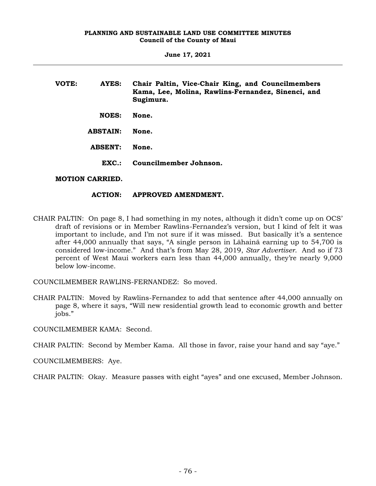**June 17, 2021**

| VOTE: | AYES:                  | Chair Paltin, Vice-Chair King, and Councilmembers<br>Kama, Lee, Molina, Rawlins-Fernandez, Sinenci, and<br>Sugimura. |
|-------|------------------------|----------------------------------------------------------------------------------------------------------------------|
|       | <b>NOES:</b>           | None.                                                                                                                |
|       | <b>ABSTAIN:</b>        | None.                                                                                                                |
|       | <b>ABSENT:</b>         | None.                                                                                                                |
|       | $EXC$ .:               | Councilmember Johnson.                                                                                               |
|       | <b>MOTION CARRIED.</b> |                                                                                                                      |

#### **ACTION: APPROVED AMENDMENT.**

CHAIR PALTIN: On page 8, I had something in my notes, although it didn't come up on OCS' draft of revisions or in Member Rawlins-Fernandez's version, but I kind of felt it was important to include, and I'm not sure if it was missed. But basically it's a sentence after 44,000 annually that says, "A single person in Lāhainā earning up to 54,700 is considered low-income." And that's from May 28, 2019, *Star Advertiser*. And so if 73 percent of West Maui workers earn less than 44,000 annually, they're nearly 9,000 below low-income.

COUNCILMEMBER RAWLINS-FERNANDEZ: So moved.

CHAIR PALTIN: Moved by Rawlins-Fernandez to add that sentence after 44,000 annually on page 8, where it says, "Will new residential growth lead to economic growth and better jobs."

COUNCILMEMBER KAMA: Second.

CHAIR PALTIN: Second by Member Kama. All those in favor, raise your hand and say "aye."

COUNCILMEMBERS: Aye.

CHAIR PALTIN: Okay. Measure passes with eight "ayes" and one excused, Member Johnson.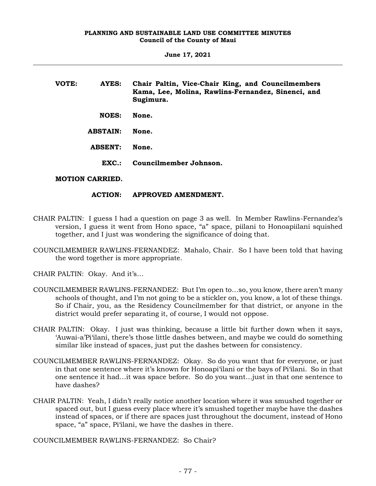**June 17, 2021**

| VOTE: | AYES:           | Chair Paltin, Vice-Chair King, and Councilmembers<br>Kama, Lee, Molina, Rawlins-Fernandez, Sinenci, and<br>Sugimura. |
|-------|-----------------|----------------------------------------------------------------------------------------------------------------------|
|       | <b>NOES:</b>    | None.                                                                                                                |
|       | <b>ABSTAIN:</b> | None.                                                                                                                |
|       | <b>ABSENT:</b>  | None.                                                                                                                |
|       | $EXC.$ :        | Councilmember Johnson.                                                                                               |

# **MOTION CARRIED.**

#### **ACTION: APPROVED AMENDMENT.**

- CHAIR PALTIN: I guess I had a question on page 3 as well. In Member Rawlins-Fernandez's version, I guess it went from Hono space, "a" space, piilani to Honoapiilani squished together, and I just was wondering the significance of doing that.
- COUNCILMEMBER RAWLINS-FERNANDEZ: Mahalo, Chair. So I have been told that having the word together is more appropriate.

CHAIR PALTIN: Okay. And it's…

- COUNCILMEMBER RAWLINS-FERNANDEZ: But I'm open to…so, you know, there aren't many schools of thought, and I'm not going to be a stickler on, you know, a lot of these things. So if Chair, you, as the Residency Councilmember for that district, or anyone in the district would prefer separating it, of course, I would not oppose.
- CHAIR PALTIN: Okay. I just was thinking, because a little bit further down when it says, 'Auwai-a'Pi'ilani, there's those little dashes between, and maybe we could do something similar like instead of spaces, just put the dashes between for consistency.
- COUNCILMEMBER RAWLINS-FERNANDEZ: Okay. So do you want that for everyone, or just in that one sentence where it's known for Honoapi'ilani or the bays of Pi'ilani. So in that one sentence it had…it was space before. So do you want…just in that one sentence to have dashes?
- CHAIR PALTIN: Yeah, I didn't really notice another location where it was smushed together or spaced out, but I guess every place where it's smushed together maybe have the dashes instead of spaces, or if there are spaces just throughout the document, instead of Hono space, "a" space, Pi'ilani, we have the dashes in there.

COUNCILMEMBER RAWLINS-FERNANDEZ: So Chair?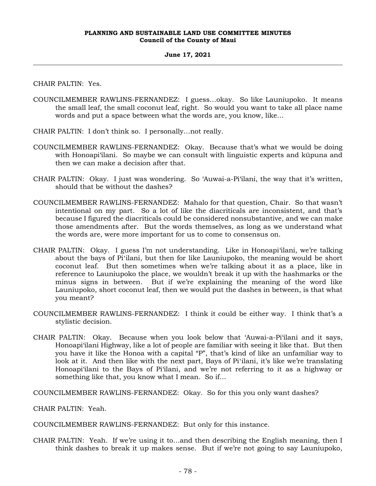#### **June 17, 2021**

CHAIR PALTIN: Yes.

- COUNCILMEMBER RAWLINS-FERNANDEZ: I guess…okay. So like Launiupoko. It means the small leaf, the small coconut leaf, right. So would you want to take all place name words and put a space between what the words are, you know, like…
- CHAIR PALTIN: I don't think so. I personally…not really.
- COUNCILMEMBER RAWLINS-FERNANDEZ: Okay. Because that's what we would be doing with Honoapi'ilani. So maybe we can consult with linguistic experts and kūpuna and then we can make a decision after that.
- CHAIR PALTIN: Okay. I just was wondering. So 'Auwai-a-Pi'ilani, the way that it's written, should that be without the dashes?
- COUNCILMEMBER RAWLINS-FERNANDEZ: Mahalo for that question, Chair. So that wasn't intentional on my part. So a lot of like the diacriticals are inconsistent, and that's because I figured the diacriticals could be considered nonsubstantive, and we can make those amendments after. But the words themselves, as long as we understand what the words are, were more important for us to come to consensus on.
- CHAIR PALTIN: Okay. I guess I'm not understanding. Like in Honoapi'ilani, we're talking about the bays of Piʻilani, but then for like Launiupoko, the meaning would be short coconut leaf. But then sometimes when we're talking about it as a place, like in reference to Launiupoko the place, we wouldn't break it up with the hashmarks or the minus signs in between. But if we're explaining the meaning of the word like Launiupoko, short coconut leaf, then we would put the dashes in between, is that what you meant?
- COUNCILMEMBER RAWLINS-FERNANDEZ: I think it could be either way. I think that's a stylistic decision.
- CHAIR PALTIN: Okay. Because when you look below that 'Auwai-a-Pi'ilani and it says, Honoapi'ilani Highway, like a lot of people are familiar with seeing it like that. But then you have it like the Honoa with a capital "P", that's kind of like an unfamiliar way to look at it. And then like with the next part, Bays of Pi'ilani, it's like we're translating Honoapi'ilani to the Bays of Pi'ilani, and we're not referring to it as a highway or something like that, you know what I mean. So if…

COUNCILMEMBER RAWLINS-FERNANDEZ: Okay. So for this you only want dashes?

CHAIR PALTIN: Yeah.

COUNCILMEMBER RAWLINS-FERNANDEZ: But only for this instance.

CHAIR PALTIN: Yeah. If we're using it to…and then describing the English meaning, then I think dashes to break it up makes sense. But if we're not going to say Launiupoko,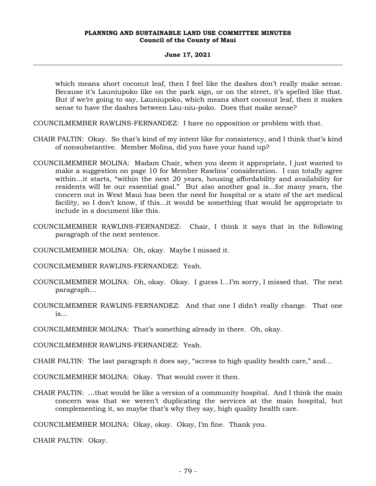#### **June 17, 2021**

which means short coconut leaf, then I feel like the dashes don't really make sense. Because it's Launiupoko like on the park sign, or on the street, it's spelled like that. But if we're going to say, Launiupoko, which means short coconut leaf, then it makes sense to have the dashes between Lau-niu-poko. Does that make sense?

- COUNCILMEMBER RAWLINS-FERNANDEZ: I have no opposition or problem with that.
- CHAIR PALTIN: Okay. So that's kind of my intent like for consistency, and I think that's kind of nonsubstantive. Member Molina, did you have your hand up?
- COUNCILMEMBER MOLINA: Madam Chair, when you deem it appropriate, I just wanted to make a suggestion on page 10 for Member Rawlins' consideration. I can totally agree within…it starts, "within the next 20 years, housing affordability and availability for residents will be our essential goal." But also another goal is...for many years, the concern out in West Maui has been the need for hospital or a state of the art medical facility, so I don't know, if this...it would be something that would be appropriate to include in a document like this.
- COUNCILMEMBER RAWLINS-FERNANDEZ: Chair, I think it says that in the following paragraph of the next sentence.
- COUNCILMEMBER MOLINA: Oh, okay. Maybe I missed it.
- COUNCILMEMBER RAWLINS-FERNANDEZ: Yeah.
- COUNCILMEMBER MOLINA: Oh, okay. Okay. I guess I…I'm sorry, I missed that. The next paragraph…
- COUNCILMEMBER RAWLINS-FERNANDEZ: And that one I didn't really change. That one is…
- COUNCILMEMBER MOLINA: That's something already in there. Oh, okay.
- COUNCILMEMBER RAWLINS-FERNANDEZ: Yeah.
- CHAIR PALTIN: The last paragraph it does say, "access to high quality health care," and…
- COUNCILMEMBER MOLINA: Okay. That would cover it then.
- CHAIR PALTIN: …that would be like a version of a community hospital. And I think the main concern was that we weren't duplicating the services at the main hospital, but complementing it, so maybe that's why they say, high quality health care.

COUNCILMEMBER MOLINA: Okay, okay. Okay, I'm fine. Thank you.

CHAIR PALTIN: Okay.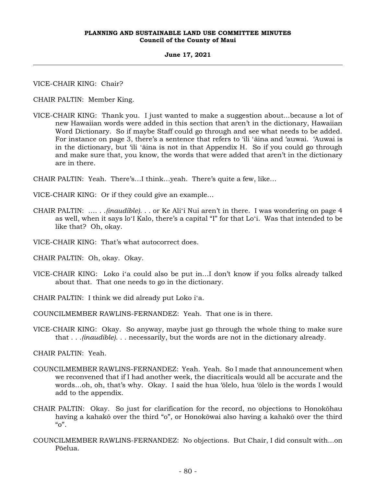#### **June 17, 2021**

VICE-CHAIR KING: Chair?

CHAIR PALTIN: Member King.

VICE-CHAIR KING: Thank you. I just wanted to make a suggestion about...because a lot of new Hawaiian words were added in this section that aren't in the dictionary, Hawaiian Word Dictionary. So if maybe Staff could go through and see what needs to be added. For instance on page 3, there's a sentence that refers to 'ili ʻāina and 'auwai. 'Auwai is in the dictionary, but 'ili ʻāina is not in that Appendix H. So if you could go through and make sure that, you know, the words that were added that aren't in the dictionary are in there.

CHAIR PALTIN: Yeah. There's…I think…yeah. There's quite a few, like…

VICE-CHAIR KING: Or if they could give an example…

- CHAIR PALTIN: …. . .*(inaudible)*. . . or Ke Aliʻi Nui aren't in there. I was wondering on page 4 as well, when it says loʻI Kalo, there's a capital "I" for that Loʻi. Was that intended to be like that? Oh, okay.
- VICE-CHAIR KING: That's what autocorrect does.
- CHAIR PALTIN: Oh, okay. Okay.
- VICE-CHAIR KING: Loko iʻa could also be put in…I don't know if you folks already talked about that. That one needs to go in the dictionary.
- CHAIR PALTIN: I think we did already put Loko iʻa.
- COUNCILMEMBER RAWLINS-FERNANDEZ: Yeah. That one is in there.
- VICE-CHAIR KING: Okay. So anyway, maybe just go through the whole thing to make sure that . . .*(inaudible)*. . . necessarily, but the words are not in the dictionary already.

CHAIR PALTIN: Yeah.

- COUNCILMEMBER RAWLINS-FERNANDEZ: Yeah. Yeah. So I made that announcement when we reconvened that if I had another week, the diacriticals would all be accurate and the words…oh, oh, that's why. Okay. I said the hua 'ōlelo, hua 'ōlelo is the words I would add to the appendix.
- CHAIR PALTIN: Okay. So just for clarification for the record, no objections to Honokōhau having a kahakō over the third "o", or Honokōwai also having a kahakō over the third  $"o"$ .
- COUNCILMEMBER RAWLINS-FERNANDEZ: No objections. But Chair, I did consult with...on Pōelua.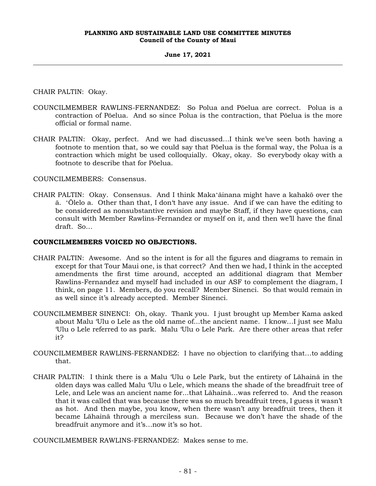#### **June 17, 2021**

CHAIR PALTIN: Okay.

- COUNCILMEMBER RAWLINS-FERNANDEZ: So Polua and Pōelua are correct. Polua is a contraction of Pōelua. And so since Polua is the contraction, that Pōelua is the more official or formal name.
- CHAIR PALTIN: Okay, perfect. And we had discussed...I think we've seen both having a footnote to mention that, so we could say that Pōelua is the formal way, the Polua is a contraction which might be used colloquially. Okay, okay. So everybody okay with a footnote to describe that for Pōelua.

# COUNCILMEMBERS: Consensus.

CHAIR PALTIN: Okay. Consensus. And I think Makaʻāinana might have a kahakō over the ā. ʻŌlelo a. Other than that, I don't have any issue. And if we can have the editing to be considered as nonsubstantive revision and maybe Staff, if they have questions, can consult with Member Rawlins-Fernandez or myself on it, and then we'll have the final draft. So…

# **COUNCILMEMBERS VOICED NO OBJECTIONS.**

- CHAIR PALTIN: Awesome. And so the intent is for all the figures and diagrams to remain in except for that Tour Maui one, is that correct? And then we had, I think in the accepted amendments the first time around, accepted an additional diagram that Member Rawlins-Fernandez and myself had included in our ASF to complement the diagram, I think, on page 11. Members, do you recall? Member Sinenci. So that would remain in as well since it's already accepted. Member Sinenci.
- COUNCILMEMBER SINENCI: Oh, okay. Thank you. I just brought up Member Kama asked about Malu 'Ulu o Lele as the old name of...the ancient name. I know…I just see Malu 'Ulu o Lele referred to as park. Malu 'Ulu o Lele Park. Are there other areas that refer it?
- COUNCILMEMBER RAWLINS-FERNANDEZ: I have no objection to clarifying that…to adding that.
- CHAIR PALTIN: I think there is a Malu 'Ulu o Lele Park, but the entirety of Lāhainā in the olden days was called Malu 'Ulu o Lele, which means the shade of the breadfruit tree of Lele, and Lele was an ancient name for...that Lāhainā…was referred to. And the reason that it was called that was because there was so much breadfruit trees, I guess it wasn't as hot. And then maybe, you know, when there wasn't any breadfruit trees, then it became Lāhainā through a merciless sun. Because we don't have the shade of the breadfruit anymore and it's…now it's so hot.

COUNCILMEMBER RAWLINS-FERNANDEZ: Makes sense to me.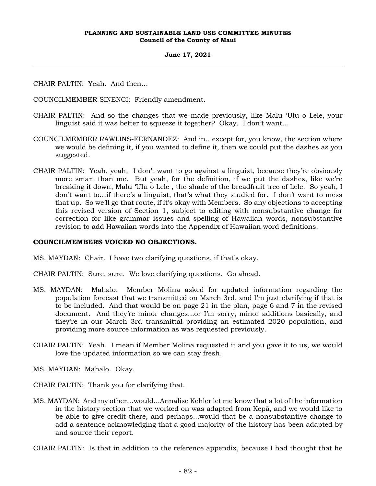#### **June 17, 2021**

CHAIR PALTIN: Yeah. And then…

COUNCILMEMBER SINENCI: Friendly amendment.

- CHAIR PALTIN: And so the changes that we made previously, like Malu 'Ulu o Lele, your linguist said it was better to squeeze it together? Okay. I don't want…
- COUNCILMEMBER RAWLINS-FERNANDEZ: And in…except for, you know, the section where we would be defining it, if you wanted to define it, then we could put the dashes as you suggested.
- CHAIR PALTIN: Yeah, yeah. I don't want to go against a linguist, because they're obviously more smart than me. But yeah, for the definition, if we put the dashes, like we're breaking it down, Malu 'Ulu o Lele , the shade of the breadfruit tree of Lele. So yeah, I don't want to…if there's a linguist, that's what they studied for. I don't want to mess that up. So we'll go that route, if it's okay with Members. So any objections to accepting this revised version of Section 1, subject to editing with nonsubstantive change for correction for like grammar issues and spelling of Hawaiian words, nonsubstantive revision to add Hawaiian words into the Appendix of Hawaiian word definitions.

# **COUNCILMEMBERS VOICED NO OBJECTIONS.**

- MS. MAYDAN: Chair. I have two clarifying questions, if that's okay.
- CHAIR PALTIN: Sure, sure. We love clarifying questions. Go ahead.
- MS. MAYDAN: Mahalo. Member Molina asked for updated information regarding the population forecast that we transmitted on March 3rd, and I'm just clarifying if that is to be included. And that would be on page 21 in the plan, page 6 and 7 in the revised document. And they're minor changes...or I'm sorry, minor additions basically, and they're in our March 3rd transmittal providing an estimated 2020 population, and providing more source information as was requested previously.
- CHAIR PALTIN: Yeah. I mean if Member Molina requested it and you gave it to us, we would love the updated information so we can stay fresh.
- MS. MAYDAN: Mahalo. Okay.
- CHAIR PALTIN: Thank you for clarifying that.
- MS. MAYDAN: And my other…would...Annalise Kehler let me know that a lot of the information in the history section that we worked on was adapted from Kepā, and we would like to be able to give credit there, and perhaps...would that be a nonsubstantive change to add a sentence acknowledging that a good majority of the history has been adapted by and source their report.

CHAIR PALTIN: Is that in addition to the reference appendix, because I had thought that he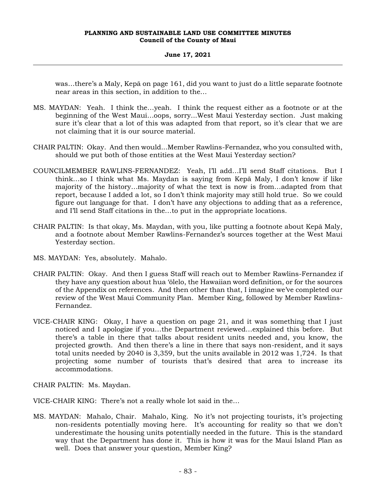## **June 17, 2021**

was…there's a Maly, Kepā on page 161, did you want to just do a little separate footnote near areas in this section, in addition to the…

- MS. MAYDAN: Yeah. I think the…yeah. I think the request either as a footnote or at the beginning of the West Maui…oops, sorry...West Maui Yesterday section. Just making sure it's clear that a lot of this was adapted from that report, so it's clear that we are not claiming that it is our source material.
- CHAIR PALTIN: Okay. And then would...Member Rawlins-Fernandez, who you consulted with, should we put both of those entities at the West Maui Yesterday section?
- COUNCILMEMBER RAWLINS-FERNANDEZ: Yeah, I'll add…I'll send Staff citations. But I think…so I think what Ms. Maydan is saying from Kepā Maly, I don't know if like majority of the history…majority of what the text is now is from…adapted from that report, because I added a lot, so I don't think majority may still hold true. So we could figure out language for that. I don't have any objections to adding that as a reference, and I'll send Staff citations in the…to put in the appropriate locations.
- CHAIR PALTIN: Is that okay, Ms. Maydan, with you, like putting a footnote about Kepā Maly, and a footnote about Member Rawlins-Fernandez's sources together at the West Maui Yesterday section.
- MS. MAYDAN: Yes, absolutely. Mahalo.
- CHAIR PALTIN: Okay. And then I guess Staff will reach out to Member Rawlins-Fernandez if they have any question about hua 'ōlelo, the Hawaiian word definition, or for the sources of the Appendix on references. And then other than that, I imagine we've completed our review of the West Maui Community Plan. Member King, followed by Member Rawlins-Fernandez.
- VICE-CHAIR KING: Okay, I have a question on page 21, and it was something that I just noticed and I apologize if you…the Department reviewed…explained this before. But there's a table in there that talks about resident units needed and, you know, the projected growth. And then there's a line in there that says non-resident, and it says total units needed by 2040 is 3,359, but the units available in 2012 was 1,724. Is that projecting some number of tourists that's desired that area to increase its accommodations.

CHAIR PALTIN: Ms. Maydan.

VICE-CHAIR KING: There's not a really whole lot said in the…

MS. MAYDAN: Mahalo, Chair. Mahalo, King. No it's not projecting tourists, it's projecting non-residents potentially moving here. It's accounting for reality so that we don't underestimate the housing units potentially needed in the future. This is the standard way that the Department has done it. This is how it was for the Maui Island Plan as well. Does that answer your question, Member King?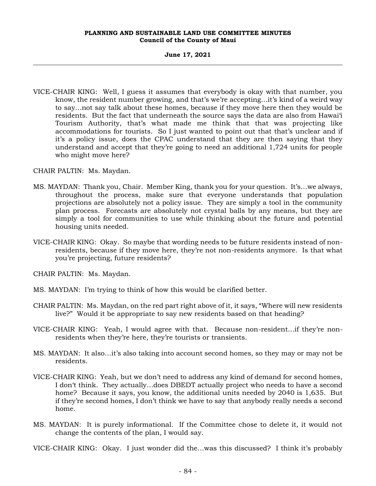#### **June 17, 2021**

VICE-CHAIR KING: Well, I guess it assumes that everybody is okay with that number, you know, the resident number growing, and that's we're accepting…it's kind of a weird way to say…not say talk about these homes, because if they move here then they would be residents. But the fact that underneath the source says the data are also from Hawai'i Tourism Authority, that's what made me think that that was projecting like accommodations for tourists. So I just wanted to point out that that's unclear and if it's a policy issue, does the CPAC understand that they are then saying that they understand and accept that they're going to need an additional 1,724 units for people who might move here?

CHAIR PALTIN: Ms. Maydan.

- MS. MAYDAN: Thank you, Chair. Member King, thank you for your question. It's…we always, throughout the process, make sure that everyone understands that population projections are absolutely not a policy issue. They are simply a tool in the community plan process. Forecasts are absolutely not crystal balls by any means, but they are simply a tool for communities to use while thinking about the future and potential housing units needed.
- VICE-CHAIR KING: Okay. So maybe that wording needs to be future residents instead of nonresidents, because if they move here, they're not non-residents anymore. Is that what you're projecting, future residents?

CHAIR PALTIN: Ms. Maydan.

- MS. MAYDAN: I'm trying to think of how this would be clarified better.
- CHAIR PALTIN: Ms. Maydan, on the red part right above of it, it says, "Where will new residents live?" Would it be appropriate to say new residents based on that heading?
- VICE-CHAIR KING: Yeah, I would agree with that. Because non-resident…if they're nonresidents when they're here, they're tourists or transients.
- MS. MAYDAN: It also…it's also taking into account second homes, so they may or may not be residents.
- VICE-CHAIR KING: Yeah, but we don't need to address any kind of demand for second homes, I don't think. They actually…does DBEDT actually project who needs to have a second home? Because it says, you know, the additional units needed by 2040 is 1,635. But if they're second homes, I don't think we have to say that anybody really needs a second home.
- MS. MAYDAN: It is purely informational. If the Committee chose to delete it, it would not change the contents of the plan, I would say.
- VICE-CHAIR KING: Okay. I just wonder did the…was this discussed? I think it's probably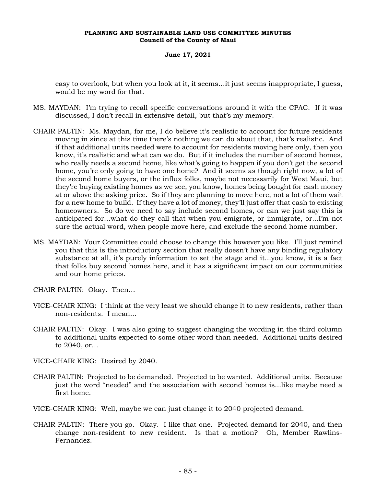**June 17, 2021**

easy to overlook, but when you look at it, it seems…it just seems inappropriate, I guess, would be my word for that.

- MS. MAYDAN: I'm trying to recall specific conversations around it with the CPAC. If it was discussed, I don't recall in extensive detail, but that's my memory.
- CHAIR PALTIN: Ms. Maydan, for me, I do believe it's realistic to account for future residents moving in since at this time there's nothing we can do about that, that's realistic. And if that additional units needed were to account for residents moving here only, then you know, it's realistic and what can we do. But if it includes the number of second homes, who really needs a second home, like what's going to happen if you don't get the second home, you're only going to have one home? And it seems as though right now, a lot of the second home buyers, or the influx folks, maybe not necessarily for West Maui, but they're buying existing homes as we see, you know, homes being bought for cash money at or above the asking price. So if they are planning to move here, not a lot of them wait for a new home to build. If they have a lot of money, they'll just offer that cash to existing homeowners. So do we need to say include second homes, or can we just say this is anticipated for…what do they call that when you emigrate, or immigrate, or...I'm not sure the actual word, when people move here, and exclude the second home number.
- MS. MAYDAN: Your Committee could choose to change this however you like. I'll just remind you that this is the introductory section that really doesn't have any binding regulatory substance at all, it's purely information to set the stage and it...you know, it is a fact that folks buy second homes here, and it has a significant impact on our communities and our home prices.
- CHAIR PALTIN: Okay. Then…
- VICE-CHAIR KING: I think at the very least we should change it to new residents, rather than non-residents. I mean...
- CHAIR PALTIN: Okay. I was also going to suggest changing the wording in the third column to additional units expected to some other word than needed. Additional units desired to 2040, or…
- VICE-CHAIR KING: Desired by 2040.
- CHAIR PALTIN: Projected to be demanded. Projected to be wanted. Additional units. Because just the word "needed" and the association with second homes is...like maybe need a first home.
- VICE-CHAIR KING: Well, maybe we can just change it to 2040 projected demand.
- CHAIR PALTIN: There you go. Okay. I like that one. Projected demand for 2040, and then change non-resident to new resident. Is that a motion? Oh, Member Rawlins-Fernandez.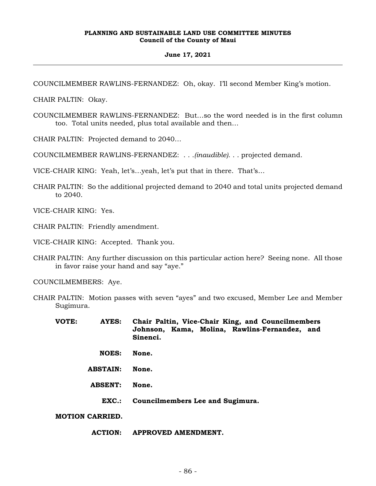#### **June 17, 2021**

COUNCILMEMBER RAWLINS-FERNANDEZ: Oh, okay. I'll second Member King's motion.

CHAIR PALTIN: Okay.

COUNCILMEMBER RAWLINS-FERNANDEZ: But…so the word needed is in the first column too. Total units needed, plus total available and then…

CHAIR PALTIN: Projected demand to 2040…

COUNCILMEMBER RAWLINS-FERNANDEZ: . . .*(inaudible)*. . . projected demand.

VICE-CHAIR KING: Yeah, let's…yeah, let's put that in there. That's…

CHAIR PALTIN: So the additional projected demand to 2040 and total units projected demand to 2040.

VICE-CHAIR KING: Yes.

CHAIR PALTIN: Friendly amendment.

VICE-CHAIR KING: Accepted. Thank you.

CHAIR PALTIN: Any further discussion on this particular action here? Seeing none. All those in favor raise your hand and say "aye."

COUNCILMEMBERS: Aye.

- CHAIR PALTIN: Motion passes with seven "ayes" and two excused, Member Lee and Member Sugimura.
	- **VOTE: AYES: Chair Paltin, Vice-Chair King, and Councilmembers Johnson, Kama, Molina, Rawlins-Fernandez, and Sinenci.**
		- **NOES: None.**
		- **ABSTAIN: None.**
		- **ABSENT: None.**
			- **EXC.: Councilmembers Lee and Sugimura.**

**MOTION CARRIED.**

## **ACTION: APPROVED AMENDMENT.**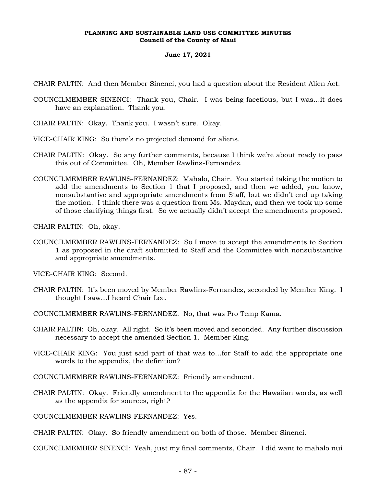## **June 17, 2021**

CHAIR PALTIN: And then Member Sinenci, you had a question about the Resident Alien Act.

- COUNCILMEMBER SINENCI: Thank you, Chair. I was being facetious, but I was…it does have an explanation. Thank you.
- CHAIR PALTIN: Okay. Thank you. I wasn't sure. Okay.
- VICE-CHAIR KING: So there's no projected demand for aliens.
- CHAIR PALTIN: Okay. So any further comments, because I think we're about ready to pass this out of Committee. Oh, Member Rawlins-Fernandez.
- COUNCILMEMBER RAWLINS-FERNANDEZ: Mahalo, Chair. You started taking the motion to add the amendments to Section 1 that I proposed, and then we added, you know, nonsubstantive and appropriate amendments from Staff, but we didn't end up taking the motion. I think there was a question from Ms. Maydan, and then we took up some of those clarifying things first. So we actually didn't accept the amendments proposed.

CHAIR PALTIN: Oh, okay.

COUNCILMEMBER RAWLINS-FERNANDEZ: So I move to accept the amendments to Section 1 as proposed in the draft submitted to Staff and the Committee with nonsubstantive and appropriate amendments.

VICE-CHAIR KING: Second.

CHAIR PALTIN: It's been moved by Member Rawlins-Fernandez, seconded by Member King. I thought I saw…I heard Chair Lee.

COUNCILMEMBER RAWLINS-FERNANDEZ: No, that was Pro Temp Kama.

- CHAIR PALTIN: Oh, okay. All right. So it's been moved and seconded. Any further discussion necessary to accept the amended Section 1. Member King.
- VICE-CHAIR KING: You just said part of that was to…for Staff to add the appropriate one words to the appendix, the definition?

COUNCILMEMBER RAWLINS-FERNANDEZ: Friendly amendment.

CHAIR PALTIN: Okay. Friendly amendment to the appendix for the Hawaiian words, as well as the appendix for sources, right?

COUNCILMEMBER RAWLINS-FERNANDEZ: Yes.

CHAIR PALTIN: Okay. So friendly amendment on both of those. Member Sinenci.

COUNCILMEMBER SINENCI: Yeah, just my final comments, Chair. I did want to mahalo nui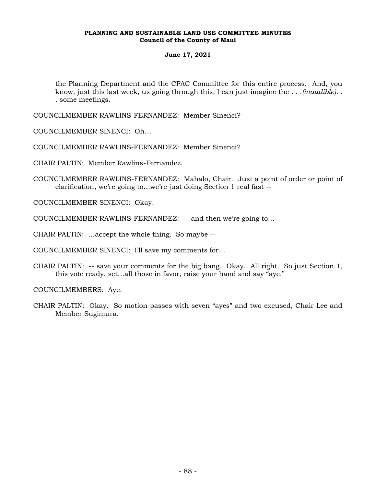## **June 17, 2021**

the Planning Department and the CPAC Committee for this entire process. And, you know, just this last week, us going through this, I can just imagine the . . .*(inaudible)*. . . some meetings.

COUNCILMEMBER RAWLINS-FERNANDEZ: Member Sinenci?

COUNCILMEMBER SINENCI: Oh…

COUNCILMEMBER RAWLINS-FERNANDEZ: Member Sinenci?

CHAIR PALTIN: Member Rawlins-Fernandez.

COUNCILMEMBER RAWLINS-FERNANDEZ: Mahalo, Chair. Just a point of order or point of clarification, we're going to…we're just doing Section 1 real fast --

COUNCILMEMBER SINENCI: Okay.

COUNCILMEMBER RAWLINS-FERNANDEZ: -- and then we're going to…

CHAIR PALTIN: …accept the whole thing. So maybe --

COUNCILMEMBER SINENCI: I'll save my comments for…

CHAIR PALTIN: -- save your comments for the big bang. Okay. All right. So just Section 1, this vote ready, set…all those in favor, raise your hand and say "aye."

COUNCILMEMBERS: Aye.

CHAIR PALTIN: Okay. So motion passes with seven "ayes" and two excused, Chair Lee and Member Sugimura.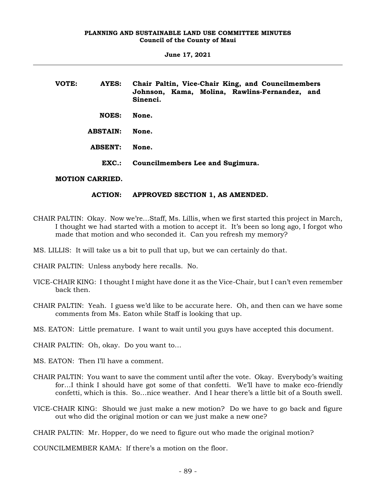**June 17, 2021**

| VOTE: | AYES:                  | Chair Paltin, Vice-Chair King, and Councilmembers<br>Johnson, Kama, Molina, Rawlins-Fernandez, and<br>Sinenci. |
|-------|------------------------|----------------------------------------------------------------------------------------------------------------|
|       | <b>NOES:</b>           | None.                                                                                                          |
|       | <b>ABSTAIN:</b>        | None.                                                                                                          |
|       | <b>ABSENT:</b>         | None.                                                                                                          |
|       | EXC.:                  | Councilmembers Lee and Sugimura.                                                                               |
|       | <b>MOTION CARRIED.</b> |                                                                                                                |

# **ACTION: APPROVED SECTION 1, AS AMENDED.**

- CHAIR PALTIN: Okay. Now we're…Staff, Ms. Lillis, when we first started this project in March, I thought we had started with a motion to accept it. It's been so long ago, I forgot who made that motion and who seconded it. Can you refresh my memory?
- MS. LILLIS: It will take us a bit to pull that up, but we can certainly do that.
- CHAIR PALTIN: Unless anybody here recalls. No.
- VICE-CHAIR KING: I thought I might have done it as the Vice-Chair, but I can't even remember back then.
- CHAIR PALTIN: Yeah. I guess we'd like to be accurate here. Oh, and then can we have some comments from Ms. Eaton while Staff is looking that up.
- MS. EATON: Little premature. I want to wait until you guys have accepted this document.
- CHAIR PALTIN: Oh, okay. Do you want to…
- MS. EATON: Then I'll have a comment.
- CHAIR PALTIN: You want to save the comment until after the vote. Okay. Everybody's waiting for…I think I should have got some of that confetti. We'll have to make eco-friendly confetti, which is this. So…nice weather. And I hear there's a little bit of a South swell.
- VICE-CHAIR KING: Should we just make a new motion? Do we have to go back and figure out who did the original motion or can we just make a new one?

CHAIR PALTIN: Mr. Hopper, do we need to figure out who made the original motion?

COUNCILMEMBER KAMA: If there's a motion on the floor.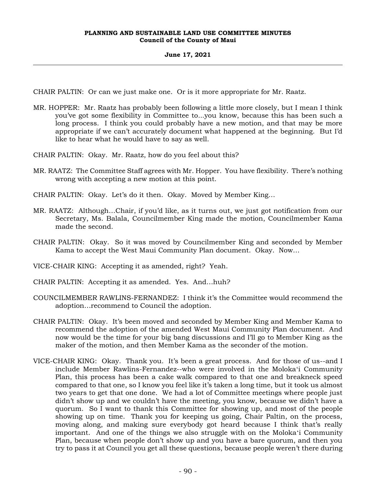# **June 17, 2021**

CHAIR PALTIN: Or can we just make one. Or is it more appropriate for Mr. Raatz.

MR. HOPPER: Mr. Raatz has probably been following a little more closely, but I mean I think you've got some flexibility in Committee to...you know, because this has been such a long process. I think you could probably have a new motion, and that may be more appropriate if we can't accurately document what happened at the beginning. But I'd like to hear what he would have to say as well.

CHAIR PALTIN: Okay. Mr. Raatz, how do you feel about this?

- MR. RAATZ: The Committee Staff agrees with Mr. Hopper. You have flexibility. There's nothing wrong with accepting a new motion at this point.
- CHAIR PALTIN: Okay. Let's do it then. Okay. Moved by Member King…
- MR. RAATZ: Although…Chair, if you'd like, as it turns out, we just got notification from our Secretary, Ms. Balala, Councilmember King made the motion, Councilmember Kama made the second.
- CHAIR PALTIN: Okay. So it was moved by Councilmember King and seconded by Member Kama to accept the West Maui Community Plan document. Okay. Now…
- VICE-CHAIR KING: Accepting it as amended, right? Yeah.
- CHAIR PALTIN: Accepting it as amended. Yes. And…huh?
- COUNCILMEMBER RAWLINS-FERNANDEZ: I think it's the Committee would recommend the adoption…recommend to Council the adoption.
- CHAIR PALTIN: Okay. It's been moved and seconded by Member King and Member Kama to recommend the adoption of the amended West Maui Community Plan document. And now would be the time for your big bang discussions and I'll go to Member King as the maker of the motion, and then Member Kama as the seconder of the motion.
- VICE-CHAIR KING: Okay. Thank you. It's been a great process. And for those of us--and I include Member Rawlins-Fernandez--who were involved in the Molokaʻi Community Plan, this process has been a cake walk compared to that one and breakneck speed compared to that one, so I know you feel like it's taken a long time, but it took us almost two years to get that one done. We had a lot of Committee meetings where people just didn't show up and we couldn't have the meeting, you know, because we didn't have a quorum. So I want to thank this Committee for showing up, and most of the people showing up on time. Thank you for keeping us going, Chair Paltin, on the process, moving along, and making sure everybody got heard because I think that's really important. And one of the things we also struggle with on the Molokaʻi Community Plan, because when people don't show up and you have a bare quorum, and then you try to pass it at Council you get all these questions, because people weren't there during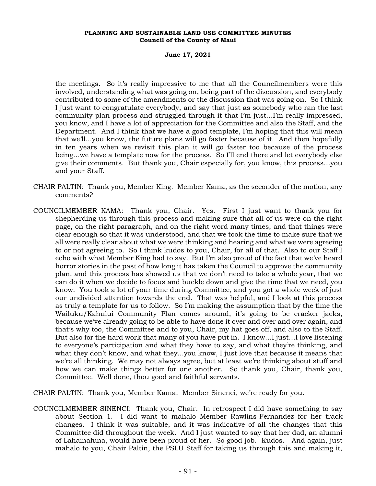**June 17, 2021**

the meetings. So it's really impressive to me that all the Councilmembers were this involved, understanding what was going on, being part of the discussion, and everybody contributed to some of the amendments or the discussion that was going on. So I think I just want to congratulate everybody, and say that just as somebody who ran the last community plan process and struggled through it that I'm just…I'm really impressed, you know, and I have a lot of appreciation for the Committee and also the Staff, and the Department. And I think that we have a good template, I'm hoping that this will mean that we'll...you know, the future plans will go faster because of it. And then hopefully in ten years when we revisit this plan it will go faster too because of the process being...we have a template now for the process. So I'll end there and let everybody else give their comments. But thank you, Chair especially for, you know, this process…you and your Staff.

- CHAIR PALTIN: Thank you, Member King. Member Kama, as the seconder of the motion, any comments?
- COUNCILMEMBER KAMA: Thank you, Chair. Yes. First I just want to thank you for shepherding us through this process and making sure that all of us were on the right page, on the right paragraph, and on the right word many times, and that things were clear enough so that it was understood, and that we took the time to make sure that we all were really clear about what we were thinking and hearing and what we were agreeing to or not agreeing to. So I think kudos to you, Chair, for all of that. Also to our Staff I echo with what Member King had to say. But I'm also proud of the fact that we've heard horror stories in the past of how long it has taken the Council to approve the community plan, and this process has showed us that we don't need to take a whole year, that we can do it when we decide to focus and buckle down and give the time that we need, you know. You took a lot of your time during Committee, and you got a whole week of just our undivided attention towards the end. That was helpful, and I look at this process as truly a template for us to follow. So I'm making the assumption that by the time the Wailuku/Kahului Community Plan comes around, it's going to be cracker jacks, because we've already going to be able to have done it over and over and over again, and that's why too, the Committee and to you, Chair, my hat goes off, and also to the Staff. But also for the hard work that many of you have put in. I know…I just…I love listening to everyone's participation and what they have to say, and what they're thinking, and what they don't know, and what they...you know, I just love that because it means that we're all thinking. We may not always agree, but at least we're thinking about stuff and how we can make things better for one another. So thank you, Chair, thank you, Committee. Well done, thou good and faithful servants.
- CHAIR PALTIN: Thank you, Member Kama. Member Sinenci, we're ready for you.
- COUNCILMEMBER SINENCI: Thank you, Chair. In retrospect I did have something to say about Section 1. I did want to mahalo Member Rawlins-Fernandez for her track changes. I think it was suitable, and it was indicative of all the changes that this Committee did throughout the week. And I just wanted to say that her dad, an alumni of Lahainaluna, would have been proud of her. So good job. Kudos. And again, just mahalo to you, Chair Paltin, the PSLU Staff for taking us through this and making it,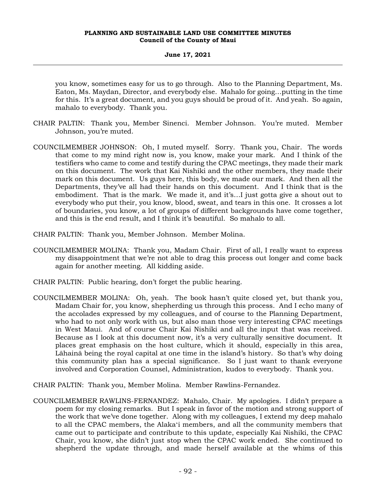## **June 17, 2021**

you know, sometimes easy for us to go through. Also to the Planning Department, Ms. Eaton, Ms. Maydan, Director, and everybody else. Mahalo for going…putting in the time for this. It's a great document, and you guys should be proud of it. And yeah. So again, mahalo to everybody. Thank you.

- CHAIR PALTIN: Thank you, Member Sinenci. Member Johnson. You're muted. Member Johnson, you're muted.
- COUNCILMEMBER JOHNSON: Oh, I muted myself. Sorry. Thank you, Chair. The words that come to my mind right now is, you know, make your mark. And I think of the testifiers who came to come and testify during the CPAC meetings, they made their mark on this document. The work that Kai Nishiki and the other members, they made their mark on this document. Us guys here, this body, we made our mark. And then all the Departments, they've all had their hands on this document. And I think that is the embodiment. That is the mark. We made it, and it's…I just gotta give a shout out to everybody who put their, you know, blood, sweat, and tears in this one. It crosses a lot of boundaries, you know, a lot of groups of different backgrounds have come together, and this is the end result, and I think it's beautiful. So mahalo to all.
- CHAIR PALTIN: Thank you, Member Johnson. Member Molina.
- COUNCILMEMBER MOLINA: Thank you, Madam Chair. First of all, I really want to express my disappointment that we're not able to drag this process out longer and come back again for another meeting. All kidding aside.
- CHAIR PALTIN: Public hearing, don't forget the public hearing.
- COUNCILMEMBER MOLINA: Oh, yeah. The book hasn't quite closed yet, but thank you, Madam Chair for, you know, shepherding us through this process. And I echo many of the accolades expressed by my colleagues, and of course to the Planning Department, who had to not only work with us, but also man those very interesting CPAC meetings in West Maui. And of course Chair Kai Nishiki and all the input that was received. Because as I look at this document now, it's a very culturally sensitive document. It places great emphasis on the host culture, which it should, especially in this area, Lāhainā being the royal capital at one time in the island's history. So that's why doing this community plan has a special significance. So I just want to thank everyone involved and Corporation Counsel, Administration, kudos to everybody. Thank you.

CHAIR PALTIN: Thank you, Member Molina. Member Rawlins-Fernandez.

COUNCILMEMBER RAWLINS-FERNANDEZ: Mahalo, Chair. My apologies. I didn't prepare a poem for my closing remarks. But I speak in favor of the motion and strong support of the work that we've done together. Along with my colleagues, I extend my deep mahalo to all the CPAC members, the Alakaʻi members, and all the community members that came out to participate and contribute to this update, especially Kai Nishiki, the CPAC Chair, you know, she didn't just stop when the CPAC work ended. She continued to shepherd the update through, and made herself available at the whims of this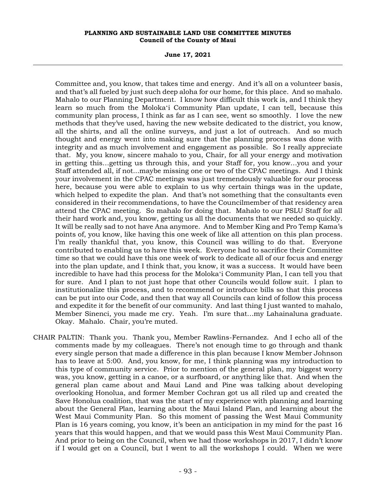**June 17, 2021**

Committee and, you know, that takes time and energy. And it's all on a volunteer basis, and that's all fueled by just such deep aloha for our home, for this place. And so mahalo. Mahalo to our Planning Department. I know how difficult this work is, and I think they learn so much from the Molokaʻi Community Plan update, I can tell, because this community plan process, I think as far as I can see, went so smoothly. I love the new methods that they've used, having the new website dedicated to the district, you know, all the shirts, and all the online surveys, and just a lot of outreach. And so much thought and energy went into making sure that the planning process was done with integrity and as much involvement and engagement as possible. So I really appreciate that. My, you know, sincere mahalo to you, Chair, for all your energy and motivation in getting this…getting us through this, and your Staff for, you know…you and your Staff attended all, if not...maybe missing one or two of the CPAC meetings. And I think your involvement in the CPAC meetings was just tremendously valuable for our process here, because you were able to explain to us why certain things was in the update, which helped to expedite the plan. And that's not something that the consultants even considered in their recommendations, to have the Councilmember of that residency area attend the CPAC meeting. So mahalo for doing that. Mahalo to our PSLU Staff for all their hard work and, you know, getting us all the documents that we needed so quickly. It will be really sad to not have Ana anymore. And to Member King and Pro Temp Kama's points of, you know, like having this one week of like all attention on this plan process. I'm really thankful that, you know, this Council was willing to do that. Everyone contributed to enabling us to have this week. Everyone had to sacrifice their Committee time so that we could have this one week of work to dedicate all of our focus and energy into the plan update, and I think that, you know, it was a success. It would have been incredible to have had this process for the Molokaʻi Community Plan, I can tell you that for sure. And I plan to not just hope that other Councils would follow suit. I plan to institutionalize this process, and to recommend or introduce bills so that this process can be put into our Code, and then that way all Councils can kind of follow this process and expedite it for the benefit of our community. And last thing I just wanted to mahalo, Member Sinenci, you made me cry. Yeah. I'm sure that…my Lahainaluna graduate. Okay. Mahalo. Chair, you're muted.

CHAIR PALTIN: Thank you. Thank you, Member Rawlins-Fernandez. And I echo all of the comments made by my colleagues. There's not enough time to go through and thank every single person that made a difference in this plan because I know Member Johnson has to leave at 5:00. And, you know, for me, I think planning was my introduction to this type of community service. Prior to mention of the general plan, my biggest worry was, you know, getting in a canoe, or a surfboard, or anything like that. And when the general plan came about and Maui Land and Pine was talking about developing overlooking Honolua, and former Member Cochran got us all riled up and created the Save Honolua coalition, that was the start of my experience with planning and learning about the General Plan, learning about the Maui Island Plan, and learning about the West Maui Community Plan. So this moment of passing the West Maui Community Plan is 16 years coming, you know, it's been an anticipation in my mind for the past 16 years that this would happen, and that we would pass this West Maui Community Plan. And prior to being on the Council, when we had those workshops in 2017, I didn't know if I would get on a Council, but I went to all the workshops I could. When we were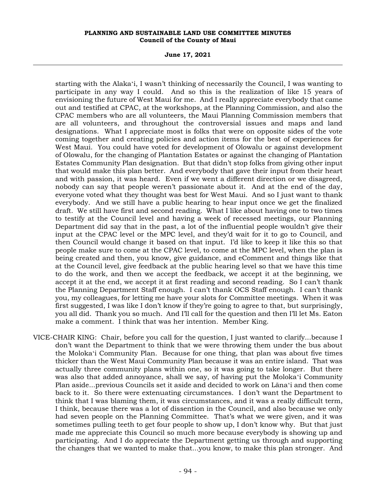**June 17, 2021**

starting with the Alakaʻi, I wasn't thinking of necessarily the Council, I was wanting to participate in any way I could. And so this is the realization of like 15 years of envisioning the future of West Maui for me. And I really appreciate everybody that came out and testified at CPAC, at the workshops, at the Planning Commission, and also the CPAC members who are all volunteers, the Maui Planning Commission members that are all volunteers, and throughout the controversial issues and maps and land designations. What I appreciate most is folks that were on opposite sides of the vote coming together and creating policies and action items for the best of experiences for West Maui. You could have voted for development of Olowalu or against development of Olowalu, for the changing of Plantation Estates or against the changing of Plantation Estates Community Plan designation. But that didn't stop folks from giving other input that would make this plan better. And everybody that gave their input from their heart and with passion, it was heard. Even if we went a different direction or we disagreed, nobody can say that people weren't passionate about it. And at the end of the day, everyone voted what they thought was best for West Maui. And so I just want to thank everybody. And we still have a public hearing to hear input once we get the finalized draft. We still have first and second reading. What I like about having one to two times to testify at the Council level and having a week of recessed meetings, our Planning Department did say that in the past, a lot of the influential people wouldn't give their input at the CPAC level or the MPC level, and they'd wait for it to go to Council, and then Council would change it based on that input. I'd like to keep it like this so that people make sure to come at the CPAC level, to come at the MPC level, when the plan is being created and then, you know, give guidance, and eComment and things like that at the Council level, give feedback at the public hearing level so that we have this time to do the work, and then we accept the feedback, we accept it at the beginning, we accept it at the end, we accept it at first reading and second reading. So I can't thank the Planning Department Staff enough. I can't thank OCS Staff enough. I can't thank you, my colleagues, for letting me have your slots for Committee meetings. When it was first suggested, I was like I don't know if they're going to agree to that, but surprisingly, you all did. Thank you so much. And I'll call for the question and then I'll let Ms. Eaton make a comment. I think that was her intention. Member King.

VICE-CHAIR KING: Chair, before you call for the question, I just wanted to clarify...because I don't want the Department to think that we were throwing them under the bus about the Molokaʻi Community Plan. Because for one thing, that plan was about five times thicker than the West Maui Community Plan because it was an entire island. That was actually three community plans within one, so it was going to take longer. But there was also that added annoyance, shall we say, of having put the Molokaʻi Community Plan aside...previous Councils set it aside and decided to work on Lānaʻi and then come back to it. So there were extenuating circumstances. I don't want the Department to think that I was blaming them, it was circumstances, and it was a really difficult term, I think, because there was a lot of dissention in the Council, and also because we only had seven people on the Planning Committee. That's what we were given, and it was sometimes pulling teeth to get four people to show up, I don't know why. But that just made me appreciate this Council so much more because everybody is showing up and participating. And I do appreciate the Department getting us through and supporting the changes that we wanted to make that...you know, to make this plan stronger. And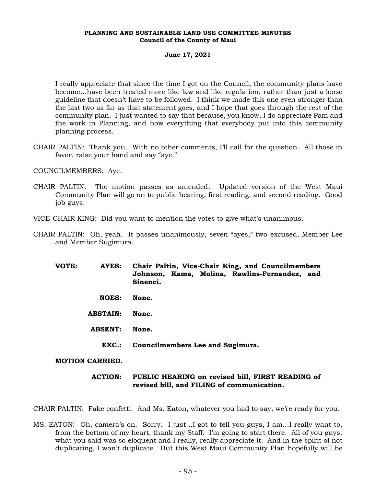## **June 17, 2021**

I really appreciate that since the time I got on the Council, the community plans have become…have been treated more like law and like regulation, rather than just a loose guideline that doesn't have to be followed. I think we made this one even stronger than the last two as far as that statement goes, and I hope that goes through the rest of the community plan. I just wanted to say that because, you know, I do appreciate Pam and the work in Planning, and how everything that everybody put into this community planning process.

CHAIR PALTIN: Thank you. With no other comments, I'll call for the question. All those in favor, raise your hand and say "aye."

COUNCILMEMBERS: Aye.

CHAIR PALTIN: The motion passes as amended. Updated version of the West Maui Community Plan will go on to public hearing, first reading, and second reading. Good job guys.

VICE-CHAIR KING: Did you want to mention the votes to give what's unanimous.

- CHAIR PALTIN: Oh, yeah. It passes unanimously, seven "ayes," two excused, Member Lee and Member Sugimura.
	- **VOTE: AYES: Chair Paltin, Vice-Chair King, and Councilmembers Johnson, Kama, Molina, Rawlins-Fernandez, and Sinenci. NOES: None. ABSTAIN: None. ABSENT: None. EXC.: Councilmembers Lee and Sugimura.**

# **MOTION CARRIED.**

# **ACTION: PUBLIC HEARING on revised bill, FIRST READING of revised bill, and FILING of communication.**

CHAIR PALTIN: Fake confetti. And Ms. Eaton, whatever you had to say, we're ready for you.

MS. EATON: Oh, camera's on. Sorry. I just…I got to tell you guys, I am…I really want to, from the bottom of my heart, thank my Staff. I'm going to start there. All of you guys, what you said was so eloquent and I really, really appreciate it. And in the spirit of not duplicating, I won't duplicate. But this West Maui Community Plan hopefully will be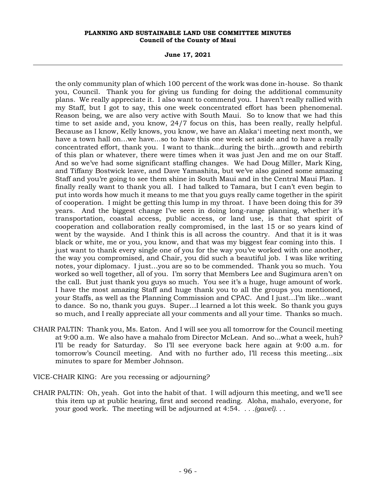**June 17, 2021**

the only community plan of which 100 percent of the work was done in-house. So thank you, Council. Thank you for giving us funding for doing the additional community plans. We really appreciate it. I also want to commend you. I haven't really rallied with my Staff, but I got to say, this one week concentrated effort has been phenomenal. Reason being, we are also very active with South Maui. So to know that we had this time to set aside and, you know, 24/7 focus on this, has been really, really helpful. Because as I know, Kelly knows, you know, we have an Alakaʻi meeting next month, we have a town hall on…we have…so to have this one week set aside and to have a really concentrated effort, thank you. I want to thank...during the birth...growth and rebirth of this plan or whatever, there were times when it was just Jen and me on our Staff. And so we've had some significant staffing changes. We had Doug Miller, Mark King, and Tiffany Bostwick leave, and Dave Yamashita, but we've also gained some amazing Staff and you're going to see them shine in South Maui and in the Central Maui Plan. I finally really want to thank you all. I had talked to Tamara, but I can't even begin to put into words how much it means to me that you guys really came together in the spirit of cooperation. I might be getting this lump in my throat. I have been doing this for 39 years. And the biggest change I've seen in doing long-range planning, whether it's transportation, coastal access, public access, or land use, is that that spirit of cooperation and collaboration really compromised, in the last 15 or so years kind of went by the wayside. And I think this is all across the country. And that it is it was black or white, me or you, you know, and that was my biggest fear coming into this. I just want to thank every single one of you for the way you've worked with one another, the way you compromised, and Chair, you did such a beautiful job. I was like writing notes, your diplomacy. I just…you are so to be commended. Thank you so much. You worked so well together, all of you. I'm sorry that Members Lee and Sugimura aren't on the call. But just thank you guys so much. You see it's a huge, huge amount of work. I have the most amazing Staff and huge thank you to all the groups you mentioned, your Staffs, as well as the Planning Commission and CPAC. And I just…I'm like…want to dance. So no, thank you guys. Super…I learned a lot this week. So thank you guys so much, and I really appreciate all your comments and all your time. Thanks so much.

- CHAIR PALTIN: Thank you, Ms. Eaton. And I will see you all tomorrow for the Council meeting at 9:00 a.m. We also have a mahalo from Director McLean. And so...what a week, huh? I'll be ready for Saturday. So I'll see everyone back here again at 9:00 a.m. for tomorrow's Council meeting. And with no further ado, I'll recess this meeting…six minutes to spare for Member Johnson.
- VICE-CHAIR KING: Are you recessing or adjourning?
- CHAIR PALTIN: Oh, yeah. Got into the habit of that. I will adjourn this meeting, and we'll see this item up at public hearing, first and second reading. Aloha, mahalo, everyone, for your good work. The meeting will be adjourned at 4:54. *. . .(gavel). . .*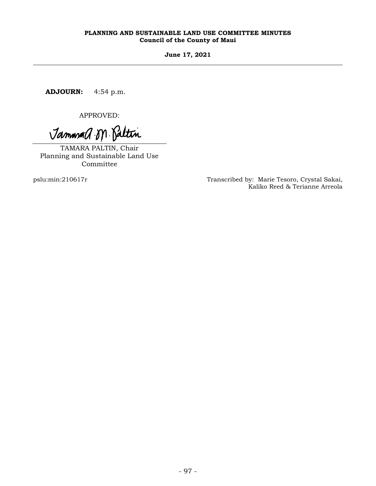**June 17, 2021**

**ADJOURN:** 4:54 p.m.

APPROVED:

Jammand M. Paltin

TAMARA PALTIN, Chair Planning and Sustainable Land Use Committee

pslu:min:210617r Transcribed by: Marie Tesoro, Crystal Sakai, Kaliko Reed & Terianne Arreola